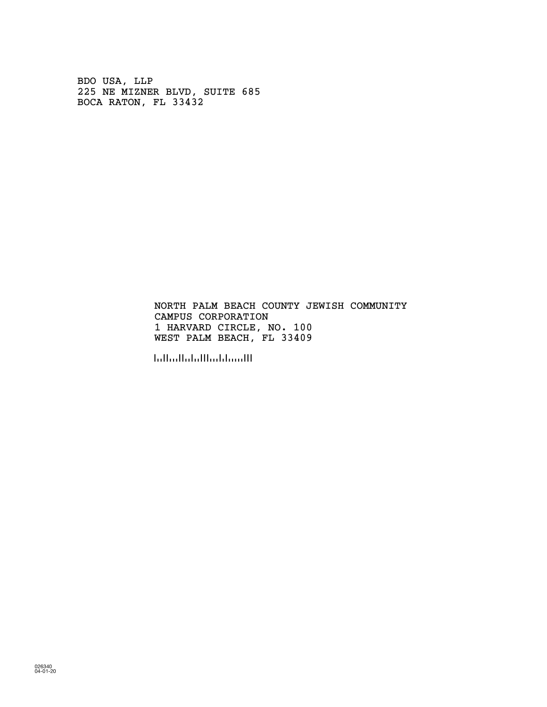BDO USA, LLP 225 NE MIZNER BLVD, SUITE 685 BOCA RATON, FL 33432

> CAMPUS CORPORATION 1 HARVARD CIRCLE, NO. 100 NORTH PALM BEACH COUNTY JEWISH COMMUNITY WEST PALM BEACH, FL 33409

!334091!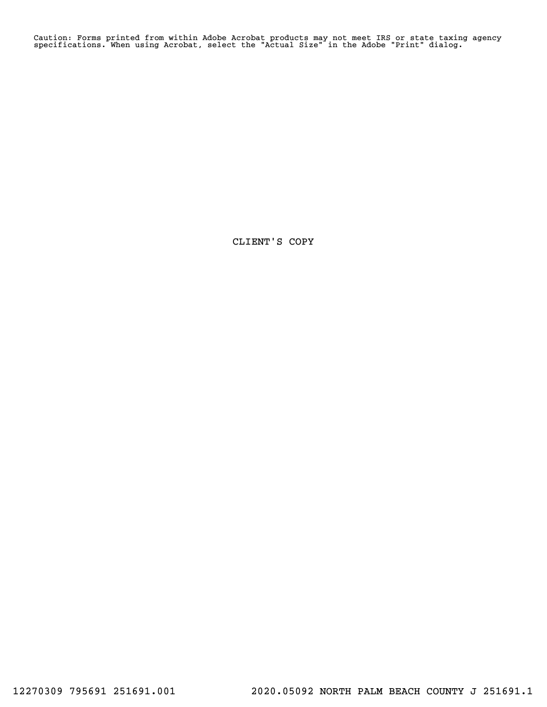Caution: Forms printed from within Adobe Acrobat products may not meet IRS or state taxing agency specifications. When using Acrobat, select the "Actual Size" in the Adobe "Print" dialog.

CLIENT'S COPY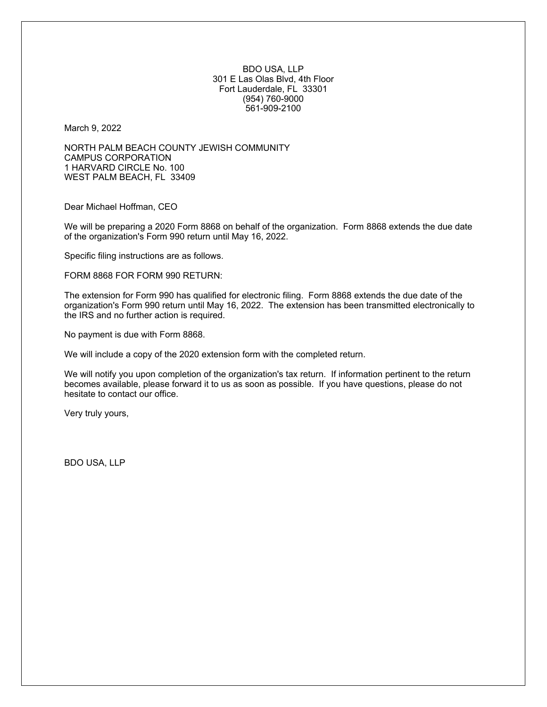BDO USA, LLP 301 E Las Olas Blvd, 4th Floor Fort Lauderdale, FL 33301 (954) 760-9000 561-909-2100

March 9, 2022

NORTH PALM BEACH COUNTY JEWISH COMMUNITY CAMPUS CORPORATION 1 HARVARD CIRCLE No. 100 WEST PALM BEACH, FL 33409

Dear Michael Hoffman, CEO

We will be preparing a 2020 Form 8868 on behalf of the organization. Form 8868 extends the due date of the organization's Form 990 return until May 16, 2022.

Specific filing instructions are as follows.

FORM 8868 FOR FORM 990 RETURN:

The extension for Form 990 has qualified for electronic filing. Form 8868 extends the due date of the organization's Form 990 return until May 16, 2022. The extension has been transmitted electronically to the IRS and no further action is required.

No payment is due with Form 8868.

We will include a copy of the 2020 extension form with the completed return.

We will notify you upon completion of the organization's tax return. If information pertinent to the return becomes available, please forward it to us as soon as possible. If you have questions, please do not hesitate to contact our office.

Very truly yours,

BDO USA, LLP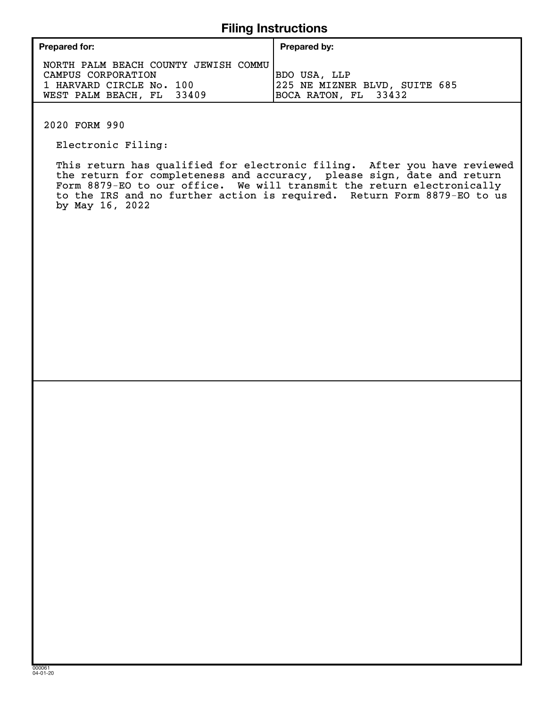# **Filing Instructions**

| <b>Prepared for:</b>                                                                                                | Prepared by:                                                                 |
|---------------------------------------------------------------------------------------------------------------------|------------------------------------------------------------------------------|
| NORTH PALM BEACH COUNTY JEWISH COMMU<br>CAMPUS CORPORATION<br>1 HARVARD CIRCLE No. 100<br>WEST PALM BEACH, FL 33409 | <b>BDO USA, LLP</b><br>225 NE MIZNER BLVD, SUITE 685<br>BOCA RATON, FL 33432 |

2020 FORM 990

Electronic Filing:

 This return has qualified for electronic filing. After you have reviewed the return for completeness and accuracy, please sign, date and return Form 8879-EO to our office. We will transmit the return electronically to the IRS and no further action is required. Return Form 8879-EO to us by May 16, 2022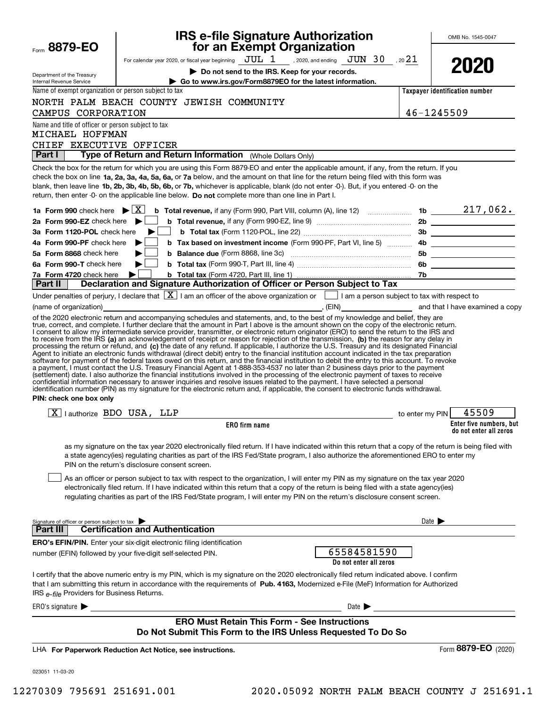| Form 8879-EO                                                            | <b>IRS e-file Signature Authorization<br/>for an Exempt Organization</b>                                                                                                                                                                                                                                                                                                                                                                                                                                                                                                                                                                                                                                                                                  |                            | OMB No. 1545-0047              |
|-------------------------------------------------------------------------|-----------------------------------------------------------------------------------------------------------------------------------------------------------------------------------------------------------------------------------------------------------------------------------------------------------------------------------------------------------------------------------------------------------------------------------------------------------------------------------------------------------------------------------------------------------------------------------------------------------------------------------------------------------------------------------------------------------------------------------------------------------|----------------------------|--------------------------------|
|                                                                         | For calendar year 2020, or fiscal year beginning $JUL$ 1 , 2020, and ending $JUN$ 30 , 20 21                                                                                                                                                                                                                                                                                                                                                                                                                                                                                                                                                                                                                                                              |                            |                                |
| Department of the Treasury<br>Internal Revenue Service                  | Do not send to the IRS. Keep for your records.<br>Go to www.irs.gov/Form8879EO for the latest information.                                                                                                                                                                                                                                                                                                                                                                                                                                                                                                                                                                                                                                                |                            | 2021                           |
| Name of exempt organization or person subject to tax                    |                                                                                                                                                                                                                                                                                                                                                                                                                                                                                                                                                                                                                                                                                                                                                           |                            | Taxpayer identification number |
|                                                                         | NORTH PALM BEACH COUNTY JEWISH COMMUNITY                                                                                                                                                                                                                                                                                                                                                                                                                                                                                                                                                                                                                                                                                                                  |                            |                                |
| CAMPUS CORPORATION                                                      |                                                                                                                                                                                                                                                                                                                                                                                                                                                                                                                                                                                                                                                                                                                                                           | 46-1245509                 |                                |
| Name and title of officer or person subject to tax<br>MICHAEL HOFFMAN   |                                                                                                                                                                                                                                                                                                                                                                                                                                                                                                                                                                                                                                                                                                                                                           |                            |                                |
| CHIEF EXECUTIVE OFFICER                                                 |                                                                                                                                                                                                                                                                                                                                                                                                                                                                                                                                                                                                                                                                                                                                                           |                            |                                |
| <b>Part I</b>                                                           | Type of Return and Return Information (Whole Dollars Only)                                                                                                                                                                                                                                                                                                                                                                                                                                                                                                                                                                                                                                                                                                |                            |                                |
|                                                                         | Check the box for the return for which you are using this Form 8879-EO and enter the applicable amount, if any, from the return. If you<br>check the box on line 1a, 2a, 3a, 4a, 5a, 6a, or 7a below, and the amount on that line for the return being filed with this form was<br>blank, then leave line 1b, 2b, 3b, 4b, 5b, 6b, or 7b, whichever is applicable, blank (do not enter -0-). But, if you entered -0- on the<br>return, then enter -0- on the applicable line below. Do not complete more than one line in Part I.                                                                                                                                                                                                                          |                            |                                |
| 1a Form 990 check here $\blacktriangleright \lceil \overline{X} \rceil$ | <b>b</b> Total revenue, if any (Form 990, Part VIII, column (A), line 12) $\ldots$ 1b $\ldots$ 1b $\ldots$ 217, 062.                                                                                                                                                                                                                                                                                                                                                                                                                                                                                                                                                                                                                                      |                            |                                |
| 2a Form 990-EZ check here $\blacktriangleright$                         |                                                                                                                                                                                                                                                                                                                                                                                                                                                                                                                                                                                                                                                                                                                                                           |                            |                                |
| 3a Form 1120-POL check here                                             |                                                                                                                                                                                                                                                                                                                                                                                                                                                                                                                                                                                                                                                                                                                                                           |                            |                                |
| 4a Form 990-PF check here<br>5a Form 8868 check here                    | b Tax based on investment income (Form 990-PF, Part VI, line 5)  4b __________________                                                                                                                                                                                                                                                                                                                                                                                                                                                                                                                                                                                                                                                                    |                            |                                |
| 6a Form 990-T check here                                                |                                                                                                                                                                                                                                                                                                                                                                                                                                                                                                                                                                                                                                                                                                                                                           |                            |                                |
| 7a Form 4720 check here                                                 | ▶                                                                                                                                                                                                                                                                                                                                                                                                                                                                                                                                                                                                                                                                                                                                                         |                            |                                |
| Part II                                                                 | Declaration and Signature Authorization of Officer or Person Subject to Tax                                                                                                                                                                                                                                                                                                                                                                                                                                                                                                                                                                                                                                                                               |                            |                                |
|                                                                         | Under penalties of perjury, I declare that $\boxed{\mathbf{X}}$ I am an officer of the above organization or $\boxed{\phantom{\mathbf{X}}}$ I am a person subject to tax with respect to<br>(name of organization) and that I have examined a copy of the state of the state of the state of organization)                                                                                                                                                                                                                                                                                                                                                                                                                                                |                            |                                |
| PIN: check one box only                                                 | software for payment of the federal taxes owed on this return, and the financial institution to debit the entry to this account. To revoke<br>a payment, I must contact the U.S. Treasury Financial Agent at 1-888-353-4537 no later than 2 business days prior to the payment<br>(settlement) date. I also authorize the financial institutions involved in the processing of the electronic payment of taxes to receive<br>confidential information necessary to answer inquiries and resolve issues related to the payment. I have selected a personal<br>identification number (PIN) as my signature for the electronic return and, if applicable, the consent to electronic funds withdrawal.                                                        |                            |                                |
| $\boxed{\text{X}}$   authorize BDO USA, LLP                             | <b>Example 20 Your Contract Contract Contract Contract Contract Contract Contract Contract Contract Contract Contract Contract Contract Contract Contract Contract Contract Contract Contract Contract Contract Contract Contrac</b>                                                                                                                                                                                                                                                                                                                                                                                                                                                                                                                      |                            | 45509                          |
|                                                                         | ERO firm name                                                                                                                                                                                                                                                                                                                                                                                                                                                                                                                                                                                                                                                                                                                                             |                            | Enter five numbers, but        |
|                                                                         | as my signature on the tax year 2020 electronically filed return. If I have indicated within this return that a copy of the return is being filed with<br>a state agency(ies) regulating charities as part of the IRS Fed/State program, I also authorize the aforementioned ERO to enter my<br>PIN on the return's disclosure consent screen.<br>As an officer or person subject to tax with respect to the organization, I will enter my PIN as my signature on the tax year 2020<br>electronically filed return. If I have indicated within this return that a copy of the return is being filed with a state agency(ies)<br>regulating charities as part of the IRS Fed/State program, I will enter my PIN on the return's disclosure consent screen. |                            | do not enter all zeros         |
|                                                                         |                                                                                                                                                                                                                                                                                                                                                                                                                                                                                                                                                                                                                                                                                                                                                           | Date $\blacktriangleright$ |                                |
| Signature of officer or person subject to tax<br>Part III               | <b>Certification and Authentication</b>                                                                                                                                                                                                                                                                                                                                                                                                                                                                                                                                                                                                                                                                                                                   |                            |                                |
|                                                                         | <b>ERO's EFIN/PIN.</b> Enter your six-digit electronic filing identification                                                                                                                                                                                                                                                                                                                                                                                                                                                                                                                                                                                                                                                                              |                            |                                |
|                                                                         | 65584581590<br>number (EFIN) followed by your five-digit self-selected PIN.<br>Do not enter all zeros                                                                                                                                                                                                                                                                                                                                                                                                                                                                                                                                                                                                                                                     |                            |                                |
| IRS e-file Providers for Business Returns.                              | I certify that the above numeric entry is my PIN, which is my signature on the 2020 electronically filed return indicated above. I confirm<br>that I am submitting this return in accordance with the requirements of Pub. 4163, Modernized e-File (MeF) Information for Authorized                                                                                                                                                                                                                                                                                                                                                                                                                                                                       |                            |                                |
| ERO's signature $\blacktriangleright$                                   | Date $\blacktriangleright$                                                                                                                                                                                                                                                                                                                                                                                                                                                                                                                                                                                                                                                                                                                                |                            |                                |
|                                                                         | <b>ERO Must Retain This Form - See Instructions</b><br>Do Not Submit This Form to the IRS Unless Requested To Do So                                                                                                                                                                                                                                                                                                                                                                                                                                                                                                                                                                                                                                       |                            |                                |
|                                                                         | LHA For Paperwork Reduction Act Notice, see instructions.                                                                                                                                                                                                                                                                                                                                                                                                                                                                                                                                                                                                                                                                                                 |                            | Form 8879-EO (2020)            |
| 023051 11-03-20                                                         |                                                                                                                                                                                                                                                                                                                                                                                                                                                                                                                                                                                                                                                                                                                                                           |                            |                                |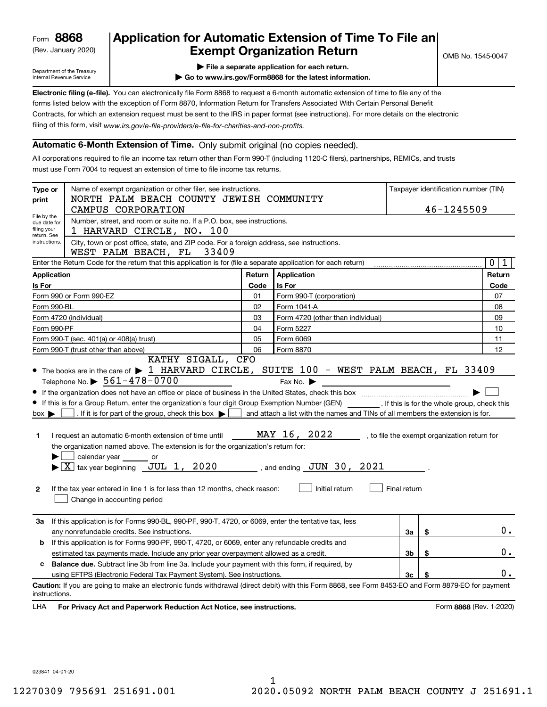(Rev. January 2020)

# **Application for Automatic Extension of Time To File an Exempt Organization Return**

Department of the Treasury Internal Revenue Service

**| File a separate application for each return.**

**| Go to www.irs.gov/Form8868 for the latest information.**

**Electronic filing (e-file).**  You can electronically file Form 8868 to request a 6-month automatic extension of time to file any of the filing of this form, visit www.irs.gov/e-file-providers/e-file-for-charities-and-non-profits. forms listed below with the exception of Form 8870, Information Return for Transfers Associated With Certain Personal Benefit Contracts, for which an extension request must be sent to the IRS in paper format (see instructions). For more details on the electronic

## **Automatic 6-Month Extension of Time.** Only submit original (no copies needed).

All corporations required to file an income tax return other than Form 990-T (including 1120-C filers), partnerships, REMICs, and trusts must use Form 7004 to request an extension of time to file income tax returns.

| Name of exempt organization or other filer, see instructions.<br>Taxpayer identification number (TIN)<br>Type or<br>NORTH PALM BEACH COUNTY JEWISH COMMUNITY<br>print<br>46-1245509<br>CAMPUS CORPORATION |                                                                                                                                                                                                                                                                                                                                                                                                                                                                                                                                                                                                                                                                                                                                                  |        |                                                                                                                                                                                  |                |    |                                              |
|-----------------------------------------------------------------------------------------------------------------------------------------------------------------------------------------------------------|--------------------------------------------------------------------------------------------------------------------------------------------------------------------------------------------------------------------------------------------------------------------------------------------------------------------------------------------------------------------------------------------------------------------------------------------------------------------------------------------------------------------------------------------------------------------------------------------------------------------------------------------------------------------------------------------------------------------------------------------------|--------|----------------------------------------------------------------------------------------------------------------------------------------------------------------------------------|----------------|----|----------------------------------------------|
| File by the<br>due date for<br>filing your<br>return. See                                                                                                                                                 | Number, street, and room or suite no. If a P.O. box, see instructions.<br>1 HARVARD CIRCLE, NO. 100                                                                                                                                                                                                                                                                                                                                                                                                                                                                                                                                                                                                                                              |        |                                                                                                                                                                                  |                |    |                                              |
| instructions.                                                                                                                                                                                             | City, town or post office, state, and ZIP code. For a foreign address, see instructions.<br>33409<br>WEST PALM BEACH, FL                                                                                                                                                                                                                                                                                                                                                                                                                                                                                                                                                                                                                         |        |                                                                                                                                                                                  |                |    |                                              |
|                                                                                                                                                                                                           | Enter the Return Code for the return that this application is for (file a separate application for each return)                                                                                                                                                                                                                                                                                                                                                                                                                                                                                                                                                                                                                                  |        |                                                                                                                                                                                  |                |    | 0 <sup>1</sup><br>$\mathbf{1}$               |
| <b>Application</b>                                                                                                                                                                                        |                                                                                                                                                                                                                                                                                                                                                                                                                                                                                                                                                                                                                                                                                                                                                  | Return | Application                                                                                                                                                                      |                |    | Return                                       |
| <b>Is For</b>                                                                                                                                                                                             |                                                                                                                                                                                                                                                                                                                                                                                                                                                                                                                                                                                                                                                                                                                                                  | Code   | <b>Is For</b>                                                                                                                                                                    |                |    | Code                                         |
|                                                                                                                                                                                                           | Form 990 or Form 990-EZ                                                                                                                                                                                                                                                                                                                                                                                                                                                                                                                                                                                                                                                                                                                          | 01     | Form 990-T (corporation)                                                                                                                                                         |                |    | 07                                           |
| Form 990-BL                                                                                                                                                                                               |                                                                                                                                                                                                                                                                                                                                                                                                                                                                                                                                                                                                                                                                                                                                                  | 02     | Form 1041-A                                                                                                                                                                      |                |    | 08                                           |
|                                                                                                                                                                                                           | Form 4720 (individual)                                                                                                                                                                                                                                                                                                                                                                                                                                                                                                                                                                                                                                                                                                                           | 03     | Form 4720 (other than individual)                                                                                                                                                |                |    | 09                                           |
| Form 990-PF                                                                                                                                                                                               |                                                                                                                                                                                                                                                                                                                                                                                                                                                                                                                                                                                                                                                                                                                                                  | 04     | Form 5227                                                                                                                                                                        |                |    | 10                                           |
|                                                                                                                                                                                                           | Form 990-T (sec. 401(a) or 408(a) trust)                                                                                                                                                                                                                                                                                                                                                                                                                                                                                                                                                                                                                                                                                                         | 05     | Form 6069                                                                                                                                                                        |                |    | 11                                           |
|                                                                                                                                                                                                           | Form 990-T (trust other than above)<br>KATHY SIGALL, CFO                                                                                                                                                                                                                                                                                                                                                                                                                                                                                                                                                                                                                                                                                         | 06     | Form 8870                                                                                                                                                                        |                |    | 12                                           |
| $box \blacktriangleright$<br>1<br>2                                                                                                                                                                       | • The books are in the care of $\blacktriangleright$ 1 HARVARD CIRCLE, SUITE 100 - WEST PALM BEACH, FL 33409<br>Telephone No. $\triangleright$ 561-478-0700<br>If this is for a Group Return, enter the organization's four digit Group Exemption Number (GEN) [If this is for the whole group, check this<br>. If it is for part of the group, check this box $\blacktriangleright$<br>I request an automatic 6-month extension of time until<br>the organization named above. The extension is for the organization's return for:<br>calendar year or<br>$\blacktriangleright$ $\boxed{\text{X}}$ tax year beginning JUL 1, 2020<br>If the tax year entered in line 1 is for less than 12 months, check reason:<br>Change in accounting period |        | Fax No. $\blacktriangleright$<br>and attach a list with the names and TINs of all members the extension is for.<br>MAY 16, 2022<br>, and ending $JUN$ 30, 2021<br>Initial return | Final return   |    | , to file the exempt organization return for |
| За                                                                                                                                                                                                        | If this application is for Forms 990-BL, 990-PF, 990-T, 4720, or 6069, enter the tentative tax, less<br>any nonrefundable credits. See instructions.                                                                                                                                                                                                                                                                                                                                                                                                                                                                                                                                                                                             |        |                                                                                                                                                                                  | За             | \$ | $0$ .                                        |
| b                                                                                                                                                                                                         | If this application is for Forms 990-PF, 990-T, 4720, or 6069, enter any refundable credits and                                                                                                                                                                                                                                                                                                                                                                                                                                                                                                                                                                                                                                                  |        |                                                                                                                                                                                  |                |    |                                              |
|                                                                                                                                                                                                           | estimated tax payments made. Include any prior year overpayment allowed as a credit.                                                                                                                                                                                                                                                                                                                                                                                                                                                                                                                                                                                                                                                             |        |                                                                                                                                                                                  | 3b             | \$ | Ο.                                           |
|                                                                                                                                                                                                           | <b>Balance due.</b> Subtract line 3b from line 3a. Include your payment with this form, if required, by                                                                                                                                                                                                                                                                                                                                                                                                                                                                                                                                                                                                                                          |        |                                                                                                                                                                                  |                |    | 0.                                           |
| instructions.<br>LHA                                                                                                                                                                                      | using EFTPS (Electronic Federal Tax Payment System). See instructions.<br>Caution: If you are going to make an electronic funds withdrawal (direct debit) with this Form 8868, see Form 8453-EO and Form 8879-EO for payment<br>For Privacy Act and Paperwork Reduction Act Notice, see instructions.                                                                                                                                                                                                                                                                                                                                                                                                                                            |        |                                                                                                                                                                                  | 3 <sub>c</sub> |    | Form 8868 (Rev. 1-2020)                      |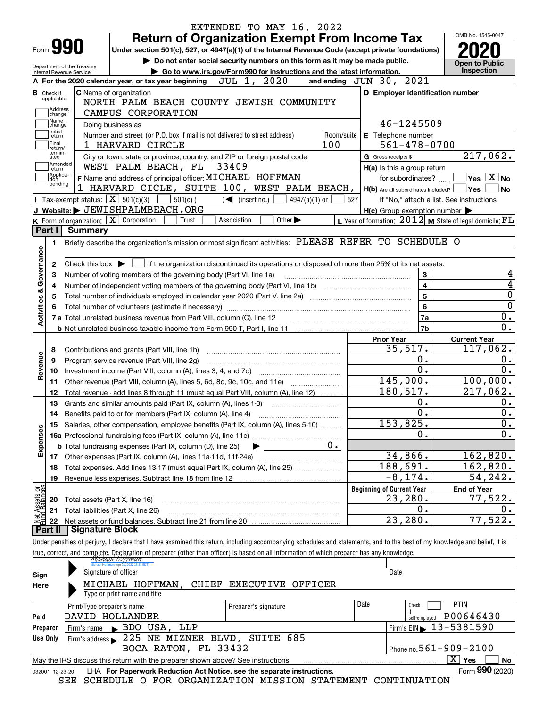|                               |                                                   | EXTENDED TO MAY 16, 2022                                                           |                                                                                                                                                                                                                                                                                                                                                                                                                                                                                                                                                                                                                                                                                                                                                                                                                                                                                                                                                                                                                                                                                                                                                                                                                                                                                                                                                                                                                                                                                                                                                                                                                                                                                                                                                                                                                                                                                                         |                                                                                                                                                                                                                                                                                                          |
|-------------------------------|---------------------------------------------------|------------------------------------------------------------------------------------|---------------------------------------------------------------------------------------------------------------------------------------------------------------------------------------------------------------------------------------------------------------------------------------------------------------------------------------------------------------------------------------------------------------------------------------------------------------------------------------------------------------------------------------------------------------------------------------------------------------------------------------------------------------------------------------------------------------------------------------------------------------------------------------------------------------------------------------------------------------------------------------------------------------------------------------------------------------------------------------------------------------------------------------------------------------------------------------------------------------------------------------------------------------------------------------------------------------------------------------------------------------------------------------------------------------------------------------------------------------------------------------------------------------------------------------------------------------------------------------------------------------------------------------------------------------------------------------------------------------------------------------------------------------------------------------------------------------------------------------------------------------------------------------------------------------------------------------------------------------------------------------------------------|----------------------------------------------------------------------------------------------------------------------------------------------------------------------------------------------------------------------------------------------------------------------------------------------------------|
| Form 990                      |                                                   |                                                                                    |                                                                                                                                                                                                                                                                                                                                                                                                                                                                                                                                                                                                                                                                                                                                                                                                                                                                                                                                                                                                                                                                                                                                                                                                                                                                                                                                                                                                                                                                                                                                                                                                                                                                                                                                                                                                                                                                                                         |                                                                                                                                                                                                                                                                                                          |
|                               |                                                   |                                                                                    |                                                                                                                                                                                                                                                                                                                                                                                                                                                                                                                                                                                                                                                                                                                                                                                                                                                                                                                                                                                                                                                                                                                                                                                                                                                                                                                                                                                                                                                                                                                                                                                                                                                                                                                                                                                                                                                                                                         |                                                                                                                                                                                                                                                                                                          |
| Department of the Treasury    |                                                   |                                                                                    |                                                                                                                                                                                                                                                                                                                                                                                                                                                                                                                                                                                                                                                                                                                                                                                                                                                                                                                                                                                                                                                                                                                                                                                                                                                                                                                                                                                                                                                                                                                                                                                                                                                                                                                                                                                                                                                                                                         | <b>Open to Public</b>                                                                                                                                                                                                                                                                                    |
| Internal Revenue Service      |                                                   |                                                                                    |                                                                                                                                                                                                                                                                                                                                                                                                                                                                                                                                                                                                                                                                                                                                                                                                                                                                                                                                                                                                                                                                                                                                                                                                                                                                                                                                                                                                                                                                                                                                                                                                                                                                                                                                                                                                                                                                                                         |                                                                                                                                                                                                                                                                                                          |
| <b>B</b> Check if             |                                                   | C Name of organization                                                             |                                                                                                                                                                                                                                                                                                                                                                                                                                                                                                                                                                                                                                                                                                                                                                                                                                                                                                                                                                                                                                                                                                                                                                                                                                                                                                                                                                                                                                                                                                                                                                                                                                                                                                                                                                                                                                                                                                         |                                                                                                                                                                                                                                                                                                          |
| applicable:                   |                                                   | NORTH PALM BEACH COUNTY JEWISH COMMUNITY                                           |                                                                                                                                                                                                                                                                                                                                                                                                                                                                                                                                                                                                                                                                                                                                                                                                                                                                                                                                                                                                                                                                                                                                                                                                                                                                                                                                                                                                                                                                                                                                                                                                                                                                                                                                                                                                                                                                                                         |                                                                                                                                                                                                                                                                                                          |
| Address<br>change             |                                                   | CAMPUS CORPORATION                                                                 |                                                                                                                                                                                                                                                                                                                                                                                                                                                                                                                                                                                                                                                                                                                                                                                                                                                                                                                                                                                                                                                                                                                                                                                                                                                                                                                                                                                                                                                                                                                                                                                                                                                                                                                                                                                                                                                                                                         |                                                                                                                                                                                                                                                                                                          |
| Name<br>change                | Doing business as                                 |                                                                                    |                                                                                                                                                                                                                                                                                                                                                                                                                                                                                                                                                                                                                                                                                                                                                                                                                                                                                                                                                                                                                                                                                                                                                                                                                                                                                                                                                                                                                                                                                                                                                                                                                                                                                                                                                                                                                                                                                                         |                                                                                                                                                                                                                                                                                                          |
| Initial<br>return             |                                                   | Number and street (or P.O. box if mail is not delivered to street address)         |                                                                                                                                                                                                                                                                                                                                                                                                                                                                                                                                                                                                                                                                                                                                                                                                                                                                                                                                                                                                                                                                                                                                                                                                                                                                                                                                                                                                                                                                                                                                                                                                                                                                                                                                                                                                                                                                                                         |                                                                                                                                                                                                                                                                                                          |
| Final<br>return/              |                                                   | 1 HARVARD CIRCLE                                                                   |                                                                                                                                                                                                                                                                                                                                                                                                                                                                                                                                                                                                                                                                                                                                                                                                                                                                                                                                                                                                                                                                                                                                                                                                                                                                                                                                                                                                                                                                                                                                                                                                                                                                                                                                                                                                                                                                                                         |                                                                                                                                                                                                                                                                                                          |
| termin-<br>ated               |                                                   | City or town, state or province, country, and ZIP or foreign postal code           | G Gross receipts \$                                                                                                                                                                                                                                                                                                                                                                                                                                                                                                                                                                                                                                                                                                                                                                                                                                                                                                                                                                                                                                                                                                                                                                                                                                                                                                                                                                                                                                                                                                                                                                                                                                                                                                                                                                                                                                                                                     |                                                                                                                                                                                                                                                                                                          |
| Amended<br>return             |                                                   | WEST PALM BEACH, FL 33409                                                          | OMB No. 1545-0047<br><b>Return of Organization Exempt From Income Tax</b><br>Under section 501(c), 527, or 4947(a)(1) of the Internal Revenue Code (except private foundations)<br>Do not enter social security numbers on this form as it may be made public.<br>Inspection<br>Go to www.irs.gov/Form990 for instructions and the latest information.<br>A For the 2020 calendar year, or tax year beginning JUL 1, 2020<br>2021<br>and ending $JUN$ 30,<br>D Employer identification number<br>46-1245509<br>Room/suite<br>E Telephone number<br>100<br>$561 - 478 - 0700$<br>H(a) Is this a group return<br>for subordinates?<br>lΥes⊦<br>$H(b)$ Are all subordinates included?<br>$501(c)$ (<br>$\mathcal{L}$ (insert no.)<br>$4947(a)(1)$ or<br>527<br>If "No," attach a list. See instructions<br>$H(c)$ Group exemption number $\blacktriangleright$<br>L Year of formation: 2012 M State of legal domicile: FL<br>Association<br>Other $\blacktriangleright$<br>Trust<br>Briefly describe the organization's mission or most significant activities: PLEASE REFER TO SCHEDULE O<br>Check this box $\blacktriangleright$ $\Box$ if the organization discontinued its operations or disposed of more than 25% of its net assets.<br>3<br>$\overline{\mathbf{4}}$<br>5<br>6<br>7a<br>7b<br><b>Current Year</b><br><b>Prior Year</b><br>35,517.<br>Ο.<br>0.<br>145,000.<br>180,517.<br>0.<br>$\mathbf 0$ .<br>$153,825$ .<br>Ο.<br>$0 \cdot$<br>34,866.<br>188,691.<br>$-8, 174.$<br><b>Beginning of Current Year</b><br><b>End of Year</b><br>23,280.<br>Ο.<br>23,280.<br>Under penalties of perjury, I declare that I have examined this return, including accompanying schedules and statements, and to the best of my knowledge and belief, it is<br>true, correct, and complete. Declaration of preparer (other than officer) is based on all information of which preparer has any knowledge. |                                                                                                                                                                                                                                                                                                          |
| Applica-<br>tion              |                                                   | F Name and address of principal officer: MICHAEL HOFFMAN                           |                                                                                                                                                                                                                                                                                                                                                                                                                                                                                                                                                                                                                                                                                                                                                                                                                                                                                                                                                                                                                                                                                                                                                                                                                                                                                                                                                                                                                                                                                                                                                                                                                                                                                                                                                                                                                                                                                                         |                                                                                                                                                                                                                                                                                                          |
| pending                       |                                                   | 1 HARVARD CICLE, SUITE 100, WEST PALM BEACH,                                       |                                                                                                                                                                                                                                                                                                                                                                                                                                                                                                                                                                                                                                                                                                                                                                                                                                                                                                                                                                                                                                                                                                                                                                                                                                                                                                                                                                                                                                                                                                                                                                                                                                                                                                                                                                                                                                                                                                         |                                                                                                                                                                                                                                                                                                          |
|                               | Tax-exempt status: $\boxed{\mathbf{X}}$ 501(c)(3) |                                                                                    |                                                                                                                                                                                                                                                                                                                                                                                                                                                                                                                                                                                                                                                                                                                                                                                                                                                                                                                                                                                                                                                                                                                                                                                                                                                                                                                                                                                                                                                                                                                                                                                                                                                                                                                                                                                                                                                                                                         |                                                                                                                                                                                                                                                                                                          |
|                               |                                                   | J Website: JEWISHPALMBEACH.ORG                                                     |                                                                                                                                                                                                                                                                                                                                                                                                                                                                                                                                                                                                                                                                                                                                                                                                                                                                                                                                                                                                                                                                                                                                                                                                                                                                                                                                                                                                                                                                                                                                                                                                                                                                                                                                                                                                                                                                                                         |                                                                                                                                                                                                                                                                                                          |
|                               |                                                   | K Form of organization: X Corporation                                              |                                                                                                                                                                                                                                                                                                                                                                                                                                                                                                                                                                                                                                                                                                                                                                                                                                                                                                                                                                                                                                                                                                                                                                                                                                                                                                                                                                                                                                                                                                                                                                                                                                                                                                                                                                                                                                                                                                         |                                                                                                                                                                                                                                                                                                          |
| Part I                        | Summary                                           |                                                                                    |                                                                                                                                                                                                                                                                                                                                                                                                                                                                                                                                                                                                                                                                                                                                                                                                                                                                                                                                                                                                                                                                                                                                                                                                                                                                                                                                                                                                                                                                                                                                                                                                                                                                                                                                                                                                                                                                                                         |                                                                                                                                                                                                                                                                                                          |
| 1.                            |                                                   |                                                                                    |                                                                                                                                                                                                                                                                                                                                                                                                                                                                                                                                                                                                                                                                                                                                                                                                                                                                                                                                                                                                                                                                                                                                                                                                                                                                                                                                                                                                                                                                                                                                                                                                                                                                                                                                                                                                                                                                                                         |                                                                                                                                                                                                                                                                                                          |
| Governance                    |                                                   |                                                                                    |                                                                                                                                                                                                                                                                                                                                                                                                                                                                                                                                                                                                                                                                                                                                                                                                                                                                                                                                                                                                                                                                                                                                                                                                                                                                                                                                                                                                                                                                                                                                                                                                                                                                                                                                                                                                                                                                                                         |                                                                                                                                                                                                                                                                                                          |
| 2                             |                                                   |                                                                                    |                                                                                                                                                                                                                                                                                                                                                                                                                                                                                                                                                                                                                                                                                                                                                                                                                                                                                                                                                                                                                                                                                                                                                                                                                                                                                                                                                                                                                                                                                                                                                                                                                                                                                                                                                                                                                                                                                                         |                                                                                                                                                                                                                                                                                                          |
| з                             |                                                   | Number of voting members of the governing body (Part VI, line 1a)                  |                                                                                                                                                                                                                                                                                                                                                                                                                                                                                                                                                                                                                                                                                                                                                                                                                                                                                                                                                                                                                                                                                                                                                                                                                                                                                                                                                                                                                                                                                                                                                                                                                                                                                                                                                                                                                                                                                                         |                                                                                                                                                                                                                                                                                                          |
| 4                             |                                                   |                                                                                    |                                                                                                                                                                                                                                                                                                                                                                                                                                                                                                                                                                                                                                                                                                                                                                                                                                                                                                                                                                                                                                                                                                                                                                                                                                                                                                                                                                                                                                                                                                                                                                                                                                                                                                                                                                                                                                                                                                         |                                                                                                                                                                                                                                                                                                          |
| 5                             |                                                   |                                                                                    |                                                                                                                                                                                                                                                                                                                                                                                                                                                                                                                                                                                                                                                                                                                                                                                                                                                                                                                                                                                                                                                                                                                                                                                                                                                                                                                                                                                                                                                                                                                                                                                                                                                                                                                                                                                                                                                                                                         |                                                                                                                                                                                                                                                                                                          |
| <b>Activities &amp;</b><br>6  |                                                   |                                                                                    |                                                                                                                                                                                                                                                                                                                                                                                                                                                                                                                                                                                                                                                                                                                                                                                                                                                                                                                                                                                                                                                                                                                                                                                                                                                                                                                                                                                                                                                                                                                                                                                                                                                                                                                                                                                                                                                                                                         |                                                                                                                                                                                                                                                                                                          |
|                               |                                                   | 7 a Total unrelated business revenue from Part VIII, column (C), line 12           |                                                                                                                                                                                                                                                                                                                                                                                                                                                                                                                                                                                                                                                                                                                                                                                                                                                                                                                                                                                                                                                                                                                                                                                                                                                                                                                                                                                                                                                                                                                                                                                                                                                                                                                                                                                                                                                                                                         |                                                                                                                                                                                                                                                                                                          |
|                               |                                                   |                                                                                    |                                                                                                                                                                                                                                                                                                                                                                                                                                                                                                                                                                                                                                                                                                                                                                                                                                                                                                                                                                                                                                                                                                                                                                                                                                                                                                                                                                                                                                                                                                                                                                                                                                                                                                                                                                                                                                                                                                         |                                                                                                                                                                                                                                                                                                          |
|                               |                                                   |                                                                                    |                                                                                                                                                                                                                                                                                                                                                                                                                                                                                                                                                                                                                                                                                                                                                                                                                                                                                                                                                                                                                                                                                                                                                                                                                                                                                                                                                                                                                                                                                                                                                                                                                                                                                                                                                                                                                                                                                                         |                                                                                                                                                                                                                                                                                                          |
| 8                             |                                                   | Contributions and grants (Part VIII, line 1h)                                      |                                                                                                                                                                                                                                                                                                                                                                                                                                                                                                                                                                                                                                                                                                                                                                                                                                                                                                                                                                                                                                                                                                                                                                                                                                                                                                                                                                                                                                                                                                                                                                                                                                                                                                                                                                                                                                                                                                         |                                                                                                                                                                                                                                                                                                          |
| Revenue<br>9                  |                                                   | Program service revenue (Part VIII, line 2g)                                       |                                                                                                                                                                                                                                                                                                                                                                                                                                                                                                                                                                                                                                                                                                                                                                                                                                                                                                                                                                                                                                                                                                                                                                                                                                                                                                                                                                                                                                                                                                                                                                                                                                                                                                                                                                                                                                                                                                         |                                                                                                                                                                                                                                                                                                          |
| 10                            |                                                   |                                                                                    |                                                                                                                                                                                                                                                                                                                                                                                                                                                                                                                                                                                                                                                                                                                                                                                                                                                                                                                                                                                                                                                                                                                                                                                                                                                                                                                                                                                                                                                                                                                                                                                                                                                                                                                                                                                                                                                                                                         |                                                                                                                                                                                                                                                                                                          |
| 11                            |                                                   | Other revenue (Part VIII, column (A), lines 5, 6d, 8c, 9c, 10c, and 11e)           |                                                                                                                                                                                                                                                                                                                                                                                                                                                                                                                                                                                                                                                                                                                                                                                                                                                                                                                                                                                                                                                                                                                                                                                                                                                                                                                                                                                                                                                                                                                                                                                                                                                                                                                                                                                                                                                                                                         |                                                                                                                                                                                                                                                                                                          |
| 12                            |                                                   | Total revenue - add lines 8 through 11 (must equal Part VIII, column (A), line 12) |                                                                                                                                                                                                                                                                                                                                                                                                                                                                                                                                                                                                                                                                                                                                                                                                                                                                                                                                                                                                                                                                                                                                                                                                                                                                                                                                                                                                                                                                                                                                                                                                                                                                                                                                                                                                                                                                                                         |                                                                                                                                                                                                                                                                                                          |
| 13                            |                                                   | Grants and similar amounts paid (Part IX, column (A), lines 1-3)                   |                                                                                                                                                                                                                                                                                                                                                                                                                                                                                                                                                                                                                                                                                                                                                                                                                                                                                                                                                                                                                                                                                                                                                                                                                                                                                                                                                                                                                                                                                                                                                                                                                                                                                                                                                                                                                                                                                                         |                                                                                                                                                                                                                                                                                                          |
| 14                            |                                                   | Benefits paid to or for members (Part IX, column (A), line 4)                      |                                                                                                                                                                                                                                                                                                                                                                                                                                                                                                                                                                                                                                                                                                                                                                                                                                                                                                                                                                                                                                                                                                                                                                                                                                                                                                                                                                                                                                                                                                                                                                                                                                                                                                                                                                                                                                                                                                         |                                                                                                                                                                                                                                                                                                          |
| 15                            |                                                   | Salaries, other compensation, employee benefits (Part IX, column (A), lines 5-10)  |                                                                                                                                                                                                                                                                                                                                                                                                                                                                                                                                                                                                                                                                                                                                                                                                                                                                                                                                                                                                                                                                                                                                                                                                                                                                                                                                                                                                                                                                                                                                                                                                                                                                                                                                                                                                                                                                                                         |                                                                                                                                                                                                                                                                                                          |
| Expenses                      |                                                   |                                                                                    |                                                                                                                                                                                                                                                                                                                                                                                                                                                                                                                                                                                                                                                                                                                                                                                                                                                                                                                                                                                                                                                                                                                                                                                                                                                                                                                                                                                                                                                                                                                                                                                                                                                                                                                                                                                                                                                                                                         |                                                                                                                                                                                                                                                                                                          |
|                               |                                                   | <b>b</b> Total fundraising expenses (Part IX, column (D), line 25)                 |                                                                                                                                                                                                                                                                                                                                                                                                                                                                                                                                                                                                                                                                                                                                                                                                                                                                                                                                                                                                                                                                                                                                                                                                                                                                                                                                                                                                                                                                                                                                                                                                                                                                                                                                                                                                                                                                                                         |                                                                                                                                                                                                                                                                                                          |
| 17                            |                                                   | Other expenses (Part IX, column (A), lines 11a-11d, 11f-24e)                       |                                                                                                                                                                                                                                                                                                                                                                                                                                                                                                                                                                                                                                                                                                                                                                                                                                                                                                                                                                                                                                                                                                                                                                                                                                                                                                                                                                                                                                                                                                                                                                                                                                                                                                                                                                                                                                                                                                         |                                                                                                                                                                                                                                                                                                          |
| 18                            |                                                   | Total expenses. Add lines 13-17 (must equal Part IX, column (A), line 25) [        |                                                                                                                                                                                                                                                                                                                                                                                                                                                                                                                                                                                                                                                                                                                                                                                                                                                                                                                                                                                                                                                                                                                                                                                                                                                                                                                                                                                                                                                                                                                                                                                                                                                                                                                                                                                                                                                                                                         |                                                                                                                                                                                                                                                                                                          |
| 19                            |                                                   |                                                                                    |                                                                                                                                                                                                                                                                                                                                                                                                                                                                                                                                                                                                                                                                                                                                                                                                                                                                                                                                                                                                                                                                                                                                                                                                                                                                                                                                                                                                                                                                                                                                                                                                                                                                                                                                                                                                                                                                                                         |                                                                                                                                                                                                                                                                                                          |
|                               |                                                   |                                                                                    |                                                                                                                                                                                                                                                                                                                                                                                                                                                                                                                                                                                                                                                                                                                                                                                                                                                                                                                                                                                                                                                                                                                                                                                                                                                                                                                                                                                                                                                                                                                                                                                                                                                                                                                                                                                                                                                                                                         |                                                                                                                                                                                                                                                                                                          |
| Assets or<br>d Balances<br>20 | Total assets (Part X, line 16)                    |                                                                                    |                                                                                                                                                                                                                                                                                                                                                                                                                                                                                                                                                                                                                                                                                                                                                                                                                                                                                                                                                                                                                                                                                                                                                                                                                                                                                                                                                                                                                                                                                                                                                                                                                                                                                                                                                                                                                                                                                                         | 217,062.<br>$\sqrt{}$ Yes $\sqrt{}$ $\overline{\rm X}$ $\sqrt{}$ No<br><b>No</b><br>4<br>4<br>0<br>$\overline{0}$<br>0.<br>$\overline{0}$ .<br>117,062.<br>0.<br>0.<br>100,000.<br>217,062.<br>0.<br>$\overline{0}$ .<br>0.<br>0.<br>162,820.<br>162,820.<br>54,242.<br>77,522.<br>0.<br>77,522.<br>Date |
| 21                            |                                                   | Total liabilities (Part X, line 26)                                                |                                                                                                                                                                                                                                                                                                                                                                                                                                                                                                                                                                                                                                                                                                                                                                                                                                                                                                                                                                                                                                                                                                                                                                                                                                                                                                                                                                                                                                                                                                                                                                                                                                                                                                                                                                                                                                                                                                         |                                                                                                                                                                                                                                                                                                          |
| 22<br>Part II                 | <b>Signature Block</b>                            |                                                                                    |                                                                                                                                                                                                                                                                                                                                                                                                                                                                                                                                                                                                                                                                                                                                                                                                                                                                                                                                                                                                                                                                                                                                                                                                                                                                                                                                                                                                                                                                                                                                                                                                                                                                                                                                                                                                                                                                                                         |                                                                                                                                                                                                                                                                                                          |
|                               |                                                   |                                                                                    |                                                                                                                                                                                                                                                                                                                                                                                                                                                                                                                                                                                                                                                                                                                                                                                                                                                                                                                                                                                                                                                                                                                                                                                                                                                                                                                                                                                                                                                                                                                                                                                                                                                                                                                                                                                                                                                                                                         |                                                                                                                                                                                                                                                                                                          |
|                               |                                                   |                                                                                    |                                                                                                                                                                                                                                                                                                                                                                                                                                                                                                                                                                                                                                                                                                                                                                                                                                                                                                                                                                                                                                                                                                                                                                                                                                                                                                                                                                                                                                                                                                                                                                                                                                                                                                                                                                                                                                                                                                         |                                                                                                                                                                                                                                                                                                          |
|                               |                                                   | <i>МІСИАЕС НОНМАН</i><br>lichael Hoffman (Apr 11, 2022 13:51 EDT                   |                                                                                                                                                                                                                                                                                                                                                                                                                                                                                                                                                                                                                                                                                                                                                                                                                                                                                                                                                                                                                                                                                                                                                                                                                                                                                                                                                                                                                                                                                                                                                                                                                                                                                                                                                                                                                                                                                                         |                                                                                                                                                                                                                                                                                                          |
|                               | Signature of officer                              |                                                                                    |                                                                                                                                                                                                                                                                                                                                                                                                                                                                                                                                                                                                                                                                                                                                                                                                                                                                                                                                                                                                                                                                                                                                                                                                                                                                                                                                                                                                                                                                                                                                                                                                                                                                                                                                                                                                                                                                                                         |                                                                                                                                                                                                                                                                                                          |
| Sign                          |                                                   | MICHAEL HOFFMAN, CHIEF EXECUTIVE OFFICER                                           |                                                                                                                                                                                                                                                                                                                                                                                                                                                                                                                                                                                                                                                                                                                                                                                                                                                                                                                                                                                                                                                                                                                                                                                                                                                                                                                                                                                                                                                                                                                                                                                                                                                                                                                                                                                                                                                                                                         |                                                                                                                                                                                                                                                                                                          |

| Here     | MICHAEL HOFFMAN, CHIEF EXECUTIVE OFFICER                                                                        |                      |      |                                     |
|----------|-----------------------------------------------------------------------------------------------------------------|----------------------|------|-------------------------------------|
|          | Type or print name and title                                                                                    |                      |      |                                     |
|          | Print/Type preparer's name                                                                                      | Preparer's signature | Date | <b>PTIN</b><br>Check                |
| Paid     | DAVID HOLLANDER                                                                                                 |                      |      | P00646430<br>self-employed          |
| Preparer | Firm's name BDO USA, LLP                                                                                        |                      |      | $15 - 5381590$                      |
| Use Only | Firm's address 225 NE MIZNER BLVD, SUITE 685                                                                    |                      |      |                                     |
|          | BOCA RATON, FL 33432                                                                                            |                      |      | I Phone no. $561 - 909 - 2100$      |
|          | May the IRS discuss this return with the preparer shown above? See instructions                                 |                      |      | x.<br><b>No</b><br>Yes              |
|          | according to the Library Demonstration Dealerships and National and the expense included in the property of the |                      |      | $F_{\text{c}} = 990 \text{ (2020)}$ |

032001 12-23-20 LHA **For Paperwork Reduction Act Notice, see the separate instructions.** Form 990 (2020) SEE SCHEDULE O FOR ORGANIZATION MISSION STATEMENT CONTINUATION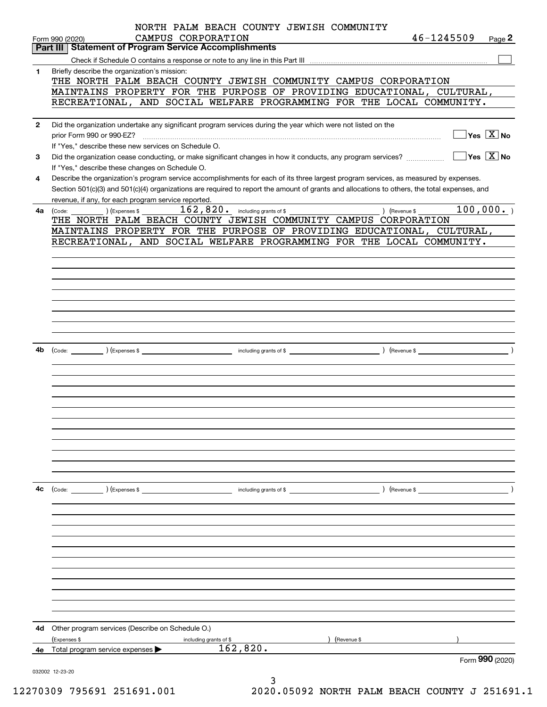|              | NORTH PALM BEACH COUNTY JEWISH COMMUNITY                                                                                                               |  |
|--------------|--------------------------------------------------------------------------------------------------------------------------------------------------------|--|
|              | 46-1245509<br>CAMPUS CORPORATION<br>Page 2<br>Form 990 (2020)                                                                                          |  |
|              | <b>Statement of Program Service Accomplishments</b><br>Part III                                                                                        |  |
|              |                                                                                                                                                        |  |
| 1            | Briefly describe the organization's mission:                                                                                                           |  |
|              | THE NORTH PALM BEACH COUNTY JEWISH COMMUNITY CAMPUS CORPORATION                                                                                        |  |
|              | MAINTAINS PROPERTY FOR THE PURPOSE OF PROVIDING EDUCATIONAL, CULTURAL,                                                                                 |  |
|              | RECREATIONAL, AND SOCIAL WELFARE PROGRAMMING FOR THE LOCAL COMMUNITY.                                                                                  |  |
|              |                                                                                                                                                        |  |
| $\mathbf{2}$ | Did the organization undertake any significant program services during the year which were not listed on the                                           |  |
|              | $\sqrt{\ }$ Yes $\sqrt{\ \text{X}}$ No<br>prior Form 990 or 990-EZ?                                                                                    |  |
|              | If "Yes," describe these new services on Schedule O.                                                                                                   |  |
| 3            | $\sqrt{}$ Yes $\sqrt{}$ X $\sqrt{}$ No<br>Did the organization cease conducting, or make significant changes in how it conducts, any program services? |  |
|              | If "Yes," describe these changes on Schedule O.                                                                                                        |  |
| 4            | Describe the organization's program service accomplishments for each of its three largest program services, as measured by expenses.                   |  |
|              | Section 501(c)(3) and 501(c)(4) organizations are required to report the amount of grants and allocations to others, the total expenses, and           |  |
|              | revenue, if any, for each program service reported.                                                                                                    |  |
| 4a           | 100,000.<br>(Code: $($ ) (Expenses \$ $162, 820$ $\cdot$ including grants of \$ $\cdot$<br>) (Revenue \$                                               |  |
|              | THE NORTH PALM BEACH COUNTY JEWISH COMMUNITY CAMPUS CORPORATION                                                                                        |  |
|              | MAINTAINS PROPERTY FOR THE PURPOSE OF PROVIDING EDUCATIONAL, CULTURAL,                                                                                 |  |
|              | RECREATIONAL, AND SOCIAL WELFARE PROGRAMMING FOR THE LOCAL COMMUNITY.                                                                                  |  |
|              |                                                                                                                                                        |  |
|              |                                                                                                                                                        |  |
|              |                                                                                                                                                        |  |
|              |                                                                                                                                                        |  |
|              |                                                                                                                                                        |  |
|              |                                                                                                                                                        |  |
|              |                                                                                                                                                        |  |
|              |                                                                                                                                                        |  |
|              |                                                                                                                                                        |  |
|              |                                                                                                                                                        |  |
| 4b           |                                                                                                                                                        |  |
|              |                                                                                                                                                        |  |
|              |                                                                                                                                                        |  |
|              |                                                                                                                                                        |  |
|              |                                                                                                                                                        |  |
|              |                                                                                                                                                        |  |
|              |                                                                                                                                                        |  |
|              |                                                                                                                                                        |  |
|              |                                                                                                                                                        |  |
|              |                                                                                                                                                        |  |
|              |                                                                                                                                                        |  |
|              |                                                                                                                                                        |  |
|              |                                                                                                                                                        |  |
| 4c           | ) (Revenue \$<br>$\left(\text{Code:}\right)$ $\left(\text{Expenses $}\right)$<br>including grants of \$                                                |  |
|              |                                                                                                                                                        |  |
|              |                                                                                                                                                        |  |
|              |                                                                                                                                                        |  |
|              |                                                                                                                                                        |  |
|              |                                                                                                                                                        |  |
|              |                                                                                                                                                        |  |
|              |                                                                                                                                                        |  |
|              |                                                                                                                                                        |  |
|              |                                                                                                                                                        |  |
|              |                                                                                                                                                        |  |
|              |                                                                                                                                                        |  |
|              |                                                                                                                                                        |  |
| 4d           | Other program services (Describe on Schedule O.)                                                                                                       |  |
|              | (Expenses \$<br>(Revenue \$<br>including grants of \$                                                                                                  |  |
|              | 162,820.<br>4e Total program service expenses                                                                                                          |  |
|              | Form 990 (2020)                                                                                                                                        |  |
|              | 032002 12-23-20                                                                                                                                        |  |
|              | 3                                                                                                                                                      |  |

12270309 795691 251691.001 2020.05092 NORTH PALM BEACH COUNTY J 251691.1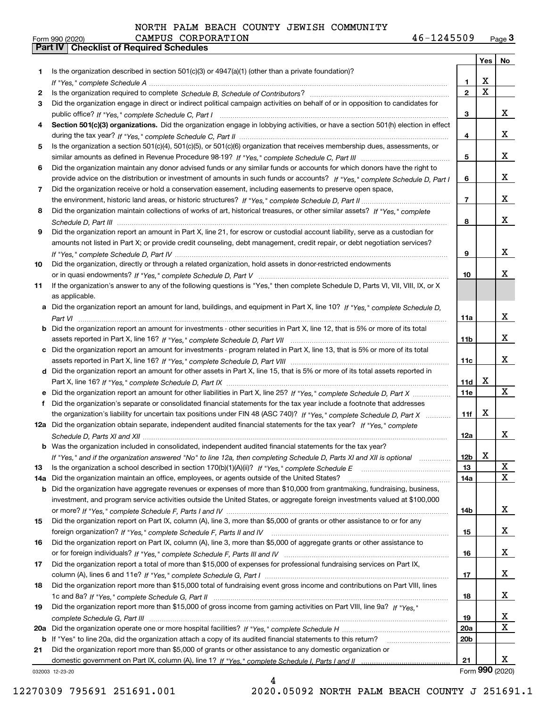|     |                                                                                                                                       |                 | Yes                   | No                    |
|-----|---------------------------------------------------------------------------------------------------------------------------------------|-----------------|-----------------------|-----------------------|
| 1.  | Is the organization described in section $501(c)(3)$ or $4947(a)(1)$ (other than a private foundation)?                               |                 |                       |                       |
|     |                                                                                                                                       | 1.              | х                     |                       |
| 2   |                                                                                                                                       | $\mathbf 2$     | $\overline{\text{x}}$ |                       |
| 3   | Did the organization engage in direct or indirect political campaign activities on behalf of or in opposition to candidates for       |                 |                       |                       |
|     |                                                                                                                                       | 3               |                       | x                     |
| 4   | Section 501(c)(3) organizations. Did the organization engage in lobbying activities, or have a section 501(h) election in effect      |                 |                       |                       |
|     |                                                                                                                                       | 4               |                       | x                     |
| 5   | Is the organization a section 501(c)(4), 501(c)(5), or 501(c)(6) organization that receives membership dues, assessments, or          |                 |                       |                       |
|     |                                                                                                                                       | 5               |                       | x                     |
| 6   | Did the organization maintain any donor advised funds or any similar funds or accounts for which donors have the right to             |                 |                       | x                     |
| 7   | provide advice on the distribution or investment of amounts in such funds or accounts? If "Yes," complete Schedule D, Part I          | 6               |                       |                       |
|     | Did the organization receive or hold a conservation easement, including easements to preserve open space,                             | $\overline{7}$  |                       | x                     |
| 8   | Did the organization maintain collections of works of art, historical treasures, or other similar assets? If "Yes," complete          |                 |                       |                       |
|     |                                                                                                                                       | 8               |                       | x                     |
| 9   | Did the organization report an amount in Part X, line 21, for escrow or custodial account liability, serve as a custodian for         |                 |                       |                       |
|     | amounts not listed in Part X; or provide credit counseling, debt management, credit repair, or debt negotiation services?             |                 |                       |                       |
|     |                                                                                                                                       | 9               |                       | x                     |
| 10  | Did the organization, directly or through a related organization, hold assets in donor-restricted endowments                          |                 |                       |                       |
|     |                                                                                                                                       | 10              |                       | х                     |
| 11  | If the organization's answer to any of the following questions is "Yes," then complete Schedule D, Parts VI, VII, VIII, IX, or X      |                 |                       |                       |
|     | as applicable.                                                                                                                        |                 |                       |                       |
|     | a Did the organization report an amount for land, buildings, and equipment in Part X, line 10? If "Yes," complete Schedule D,         |                 |                       |                       |
|     |                                                                                                                                       | 11a             |                       | x                     |
|     | <b>b</b> Did the organization report an amount for investments - other securities in Part X, line 12, that is 5% or more of its total |                 |                       |                       |
|     |                                                                                                                                       | 11b             |                       | x                     |
|     | c Did the organization report an amount for investments - program related in Part X, line 13, that is 5% or more of its total         |                 |                       |                       |
|     |                                                                                                                                       | 11c             |                       | x                     |
|     | d Did the organization report an amount for other assets in Part X, line 15, that is 5% or more of its total assets reported in       | 11d             | х                     |                       |
|     | e Did the organization report an amount for other liabilities in Part X, line 25? If "Yes," complete Schedule D, Part X               | <b>11e</b>      |                       | X                     |
| f   | Did the organization's separate or consolidated financial statements for the tax year include a footnote that addresses               |                 |                       |                       |
|     | the organization's liability for uncertain tax positions under FIN 48 (ASC 740)? If "Yes," complete Schedule D, Part X                | 11f             | х                     |                       |
|     | 12a Did the organization obtain separate, independent audited financial statements for the tax year? If "Yes," complete               |                 |                       |                       |
|     |                                                                                                                                       | 12a             |                       | X                     |
|     | <b>b</b> Was the organization included in consolidated, independent audited financial statements for the tax year?                    |                 |                       |                       |
|     | If "Yes," and if the organization answered "No" to line 12a, then completing Schedule D, Parts XI and XII is optional                 | 12b             | x                     |                       |
| 13  |                                                                                                                                       | 13              |                       | $\mathbf{X}$          |
| 14a | Did the organization maintain an office, employees, or agents outside of the United States?                                           | 14a             |                       | $\overline{\text{x}}$ |
|     | b Did the organization have aggregate revenues or expenses of more than \$10,000 from grantmaking, fundraising, business,             |                 |                       |                       |
|     | investment, and program service activities outside the United States, or aggregate foreign investments valued at \$100,000            |                 |                       |                       |
|     |                                                                                                                                       | 14b             |                       | x                     |
| 15  | Did the organization report on Part IX, column (A), line 3, more than \$5,000 of grants or other assistance to or for any             |                 |                       |                       |
|     |                                                                                                                                       | 15              |                       | X                     |
| 16  | Did the organization report on Part IX, column (A), line 3, more than \$5,000 of aggregate grants or other assistance to              | 16              |                       | X                     |
| 17  | Did the organization report a total of more than \$15,000 of expenses for professional fundraising services on Part IX,               |                 |                       |                       |
|     |                                                                                                                                       | 17              |                       | X                     |
| 18  | Did the organization report more than \$15,000 total of fundraising event gross income and contributions on Part VIII, lines          |                 |                       |                       |
|     |                                                                                                                                       | 18              |                       | x                     |
| 19  | Did the organization report more than \$15,000 of gross income from gaming activities on Part VIII, line 9a? If "Yes."                |                 |                       |                       |
|     |                                                                                                                                       | 19              |                       | x                     |
|     |                                                                                                                                       | 20a             |                       | $\mathbf X$           |
|     | b If "Yes" to line 20a, did the organization attach a copy of its audited financial statements to this return?                        | 20 <sub>b</sub> |                       |                       |
| 21  | Did the organization report more than \$5,000 of grants or other assistance to any domestic organization or                           |                 |                       |                       |
|     |                                                                                                                                       | 21              |                       | x                     |
|     | 032003 12-23-20                                                                                                                       |                 | Form 990 (2020)       |                       |

032003 12-23-20

4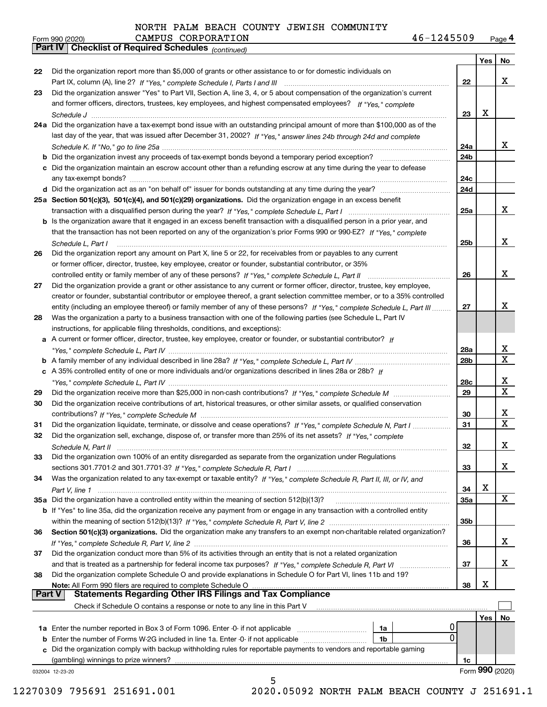*(continued)*

|        |                                                                                                                              |                 | Yes | No                      |
|--------|------------------------------------------------------------------------------------------------------------------------------|-----------------|-----|-------------------------|
| 22     | Did the organization report more than \$5,000 of grants or other assistance to or for domestic individuals on                |                 |     |                         |
|        |                                                                                                                              | 22              |     | x                       |
| 23     | Did the organization answer "Yes" to Part VII, Section A, line 3, 4, or 5 about compensation of the organization's current   |                 |     |                         |
|        | and former officers, directors, trustees, key employees, and highest compensated employees? If "Yes," complete               |                 |     |                         |
|        |                                                                                                                              | 23              | x   |                         |
|        | 24a Did the organization have a tax-exempt bond issue with an outstanding principal amount of more than \$100,000 as of the  |                 |     |                         |
|        | last day of the year, that was issued after December 31, 2002? If "Yes," answer lines 24b through 24d and complete           |                 |     |                         |
|        |                                                                                                                              | 24a             |     | X.                      |
|        | <b>b</b> Did the organization invest any proceeds of tax-exempt bonds beyond a temporary period exception?                   | 24 <sub>b</sub> |     |                         |
|        | c Did the organization maintain an escrow account other than a refunding escrow at any time during the year to defease       |                 |     |                         |
|        |                                                                                                                              | 24c             |     |                         |
|        |                                                                                                                              | 24d             |     |                         |
|        | 25a Section 501(c)(3), 501(c)(4), and 501(c)(29) organizations. Did the organization engage in an excess benefit             |                 |     |                         |
|        |                                                                                                                              | 25a             |     | x                       |
|        | b Is the organization aware that it engaged in an excess benefit transaction with a disqualified person in a prior year, and |                 |     |                         |
|        | that the transaction has not been reported on any of the organization's prior Forms 990 or 990-EZ? If "Yes," complete        |                 |     |                         |
|        | Schedule L. Part I                                                                                                           | 25b             |     | x                       |
| 26     | Did the organization report any amount on Part X, line 5 or 22, for receivables from or payables to any current              |                 |     |                         |
|        | or former officer, director, trustee, key employee, creator or founder, substantial contributor, or 35%                      |                 |     |                         |
|        | controlled entity or family member of any of these persons? If "Yes," complete Schedule L, Part II                           | 26              |     | x                       |
| 27     | Did the organization provide a grant or other assistance to any current or former officer, director, trustee, key employee,  |                 |     |                         |
|        | creator or founder, substantial contributor or employee thereof, a grant selection committee member, or to a 35% controlled  |                 |     |                         |
|        | entity (including an employee thereof) or family member of any of these persons? If "Yes," complete Schedule L, Part III     | 27              |     | x                       |
| 28     | Was the organization a party to a business transaction with one of the following parties (see Schedule L, Part IV            |                 |     |                         |
|        | instructions, for applicable filing thresholds, conditions, and exceptions):                                                 |                 |     |                         |
|        | a A current or former officer, director, trustee, key employee, creator or founder, or substantial contributor? If           |                 |     |                         |
|        |                                                                                                                              | 28a             |     | x                       |
|        |                                                                                                                              | 28 <sub>b</sub> |     | X                       |
|        | c A 35% controlled entity of one or more individuals and/or organizations described in lines 28a or 28b? If                  |                 |     |                         |
|        | "Yes," complete Schedule L, Part IV …………………………………………………………………                                                                | 28c             |     | х                       |
| 29     |                                                                                                                              | 29              |     | $\overline{\mathbf{x}}$ |
| 30     | Did the organization receive contributions of art, historical treasures, or other similar assets, or qualified conservation  |                 |     |                         |
|        |                                                                                                                              | 30              |     | x                       |
| 31     | Did the organization liquidate, terminate, or dissolve and cease operations? If "Yes," complete Schedule N, Part I           | 31              |     | $\mathbf X$             |
| 32     | Did the organization sell, exchange, dispose of, or transfer more than 25% of its net assets? If "Yes," complete             |                 |     |                         |
|        |                                                                                                                              | 32              |     | х                       |
| 33     | Did the organization own 100% of an entity disregarded as separate from the organization under Regulations                   |                 |     |                         |
|        |                                                                                                                              | 33              |     | x                       |
| 34     | Was the organization related to any tax-exempt or taxable entity? If "Yes," complete Schedule R, Part II, III, or IV, and    |                 |     |                         |
|        |                                                                                                                              | 34              | х   | X                       |
|        | 35a Did the organization have a controlled entity within the meaning of section 512(b)(13)?                                  | <b>35a</b>      |     |                         |
|        | b If "Yes" to line 35a, did the organization receive any payment from or engage in any transaction with a controlled entity  |                 |     |                         |
|        |                                                                                                                              | 35b             |     |                         |
| 36     | Section 501(c)(3) organizations. Did the organization make any transfers to an exempt non-charitable related organization?   | 36              |     | x                       |
| 37     | Did the organization conduct more than 5% of its activities through an entity that is not a related organization             |                 |     |                         |
|        |                                                                                                                              | 37              |     | x                       |
| 38     | Did the organization complete Schedule O and provide explanations in Schedule O for Part VI, lines 11b and 19?               |                 |     |                         |
|        | Note: All Form 990 filers are required to complete Schedule O                                                                | 38              | х   |                         |
| Part V | <b>Statements Regarding Other IRS Filings and Tax Compliance</b>                                                             |                 |     |                         |
|        | Check if Schedule O contains a response or note to any line in this Part V                                                   |                 |     |                         |
|        |                                                                                                                              |                 | Yes | No                      |
|        | 1a Enter the number reported in Box 3 of Form 1096. Enter -0- if not applicable<br>1a                                        |                 |     |                         |
| b      | 0<br>Enter the number of Forms W-2G included in line 1a. Enter -0- if not applicable<br>1b                                   |                 |     |                         |
| с      | Did the organization comply with backup withholding rules for reportable payments to vendors and reportable gaming           |                 |     |                         |
|        | (gambling) winnings to prize winners?                                                                                        | 1c              |     |                         |
|        | 032004 12-23-20                                                                                                              |                 |     | Form 990 (2020)         |
|        | 5                                                                                                                            |                 |     |                         |

12270309 795691 251691.001 2020.05092 NORTH PALM BEACH COUNTY J 251691.1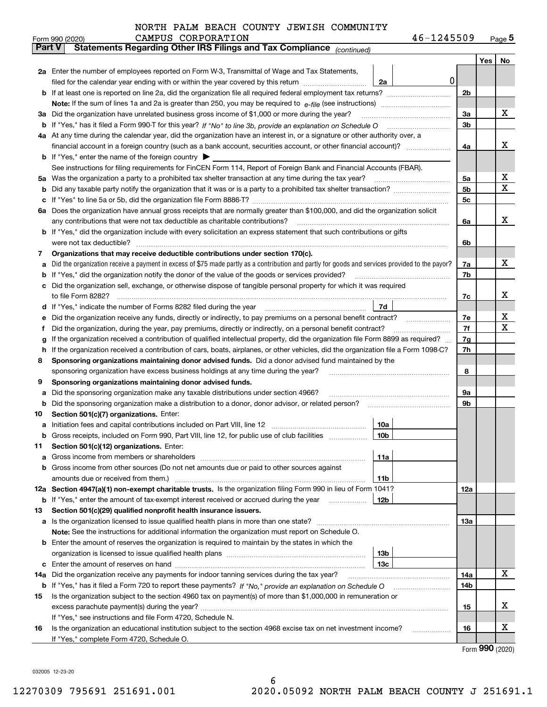| 46-1245509<br>Page $5$ |  |
|------------------------|--|
|------------------------|--|

|               | 46-1245509<br>CAMPUS CORPORATION<br>Form 990 (2020)                                                                                                                                                                                  |                |     | $_{\text{Page}}$ 5    |
|---------------|--------------------------------------------------------------------------------------------------------------------------------------------------------------------------------------------------------------------------------------|----------------|-----|-----------------------|
| <b>Part V</b> | Statements Regarding Other IRS Filings and Tax Compliance (continued)                                                                                                                                                                |                |     |                       |
|               |                                                                                                                                                                                                                                      |                | Yes | No                    |
|               | 2a Enter the number of employees reported on Form W-3, Transmittal of Wage and Tax Statements,                                                                                                                                       |                |     |                       |
|               | filed for the calendar year ending with or within the year covered by this return <i>manumumumum</i><br>2a                                                                                                                           | 0              |     |                       |
| b             |                                                                                                                                                                                                                                      | 2b             |     |                       |
|               |                                                                                                                                                                                                                                      |                |     |                       |
|               | 3a Did the organization have unrelated business gross income of \$1,000 or more during the year?                                                                                                                                     | 3a             |     | х                     |
|               |                                                                                                                                                                                                                                      | 3 <sub>b</sub> |     |                       |
|               | 4a At any time during the calendar year, did the organization have an interest in, or a signature or other authority over, a                                                                                                         |                |     |                       |
|               |                                                                                                                                                                                                                                      | 4a             |     | x                     |
|               | <b>b</b> If "Yes," enter the name of the foreign country $\blacktriangleright$                                                                                                                                                       |                |     |                       |
|               |                                                                                                                                                                                                                                      |                |     |                       |
|               | See instructions for filing requirements for FinCEN Form 114, Report of Foreign Bank and Financial Accounts (FBAR).                                                                                                                  |                |     | х                     |
| 5а            | Was the organization a party to a prohibited tax shelter transaction at any time during the tax year?                                                                                                                                | 5a             |     | X                     |
| b             |                                                                                                                                                                                                                                      | 5b             |     |                       |
| c             |                                                                                                                                                                                                                                      | 5c             |     |                       |
|               | 6a Does the organization have annual gross receipts that are normally greater than \$100,000, and did the organization solicit                                                                                                       |                |     |                       |
|               | any contributions that were not tax deductible as charitable contributions?                                                                                                                                                          | 6a             |     | x                     |
|               | <b>b</b> If "Yes," did the organization include with every solicitation an express statement that such contributions or gifts                                                                                                        |                |     |                       |
|               | were not tax deductible?                                                                                                                                                                                                             | 6b             |     |                       |
| 7             | Organizations that may receive deductible contributions under section 170(c).                                                                                                                                                        |                |     |                       |
| а             | Did the organization receive a payment in excess of \$75 made partly as a contribution and partly for goods and services provided to the payor?                                                                                      | 7a             |     | х                     |
| b             | If "Yes," did the organization notify the donor of the value of the goods or services provided?                                                                                                                                      | 7b             |     |                       |
| с             | Did the organization sell, exchange, or otherwise dispose of tangible personal property for which it was required                                                                                                                    |                |     |                       |
|               |                                                                                                                                                                                                                                      | 7c             |     | х                     |
|               | 7d<br>d If "Yes," indicate the number of Forms 8282 filed during the year manufactured in the second of the second structure of Forms 8282 filed during the year manufactured in the Second Structure of the Second Structure of the |                |     |                       |
| е             | Did the organization receive any funds, directly or indirectly, to pay premiums on a personal benefit contract?                                                                                                                      | 7e             |     | х                     |
| f             | Did the organization, during the year, pay premiums, directly or indirectly, on a personal benefit contract?                                                                                                                         | 7f             |     | х                     |
| g             | If the organization received a contribution of qualified intellectual property, did the organization file Form 8899 as required?                                                                                                     | 7g             |     |                       |
| h.            | If the organization received a contribution of cars, boats, airplanes, or other vehicles, did the organization file a Form 1098-C?                                                                                                   | 7h             |     |                       |
| 8             | Sponsoring organizations maintaining donor advised funds. Did a donor advised fund maintained by the                                                                                                                                 |                |     |                       |
|               | sponsoring organization have excess business holdings at any time during the year?                                                                                                                                                   | 8              |     |                       |
|               |                                                                                                                                                                                                                                      |                |     |                       |
| 9             | Sponsoring organizations maintaining donor advised funds.                                                                                                                                                                            |                |     |                       |
| а             | Did the sponsoring organization make any taxable distributions under section 4966?                                                                                                                                                   | 9а             |     |                       |
| b             | Did the sponsoring organization make a distribution to a donor, donor advisor, or related person?                                                                                                                                    | 9b             |     |                       |
| 10            | Section 501(c)(7) organizations. Enter:                                                                                                                                                                                              |                |     |                       |
|               | 10a                                                                                                                                                                                                                                  |                |     |                       |
|               | 10 <sub>b</sub><br>Gross receipts, included on Form 990, Part VIII, line 12, for public use of club facilities                                                                                                                       |                |     |                       |
| 11            | Section 501(c)(12) organizations. Enter:                                                                                                                                                                                             |                |     |                       |
| а             | Gross income from members or shareholders<br>11a                                                                                                                                                                                     |                |     |                       |
| b             | Gross income from other sources (Do not net amounts due or paid to other sources against                                                                                                                                             |                |     |                       |
|               | 11b                                                                                                                                                                                                                                  |                |     |                       |
|               | 12a Section 4947(a)(1) non-exempt charitable trusts. Is the organization filing Form 990 in lieu of Form 1041?                                                                                                                       | 12a            |     |                       |
|               | 12b<br><b>b</b> If "Yes," enter the amount of tax-exempt interest received or accrued during the year                                                                                                                                |                |     |                       |
| 13            | Section 501(c)(29) qualified nonprofit health insurance issuers.                                                                                                                                                                     |                |     |                       |
|               | a Is the organization licensed to issue qualified health plans in more than one state?                                                                                                                                               | 13a            |     |                       |
|               | Note: See the instructions for additional information the organization must report on Schedule O.                                                                                                                                    |                |     |                       |
| b             | Enter the amount of reserves the organization is required to maintain by the states in which the                                                                                                                                     |                |     |                       |
|               | 13 <sub>b</sub>                                                                                                                                                                                                                      |                |     |                       |
| c             | 13c                                                                                                                                                                                                                                  |                |     |                       |
| 14a           | Did the organization receive any payments for indoor tanning services during the tax year?                                                                                                                                           | 14a            |     | X                     |
|               | <b>b</b> If "Yes," has it filed a Form 720 to report these payments? If "No," provide an explanation on Schedule O                                                                                                                   | 14b            |     |                       |
|               | Is the organization subject to the section 4960 tax on payment(s) of more than \$1,000,000 in remuneration or                                                                                                                        |                |     |                       |
| 15            |                                                                                                                                                                                                                                      |                |     | х                     |
|               | excess parachute payment(s) during the year?                                                                                                                                                                                         | 15             |     |                       |
|               | If "Yes," see instructions and file Form 4720, Schedule N.                                                                                                                                                                           |                |     |                       |
| 16            | Is the organization an educational institution subject to the section 4968 excise tax on net investment income?                                                                                                                      | 16             |     | х                     |
|               | If "Yes," complete Form 4720, Schedule O.                                                                                                                                                                                            |                |     | $000 \; \text{const}$ |

Form (2020) **990**

032005 12-23-20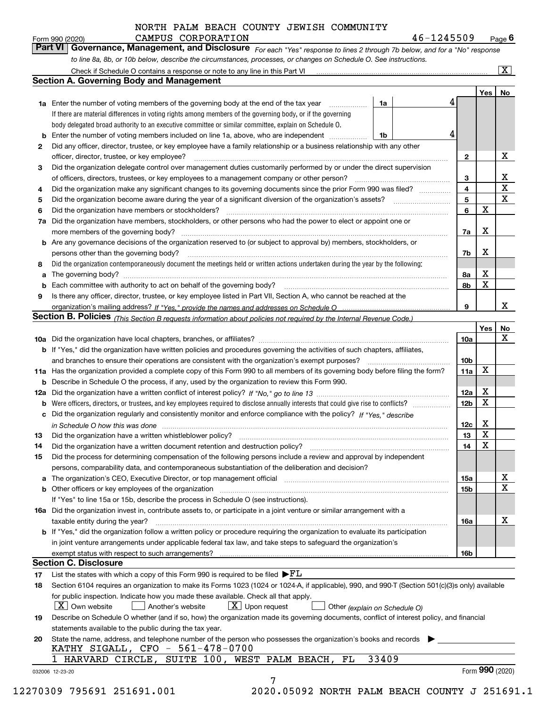| Form 990 (2020) | CAMPUS CORPORATION                                                                                               | 46-1245509                                                                                                                    | $P$ age $6$             |
|-----------------|------------------------------------------------------------------------------------------------------------------|-------------------------------------------------------------------------------------------------------------------------------|-------------------------|
|                 |                                                                                                                  | Part VI   Governance, Management, and Disclosure For each "Yes" response to lines 2 through 7b below, and for a "No" response |                         |
|                 | to line 8a, 8b, or 10b below, describe the circumstances, processes, or changes on Schedule O. See instructions. |                                                                                                                               |                         |
|                 | Check if Schedule O contains a response or note to any line in this Part VI                                      |                                                                                                                               | $\overline{\mathbf{X}}$ |

|    |                                                                                                                                                                                                                               |                               | 4 |              | Yes | No                      |
|----|-------------------------------------------------------------------------------------------------------------------------------------------------------------------------------------------------------------------------------|-------------------------------|---|--------------|-----|-------------------------|
|    | <b>1a</b> Enter the number of voting members of the governing body at the end of the tax year<br>.<br>If there are material differences in voting rights among members of the governing body, or if the governing             | 1a                            |   |              |     |                         |
|    | body delegated broad authority to an executive committee or similar committee, explain on Schedule O.                                                                                                                         |                               |   |              |     |                         |
|    | Enter the number of voting members included on line 1a, above, who are independent <i>manumum</i>                                                                                                                             | 1b                            | 4 |              |     |                         |
| 2  | Did any officer, director, trustee, or key employee have a family relationship or a business relationship with any other                                                                                                      |                               |   |              |     |                         |
|    |                                                                                                                                                                                                                               |                               |   |              |     | х                       |
|    | officer, director, trustee, or key employee?                                                                                                                                                                                  |                               |   | $\mathbf{2}$ |     |                         |
| 3  | Did the organization delegate control over management duties customarily performed by or under the direct supervision<br>of officers, directors, trustees, or key employees to a management company or other person?          |                               |   |              |     | X                       |
|    | Did the organization make any significant changes to its governing documents since the prior Form 990 was filed?                                                                                                              |                               |   | 3<br>4       |     | $\overline{\textbf{X}}$ |
| 4  |                                                                                                                                                                                                                               |                               |   | 5            |     | $\mathbf X$             |
| 5  |                                                                                                                                                                                                                               |                               |   | 6            | X   |                         |
| 6  | Did the organization have members or stockholders?                                                                                                                                                                            |                               |   |              |     |                         |
| 7a | Did the organization have members, stockholders, or other persons who had the power to elect or appoint one or                                                                                                                |                               |   |              | x   |                         |
|    |                                                                                                                                                                                                                               |                               |   | 7a           |     |                         |
|    | <b>b</b> Are any governance decisions of the organization reserved to (or subject to approval by) members, stockholders, or                                                                                                   |                               |   |              | X   |                         |
|    | persons other than the governing body?                                                                                                                                                                                        |                               |   | 7b           |     |                         |
| 8  | Did the organization contemporaneously document the meetings held or written actions undertaken during the year by the following:                                                                                             |                               |   |              |     |                         |
| a  |                                                                                                                                                                                                                               |                               |   | 8a           | х   |                         |
| b  |                                                                                                                                                                                                                               |                               |   | 8b           | X   |                         |
| 9  | Is there any officer, director, trustee, or key employee listed in Part VII, Section A, who cannot be reached at the                                                                                                          |                               |   |              |     |                         |
|    |                                                                                                                                                                                                                               |                               |   | 9            |     | x                       |
|    | Section B. Policies (This Section B requests information about policies not required by the Internal Revenue Code.)                                                                                                           |                               |   |              |     |                         |
|    |                                                                                                                                                                                                                               |                               |   |              | Yes | No<br>X                 |
|    |                                                                                                                                                                                                                               |                               |   | 10a          |     |                         |
|    | b If "Yes," did the organization have written policies and procedures governing the activities of such chapters, affiliates,                                                                                                  |                               |   |              |     |                         |
|    | and branches to ensure their operations are consistent with the organization's exempt purposes?                                                                                                                               |                               |   | 10b          |     |                         |
|    | 11a Has the organization provided a complete copy of this Form 990 to all members of its governing body before filing the form?                                                                                               |                               |   | 11a          | X   |                         |
|    | <b>b</b> Describe in Schedule O the process, if any, used by the organization to review this Form 990.                                                                                                                        |                               |   |              |     |                         |
|    |                                                                                                                                                                                                                               |                               |   | 12a          | X   |                         |
| b  |                                                                                                                                                                                                                               |                               |   | 12b          | X   |                         |
| c  | Did the organization regularly and consistently monitor and enforce compliance with the policy? If "Yes," describe                                                                                                            |                               |   |              |     |                         |
|    | in Schedule O how this was done with the continuum control to the control of the control of the control of the                                                                                                                |                               |   | 12c          | X   |                         |
| 13 |                                                                                                                                                                                                                               |                               |   | 13           | X   |                         |
| 14 | Did the organization have a written document retention and destruction policy? manufactured and the organization have a written document retention and destruction policy?                                                    |                               |   | 14           | X   |                         |
| 15 | Did the process for determining compensation of the following persons include a review and approval by independent                                                                                                            |                               |   |              |     |                         |
|    | persons, comparability data, and contemporaneous substantiation of the deliberation and decision?                                                                                                                             |                               |   |              |     |                         |
|    | a The organization's CEO, Executive Director, or top management official [111] [11] manument manument contains the organization's CEO, Executive Director, or top management official [11] manument contains the organization |                               |   | 15a          |     | х                       |
|    | <b>b</b> Other officers or key employees of the organization                                                                                                                                                                  |                               |   | 15b          |     | $\mathbf X$             |
|    | If "Yes" to line 15a or 15b, describe the process in Schedule O (see instructions).                                                                                                                                           |                               |   |              |     |                         |
|    | 16a Did the organization invest in, contribute assets to, or participate in a joint venture or similar arrangement with a                                                                                                     |                               |   |              |     |                         |
|    | taxable entity during the year?                                                                                                                                                                                               |                               |   | 16a          |     | х                       |
|    | b If "Yes," did the organization follow a written policy or procedure requiring the organization to evaluate its participation                                                                                                |                               |   |              |     |                         |
|    | in joint venture arrangements under applicable federal tax law, and take steps to safequard the organization's                                                                                                                |                               |   |              |     |                         |
|    |                                                                                                                                                                                                                               |                               |   | 16b          |     |                         |
|    | <b>Section C. Disclosure</b>                                                                                                                                                                                                  |                               |   |              |     |                         |
| 17 | List the states with which a copy of this Form 990 is required to be filed $\blacktriangleright$ $\underline{FL}$                                                                                                             |                               |   |              |     |                         |
| 18 | Section 6104 requires an organization to make its Forms 1023 (1024 or 1024-A, if applicable), 990, and 990-T (Section 501(c)(3)s only) available                                                                              |                               |   |              |     |                         |
|    | for public inspection. Indicate how you made these available. Check all that apply.                                                                                                                                           |                               |   |              |     |                         |
|    | $\mid$ $\rm X \mid$ Own website<br>$\lfloor x \rfloor$ Upon request<br>Another's website                                                                                                                                      | Other (explain on Schedule O) |   |              |     |                         |
| 19 | Describe on Schedule O whether (and if so, how) the organization made its governing documents, conflict of interest policy, and financial                                                                                     |                               |   |              |     |                         |
|    | statements available to the public during the tax year.                                                                                                                                                                       |                               |   |              |     |                         |
| 20 | State the name, address, and telephone number of the person who possesses the organization's books and records                                                                                                                |                               |   |              |     |                         |
|    | KATHY SIGALL, CFO - 561-478-0700                                                                                                                                                                                              |                               |   |              |     |                         |
|    | 1 HARVARD CIRCLE, SUITE 100, WEST PALM BEACH,<br>FL                                                                                                                                                                           | 33409                         |   |              |     |                         |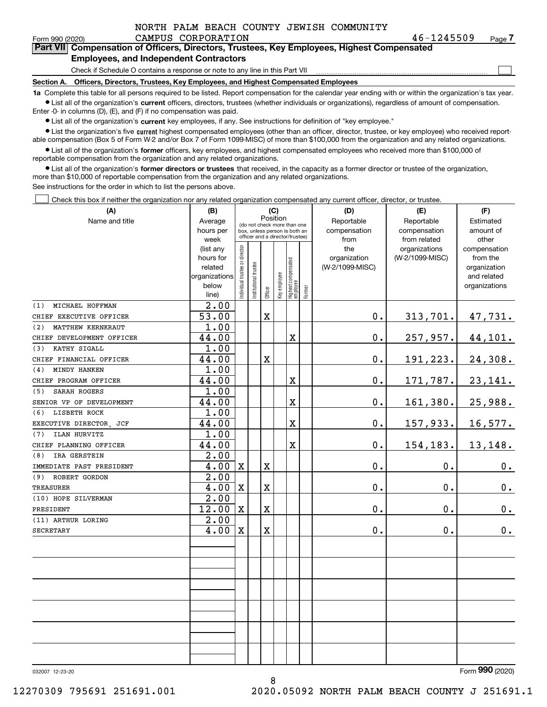| NORTH PALM BEACH COUNTY JEWISH COMMUNITY |  |
|------------------------------------------|--|
|------------------------------------------|--|

 $\mathcal{L}^{\text{max}}$ 

| Form 990 (2020) |                                               | CAMPUS CORPORATION | 46-1245509                                                                                 | Page 7 |
|-----------------|-----------------------------------------------|--------------------|--------------------------------------------------------------------------------------------|--------|
|                 |                                               |                    | Part VII Compensation of Officers, Directors, Trustees, Key Employees, Highest Compensated |        |
|                 | <b>Employees, and Independent Contractors</b> |                    |                                                                                            |        |

Check if Schedule O contains a response or note to any line in this Part VII

**Section A. Officers, Directors, Trustees, Key Employees, and Highest Compensated Employees**

**1a**  Complete this table for all persons required to be listed. Report compensation for the calendar year ending with or within the organization's tax year. **•** List all of the organization's current officers, directors, trustees (whether individuals or organizations), regardless of amount of compensation.

Enter -0- in columns (D), (E), and (F) if no compensation was paid.

 $\bullet$  List all of the organization's  $\,$ current key employees, if any. See instructions for definition of "key employee."

**•** List the organization's five current highest compensated employees (other than an officer, director, trustee, or key employee) who received reportable compensation (Box 5 of Form W-2 and/or Box 7 of Form 1099-MISC) of more than \$100,000 from the organization and any related organizations.

**•** List all of the organization's former officers, key employees, and highest compensated employees who received more than \$100,000 of reportable compensation from the organization and any related organizations.

**former directors or trustees**  ¥ List all of the organization's that received, in the capacity as a former director or trustee of the organization, more than \$10,000 of reportable compensation from the organization and any related organizations.

See instructions for the order in which to list the persons above.

Check this box if neither the organization nor any related organization compensated any current officer, director, or trustee.  $\mathcal{L}^{\text{max}}$ 

| (A)                       | (C)<br>(B)        |                               |                                                                                                 |             |              |                                   |           | (D)             | (E)             | (F)           |
|---------------------------|-------------------|-------------------------------|-------------------------------------------------------------------------------------------------|-------------|--------------|-----------------------------------|-----------|-----------------|-----------------|---------------|
| Name and title            | Average           |                               |                                                                                                 | Position    |              |                                   |           | Reportable      | Reportable      | Estimated     |
|                           | hours per         |                               | (do not check more than one<br>box, unless person is both an<br>officer and a director/trustee) |             | compensation | compensation                      | amount of |                 |                 |               |
|                           | week              |                               |                                                                                                 |             |              |                                   |           | from            | from related    | other         |
|                           | (list any         |                               |                                                                                                 |             |              |                                   |           | the             | organizations   | compensation  |
|                           | hours for         |                               |                                                                                                 |             |              |                                   |           | organization    | (W-2/1099-MISC) | from the      |
|                           | related           |                               |                                                                                                 |             |              |                                   |           | (W-2/1099-MISC) |                 | organization  |
|                           | organizations     |                               |                                                                                                 |             |              |                                   |           |                 |                 | and related   |
|                           | below<br>line)    | ndividual trustee or director | nstitutional trustee                                                                            | Officer     | key employee | Highest compensated<br>  employee | Former    |                 |                 | organizations |
| MICHAEL HOFFMAN<br>(1)    | 2.00              |                               |                                                                                                 |             |              |                                   |           |                 |                 |               |
| CHIEF EXECUTIVE OFFICER   | 53.00             |                               |                                                                                                 | $\mathbf X$ |              |                                   |           | $0$ .           | 313,701.        | 47,731.       |
| MATTHEW KERNKRAUT<br>(2)  | 1.00              |                               |                                                                                                 |             |              |                                   |           |                 |                 |               |
| CHIEF DEVELOPMENT OFFICER | 44.00             |                               |                                                                                                 |             |              | X                                 |           | $0$ .           | 257,957.        | 44,101.       |
| KATHY SIGALL<br>(3)       | 1.00              |                               |                                                                                                 |             |              |                                   |           |                 |                 |               |
| CHIEF FINANCIAL OFFICER   | 44.00             |                               |                                                                                                 | X           |              |                                   |           | 0.              | 191,223.        | 24,308.       |
| MINDY HANKEN<br>(4)       | 1.00              |                               |                                                                                                 |             |              |                                   |           |                 |                 |               |
| CHIEF PROGRAM OFFICER     | 44.00             |                               |                                                                                                 |             |              | $\overline{\textbf{X}}$           |           | 0.              | 171,787.        | 23,141.       |
| SARAH ROGERS<br>(5)       | 1.00              |                               |                                                                                                 |             |              |                                   |           |                 |                 |               |
| SENIOR VP OF DEVELOPMENT  | 44.00             |                               |                                                                                                 |             |              | $\overline{\textbf{X}}$           |           | $0$ .           | 161,380.        | 25,988.       |
| LISBETH ROCK<br>(6)       | 1.00              |                               |                                                                                                 |             |              |                                   |           |                 |                 |               |
| EXECUTIVE DIRECTOR, JCF   | 44.00             |                               |                                                                                                 |             |              | X                                 |           | 0.              | 157,933.        | 16,577.       |
| ILAN HURVITZ<br>(7)       | 1.00              |                               |                                                                                                 |             |              |                                   |           |                 |                 |               |
| CHIEF PLANNING OFFICER    | 44.00             |                               |                                                                                                 |             |              | $\overline{\textbf{X}}$           |           | $0$ .           | 154,183.        | 13,148.       |
| IRA GERSTEIN<br>(8)       | 2.00              |                               |                                                                                                 |             |              |                                   |           |                 |                 |               |
| IMMEDIATE PAST PRESIDENT  | 4.00              | $\mathbf X$                   |                                                                                                 | X           |              |                                   |           | 0.              | 0.              | 0.            |
| (9) ROBERT GORDON         | 2.00              |                               |                                                                                                 |             |              |                                   |           |                 |                 |               |
| <b>TREASURER</b>          | 4.00              | $\mathbf X$                   |                                                                                                 | X           |              |                                   |           | 0.              | 0.              | $\mathbf 0$ . |
| (10) HOPE SILVERMAN       | $\overline{2.00}$ |                               |                                                                                                 |             |              |                                   |           |                 |                 |               |
| PRESIDENT                 | 12.00             | $\mathbf X$                   |                                                                                                 | X           |              |                                   |           | 0.              | 0.              | $\mathbf 0$ . |
| (11) ARTHUR LORING        | 2.00              |                               |                                                                                                 |             |              |                                   |           |                 |                 |               |
| <b>SECRETARY</b>          | 4.00              | $\mathbf X$                   |                                                                                                 | X           |              |                                   |           | 0.              | 0.              | 0.            |
|                           |                   |                               |                                                                                                 |             |              |                                   |           |                 |                 |               |
|                           |                   |                               |                                                                                                 |             |              |                                   |           |                 |                 |               |
|                           |                   |                               |                                                                                                 |             |              |                                   |           |                 |                 |               |
|                           |                   |                               |                                                                                                 |             |              |                                   |           |                 |                 |               |
|                           |                   |                               |                                                                                                 |             |              |                                   |           |                 |                 |               |
|                           |                   |                               |                                                                                                 |             |              |                                   |           |                 |                 |               |
|                           |                   |                               |                                                                                                 |             |              |                                   |           |                 |                 |               |
|                           |                   |                               |                                                                                                 |             |              |                                   |           |                 |                 |               |
|                           |                   |                               |                                                                                                 |             |              |                                   |           |                 |                 |               |
|                           |                   |                               |                                                                                                 |             |              |                                   |           |                 |                 |               |

032007 12-23-20

Form (2020) **990**

12270309 795691 251691.001 2020.05092 NORTH PALM BEACH COUNTY J 251691.1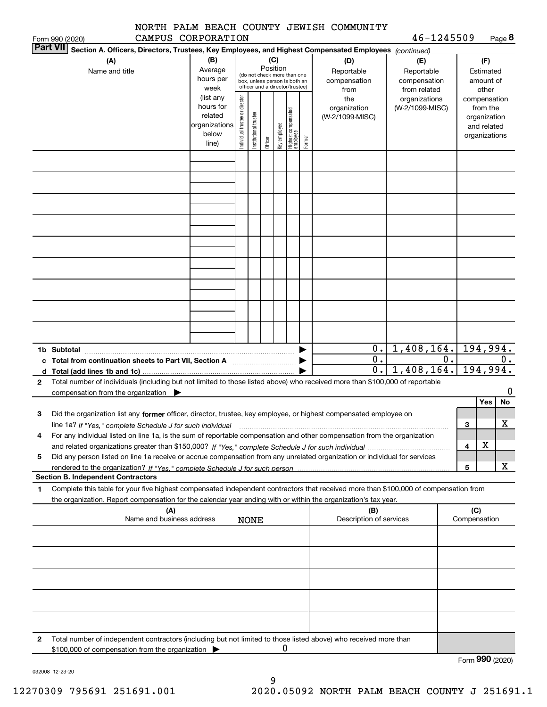|                    |  |  | NORTH PALM BEACH COUNTY JEWISH COMMUNITY |  |
|--------------------|--|--|------------------------------------------|--|
| CAMPUS CORPORATION |  |  |                                          |  |

**8**46-1245509

|              | CAMPUS CORPORATION<br>Form 990 (2020)                                                                                                                |                        |                                |                                 |         |              |                                  |        |                         | $46 - 1245509$  |              |               | Page <b>ö</b> |
|--------------|------------------------------------------------------------------------------------------------------------------------------------------------------|------------------------|--------------------------------|---------------------------------|---------|--------------|----------------------------------|--------|-------------------------|-----------------|--------------|---------------|---------------|
|              | <b>Part VII</b><br>Section A. Officers, Directors, Trustees, Key Employees, and Highest Compensated Employees (continued)                            |                        |                                |                                 |         |              |                                  |        |                         |                 |              |               |               |
|              | (A)                                                                                                                                                  | (B)                    |                                |                                 | (C)     |              |                                  |        | (D)                     | (E)             |              | (F)           |               |
|              | Name and title                                                                                                                                       | Average                |                                | (do not check more than one     |         | Position     |                                  |        | Reportable              | Reportable      |              | Estimated     |               |
|              |                                                                                                                                                      | hours per              |                                | box, unless person is both an   |         |              |                                  |        | compensation            | compensation    |              | amount of     |               |
|              |                                                                                                                                                      | week                   |                                | officer and a director/trustee) |         |              |                                  |        | from                    | from related    |              | other         |               |
|              |                                                                                                                                                      | (list any              | Individual trustee or director |                                 |         |              |                                  |        | the                     | organizations   |              |               | compensation  |
|              |                                                                                                                                                      | hours for              |                                |                                 |         |              |                                  |        | organization            | (W-2/1099-MISC) |              | from the      |               |
|              |                                                                                                                                                      | related                |                                |                                 |         |              |                                  |        | (W-2/1099-MISC)         |                 |              | organization  |               |
|              |                                                                                                                                                      | organizations<br>below |                                |                                 |         |              |                                  |        |                         |                 |              | and related   |               |
|              |                                                                                                                                                      | line)                  |                                | Institutional trustee           | Officer | Key employee | Highest compensated<br> employee | Former |                         |                 |              | organizations |               |
|              |                                                                                                                                                      |                        |                                |                                 |         |              |                                  |        |                         |                 |              |               |               |
|              |                                                                                                                                                      |                        |                                |                                 |         |              |                                  |        |                         |                 |              |               |               |
|              |                                                                                                                                                      |                        |                                |                                 |         |              |                                  |        |                         |                 |              |               |               |
|              |                                                                                                                                                      |                        |                                |                                 |         |              |                                  |        |                         |                 |              |               |               |
|              |                                                                                                                                                      |                        |                                |                                 |         |              |                                  |        |                         |                 |              |               |               |
|              |                                                                                                                                                      |                        |                                |                                 |         |              |                                  |        |                         |                 |              |               |               |
|              |                                                                                                                                                      |                        |                                |                                 |         |              |                                  |        |                         |                 |              |               |               |
|              |                                                                                                                                                      |                        |                                |                                 |         |              |                                  |        |                         |                 |              |               |               |
|              |                                                                                                                                                      |                        |                                |                                 |         |              |                                  |        |                         |                 |              |               |               |
|              |                                                                                                                                                      |                        |                                |                                 |         |              |                                  |        |                         |                 |              |               |               |
|              |                                                                                                                                                      |                        |                                |                                 |         |              |                                  |        |                         |                 |              |               |               |
|              |                                                                                                                                                      |                        |                                |                                 |         |              |                                  |        |                         |                 |              |               |               |
|              |                                                                                                                                                      |                        |                                |                                 |         |              |                                  |        |                         |                 |              |               |               |
|              |                                                                                                                                                      |                        |                                |                                 |         |              |                                  |        |                         |                 |              |               |               |
|              |                                                                                                                                                      |                        |                                |                                 |         |              |                                  |        |                         |                 |              |               |               |
|              |                                                                                                                                                      |                        |                                |                                 |         |              |                                  |        |                         |                 |              |               |               |
|              |                                                                                                                                                      |                        |                                |                                 |         |              |                                  |        |                         |                 |              |               |               |
|              |                                                                                                                                                      |                        |                                |                                 |         |              |                                  |        |                         |                 |              |               |               |
|              |                                                                                                                                                      |                        |                                |                                 |         |              |                                  |        |                         |                 |              |               |               |
|              |                                                                                                                                                      |                        |                                |                                 |         |              |                                  |        |                         |                 |              |               |               |
|              |                                                                                                                                                      |                        |                                |                                 |         |              |                                  |        | $0$ .                   | 1,408,164.      |              |               | 194,994.      |
| c            |                                                                                                                                                      |                        |                                |                                 |         |              |                                  |        | 0.                      |                 | 0.           |               | 0.            |
|              | 0.<br>1,408,164.<br>d                                                                                                                                |                        |                                |                                 |         |              |                                  |        |                         |                 |              | 194,994.      |               |
| $\mathbf{2}$ | Total number of individuals (including but not limited to those listed above) who received more than \$100,000 of reportable                         |                        |                                |                                 |         |              |                                  |        |                         |                 |              |               |               |
|              | compensation from the organization $\blacktriangleright$                                                                                             |                        |                                |                                 |         |              |                                  |        |                         |                 |              |               | 0             |
|              |                                                                                                                                                      |                        |                                |                                 |         |              |                                  |        |                         |                 |              | Yes           | No            |
| 3            | Did the organization list any former officer, director, trustee, key employee, or highest compensated employee on                                    |                        |                                |                                 |         |              |                                  |        |                         |                 |              |               |               |
|              | line 1a? If "Yes," complete Schedule J for such individual manufactured contained and the line 1a? If "Yes," complete Schedule J for such individual |                        |                                |                                 |         |              |                                  |        |                         |                 | 3            |               | х             |
| 4            | For any individual listed on line 1a, is the sum of reportable compensation and other compensation from the organization                             |                        |                                |                                 |         |              |                                  |        |                         |                 |              |               |               |
|              |                                                                                                                                                      |                        |                                |                                 |         |              |                                  |        |                         |                 | 4            | Χ             |               |
|              |                                                                                                                                                      |                        |                                |                                 |         |              |                                  |        |                         |                 |              |               |               |
| 5            | Did any person listed on line 1a receive or accrue compensation from any unrelated organization or individual for services                           |                        |                                |                                 |         |              |                                  |        |                         |                 |              |               |               |
|              |                                                                                                                                                      |                        |                                |                                 |         |              |                                  |        |                         |                 | 5            |               | х             |
|              | <b>Section B. Independent Contractors</b>                                                                                                            |                        |                                |                                 |         |              |                                  |        |                         |                 |              |               |               |
| 1            | Complete this table for your five highest compensated independent contractors that received more than \$100,000 of compensation from                 |                        |                                |                                 |         |              |                                  |        |                         |                 |              |               |               |
|              | the organization. Report compensation for the calendar year ending with or within the organization's tax year.                                       |                        |                                |                                 |         |              |                                  |        |                         |                 |              |               |               |
|              | (A)                                                                                                                                                  |                        |                                |                                 |         |              |                                  |        | (B)                     |                 |              | (C)           |               |
|              | Name and business address                                                                                                                            |                        |                                | <b>NONE</b>                     |         |              |                                  |        | Description of services |                 | Compensation |               |               |
|              |                                                                                                                                                      |                        |                                |                                 |         |              |                                  |        |                         |                 |              |               |               |
|              |                                                                                                                                                      |                        |                                |                                 |         |              |                                  |        |                         |                 |              |               |               |
|              |                                                                                                                                                      |                        |                                |                                 |         |              |                                  |        |                         |                 |              |               |               |
|              |                                                                                                                                                      |                        |                                |                                 |         |              |                                  |        |                         |                 |              |               |               |
|              |                                                                                                                                                      |                        |                                |                                 |         |              |                                  |        |                         |                 |              |               |               |
|              |                                                                                                                                                      |                        |                                |                                 |         |              |                                  |        |                         |                 |              |               |               |
|              |                                                                                                                                                      |                        |                                |                                 |         |              |                                  |        |                         |                 |              |               |               |
|              |                                                                                                                                                      |                        |                                |                                 |         |              |                                  |        |                         |                 |              |               |               |
|              |                                                                                                                                                      |                        |                                |                                 |         |              |                                  |        |                         |                 |              |               |               |
|              |                                                                                                                                                      |                        |                                |                                 |         |              |                                  |        |                         |                 |              |               |               |
|              |                                                                                                                                                      |                        |                                |                                 |         |              |                                  |        |                         |                 |              |               |               |
| 2            | Total number of independent contractors (including but not limited to those listed above) who received more than                                     |                        |                                |                                 |         | 0            |                                  |        |                         |                 |              |               |               |
|              | \$100,000 of compensation from the organization                                                                                                      |                        |                                |                                 |         |              |                                  |        |                         |                 |              |               |               |

Form (2020) **990**

032008 12-23-20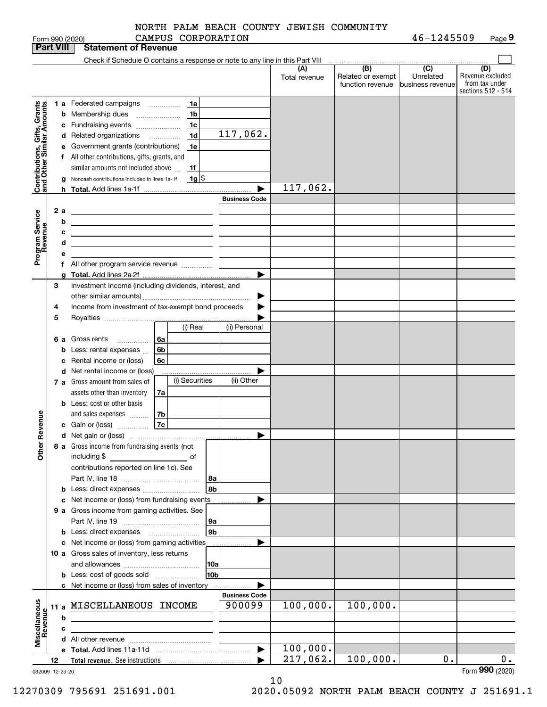|  |                    |  | NORTH PALM BEACH COUNTY JEWISH COMMUNITY |            |
|--|--------------------|--|------------------------------------------|------------|
|  | CAMPUS CORPORATION |  |                                          | 46-1245509 |

Form 990 (2020) CAMPUS CORPORATION 4 6-I 2 4 5 5 0 9 Page **9**

| <b>Part VIII</b>                                          |    |     | <b>Statement of Revenue</b>                                                                                          |    |                    |                      |                      |                                                           |                                                 |                                                                 |
|-----------------------------------------------------------|----|-----|----------------------------------------------------------------------------------------------------------------------|----|--------------------|----------------------|----------------------|-----------------------------------------------------------|-------------------------------------------------|-----------------------------------------------------------------|
|                                                           |    |     | Check if Schedule O contains a response or note to any line in this Part VIII                                        |    |                    |                      |                      |                                                           |                                                 |                                                                 |
|                                                           |    |     |                                                                                                                      |    |                    |                      | (A)<br>Total revenue | $\overline{(B)}$<br>Related or exempt<br>function revenue | $\overline{C}$<br>Unrelated<br>business revenue | (D)<br>Revenue excluded<br>from tax under<br>sections 512 - 514 |
|                                                           |    |     | <b>1 a</b> Federated campaigns                                                                                       | .  | 1a                 |                      |                      |                                                           |                                                 |                                                                 |
| Contributions, Gifts, Grants<br>and Other Similar Amounts |    |     | <b>b</b> Membership dues                                                                                             |    | 1 <sub>b</sub>     |                      |                      |                                                           |                                                 |                                                                 |
|                                                           |    |     | c Fundraising events                                                                                                 |    | 1 <sub>c</sub>     |                      |                      |                                                           |                                                 |                                                                 |
|                                                           |    |     | d Related organizations                                                                                              | .  | 1 <sub>d</sub>     | 117,062.             |                      |                                                           |                                                 |                                                                 |
|                                                           |    |     | e Government grants (contributions)                                                                                  |    | 1e                 |                      |                      |                                                           |                                                 |                                                                 |
|                                                           |    |     | f All other contributions, gifts, grants, and                                                                        |    |                    |                      |                      |                                                           |                                                 |                                                                 |
|                                                           |    |     | similar amounts not included above                                                                                   |    | 1f                 |                      |                      |                                                           |                                                 |                                                                 |
|                                                           |    |     | Noncash contributions included in lines 1a-1f                                                                        |    | $1g$ $\frac{1}{3}$ |                      |                      |                                                           |                                                 |                                                                 |
|                                                           |    | h.  |                                                                                                                      |    |                    |                      | 117,062.             |                                                           |                                                 |                                                                 |
|                                                           |    |     |                                                                                                                      |    |                    | <b>Business Code</b> |                      |                                                           |                                                 |                                                                 |
|                                                           |    | 2 a | <u> 1980 - Johann Barn, amerikansk politiker (</u>                                                                   |    |                    |                      |                      |                                                           |                                                 |                                                                 |
| Program Service<br>Revenue                                |    | b   | <u> 1989 - Johann Barbara, martin amerikan basar dan berasal dalam basa dalam basar dalam basar dalam basar dala</u> |    |                    |                      |                      |                                                           |                                                 |                                                                 |
|                                                           |    | с   | the contract of the contract of the contract of the contract of the contract of                                      |    |                    |                      |                      |                                                           |                                                 |                                                                 |
|                                                           |    | d   | <u> 1989 - Johann Stein, mars an deus an deus Amerikaanse komme</u>                                                  |    |                    |                      |                      |                                                           |                                                 |                                                                 |
|                                                           |    | е   |                                                                                                                      |    |                    |                      |                      |                                                           |                                                 |                                                                 |
|                                                           |    |     | f All other program service revenue                                                                                  |    |                    |                      |                      |                                                           |                                                 |                                                                 |
|                                                           |    |     |                                                                                                                      |    |                    | ▶                    |                      |                                                           |                                                 |                                                                 |
|                                                           | З  |     | Investment income (including dividends, interest, and                                                                |    |                    |                      |                      |                                                           |                                                 |                                                                 |
|                                                           |    |     |                                                                                                                      |    |                    |                      |                      |                                                           |                                                 |                                                                 |
|                                                           | 4  |     | Income from investment of tax-exempt bond proceeds                                                                   |    |                    |                      |                      |                                                           |                                                 |                                                                 |
|                                                           | 5  |     |                                                                                                                      |    |                    |                      |                      |                                                           |                                                 |                                                                 |
|                                                           |    |     |                                                                                                                      |    | (i) Real           | (ii) Personal        |                      |                                                           |                                                 |                                                                 |
|                                                           |    | 6а  | Gross rents<br>.                                                                                                     | 6а |                    |                      |                      |                                                           |                                                 |                                                                 |
|                                                           |    | b   | Less: rental expenses                                                                                                | 6b |                    |                      |                      |                                                           |                                                 |                                                                 |
|                                                           |    | c   | Rental income or (loss)                                                                                              | 6c |                    |                      |                      |                                                           |                                                 |                                                                 |
|                                                           |    |     | d Net rental income or (loss)                                                                                        |    |                    |                      |                      |                                                           |                                                 |                                                                 |
|                                                           |    |     | 7 a Gross amount from sales of                                                                                       |    | (i) Securities     | (ii) Other           |                      |                                                           |                                                 |                                                                 |
|                                                           |    |     | assets other than inventory                                                                                          | 7a |                    |                      |                      |                                                           |                                                 |                                                                 |
|                                                           |    |     | <b>b</b> Less: cost or other basis                                                                                   |    |                    |                      |                      |                                                           |                                                 |                                                                 |
|                                                           |    |     | and sales expenses                                                                                                   | 7b |                    |                      |                      |                                                           |                                                 |                                                                 |
| Revenue                                                   |    |     | c Gain or (loss)                                                                                                     | 7c |                    |                      |                      |                                                           |                                                 |                                                                 |
|                                                           |    |     |                                                                                                                      |    |                    | ▶                    |                      |                                                           |                                                 |                                                                 |
| ⊾<br>Othe                                                 |    |     | 8 a Gross income from fundraising events (not                                                                        |    |                    |                      |                      |                                                           |                                                 |                                                                 |
|                                                           |    |     | including \$                                                                                                         |    |                    |                      |                      |                                                           |                                                 |                                                                 |
|                                                           |    |     | contributions reported on line 1c). See                                                                              |    |                    |                      |                      |                                                           |                                                 |                                                                 |
|                                                           |    |     |                                                                                                                      |    | 8a                 |                      |                      |                                                           |                                                 |                                                                 |
|                                                           |    |     | <b>b</b> Less: direct expenses                                                                                       |    | 8b                 |                      |                      |                                                           |                                                 |                                                                 |
|                                                           |    |     | c Net income or (loss) from fundraising events                                                                       |    |                    |                      |                      |                                                           |                                                 |                                                                 |
|                                                           |    |     | 9 a Gross income from gaming activities. See                                                                         |    |                    |                      |                      |                                                           |                                                 |                                                                 |
|                                                           |    |     |                                                                                                                      |    | 9a                 |                      |                      |                                                           |                                                 |                                                                 |
|                                                           |    |     |                                                                                                                      |    | 9 <sub>b</sub>     |                      |                      |                                                           |                                                 |                                                                 |
|                                                           |    |     | c Net income or (loss) from gaming activities                                                                        |    |                    |                      |                      |                                                           |                                                 |                                                                 |
|                                                           |    |     | 10 a Gross sales of inventory, less returns                                                                          |    |                    |                      |                      |                                                           |                                                 |                                                                 |
|                                                           |    |     |                                                                                                                      |    | 10a<br>10bl        |                      |                      |                                                           |                                                 |                                                                 |
|                                                           |    |     | <b>b</b> Less: cost of goods sold                                                                                    |    |                    |                      |                      |                                                           |                                                 |                                                                 |
|                                                           |    |     | c Net income or (loss) from sales of inventory                                                                       |    |                    | <b>Business Code</b> |                      |                                                           |                                                 |                                                                 |
|                                                           |    |     | 11 a MISCELLANEOUS INCOME                                                                                            |    |                    | 900099               | 100,000.             | 100,000.                                                  |                                                 |                                                                 |
|                                                           |    | b   |                                                                                                                      |    |                    |                      |                      |                                                           |                                                 |                                                                 |
|                                                           |    |     |                                                                                                                      |    |                    |                      |                      |                                                           |                                                 |                                                                 |
| Miscellaneous<br>Revenue                                  |    | c   |                                                                                                                      |    |                    |                      |                      |                                                           |                                                 |                                                                 |
|                                                           |    |     |                                                                                                                      |    |                    | ▶                    | 100,000.             |                                                           |                                                 |                                                                 |
|                                                           | 12 |     |                                                                                                                      |    |                    |                      | 217,062.             | 100,000.                                                  | 0.                                              | 0.                                                              |
| 032009 12-23-20                                           |    |     |                                                                                                                      |    |                    |                      |                      |                                                           |                                                 | Form 990 (2020)                                                 |

10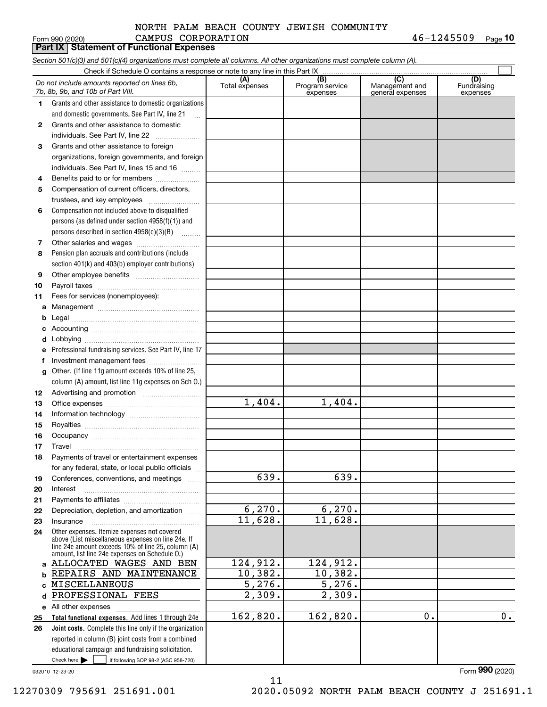# Form 990 (2020) CAMPUS CORPORATION 4 6-1 2 4 5 5 0 9 <sub>Page</sub> NORTH PALM BEACH COUNTY JEWISH COMMUNITY

|              | <b>Part IX   Statement of Functional Expenses</b>                                                                          |                       |                                    |                                           |                                |
|--------------|----------------------------------------------------------------------------------------------------------------------------|-----------------------|------------------------------------|-------------------------------------------|--------------------------------|
|              | Section 501(c)(3) and 501(c)(4) organizations must complete all columns. All other organizations must complete column (A). |                       |                                    |                                           |                                |
|              | Check if Schedule O contains a response or note to any line in this Part IX.                                               |                       |                                    |                                           |                                |
|              | Do not include amounts reported on lines 6b,<br>7b, 8b, 9b, and 10b of Part VIII.                                          | (A)<br>Total expenses | (B)<br>Program service<br>expenses | (C)<br>Management and<br>general expenses | (D)<br>Fundraising<br>expenses |
| 1.           | Grants and other assistance to domestic organizations                                                                      |                       |                                    |                                           |                                |
|              | and domestic governments. See Part IV, line 21                                                                             |                       |                                    |                                           |                                |
| $\mathbf{2}$ | Grants and other assistance to domestic                                                                                    |                       |                                    |                                           |                                |
|              | individuals. See Part IV, line 22<br>$\overline{\phantom{a}}$                                                              |                       |                                    |                                           |                                |
| 3            | Grants and other assistance to foreign                                                                                     |                       |                                    |                                           |                                |
|              | organizations, foreign governments, and foreign                                                                            |                       |                                    |                                           |                                |
|              | individuals. See Part IV, lines 15 and 16                                                                                  |                       |                                    |                                           |                                |
| 4            | Benefits paid to or for members                                                                                            |                       |                                    |                                           |                                |
| 5            | Compensation of current officers, directors,                                                                               |                       |                                    |                                           |                                |
|              | trustees, and key employees                                                                                                |                       |                                    |                                           |                                |
| 6            | Compensation not included above to disqualified                                                                            |                       |                                    |                                           |                                |
|              | persons (as defined under section 4958(f)(1)) and                                                                          |                       |                                    |                                           |                                |
|              | persons described in section $4958(c)(3)(B)$                                                                               |                       |                                    |                                           |                                |
| 7            |                                                                                                                            |                       |                                    |                                           |                                |
| 8            | Pension plan accruals and contributions (include                                                                           |                       |                                    |                                           |                                |
|              | section 401(k) and 403(b) employer contributions)                                                                          |                       |                                    |                                           |                                |
| 9            |                                                                                                                            |                       |                                    |                                           |                                |
| 10           |                                                                                                                            |                       |                                    |                                           |                                |
| 11           | Fees for services (nonemployees):                                                                                          |                       |                                    |                                           |                                |
| а            |                                                                                                                            |                       |                                    |                                           |                                |
| b            |                                                                                                                            |                       |                                    |                                           |                                |
| c            |                                                                                                                            |                       |                                    |                                           |                                |
| d            |                                                                                                                            |                       |                                    |                                           |                                |
|              | Professional fundraising services. See Part IV, line 17                                                                    |                       |                                    |                                           |                                |
| f            | Investment management fees                                                                                                 |                       |                                    |                                           |                                |
| g            | Other. (If line 11g amount exceeds 10% of line 25,                                                                         |                       |                                    |                                           |                                |
|              | column (A) amount, list line 11g expenses on Sch O.)                                                                       |                       |                                    |                                           |                                |
| 12           | Advertising and promotion <i></i>                                                                                          | 1,404.                | 1,404.                             |                                           |                                |
| 13           |                                                                                                                            |                       |                                    |                                           |                                |
| 14           |                                                                                                                            |                       |                                    |                                           |                                |
| 15           |                                                                                                                            |                       |                                    |                                           |                                |
| 16           |                                                                                                                            |                       |                                    |                                           |                                |
| 17           | Travel<br>Payments of travel or entertainment expenses                                                                     |                       |                                    |                                           |                                |
| 18           | for any federal, state, or local public officials                                                                          |                       |                                    |                                           |                                |
| 19           | Conferences, conventions, and meetings                                                                                     | 639.                  | 639.                               |                                           |                                |
| 20           | Interest                                                                                                                   |                       |                                    |                                           |                                |
| 21           |                                                                                                                            |                       |                                    |                                           |                                |
| 22           | Depreciation, depletion, and amortization                                                                                  | 6,270.                | 6,270.                             |                                           |                                |
| 23           | Insurance                                                                                                                  | 11,628.               | 11,628.                            |                                           |                                |
| 24           | Other expenses. Itemize expenses not covered                                                                               |                       |                                    |                                           |                                |
|              | above (List miscellaneous expenses on line 24e. If<br>line 24e amount exceeds 10% of line 25, column (A)                   |                       |                                    |                                           |                                |
| a            | amount, list line 24e expenses on Schedule O.)<br>ALLOCATED WAGES AND BEN                                                  | 124,912.              | 124,912.                           |                                           |                                |
| b            | REPAIRS AND MAINTENANCE                                                                                                    | 10,382.               | 10,382.                            |                                           |                                |
|              | MISCELLANEOUS                                                                                                              | $\overline{5,276}$ .  | $\overline{5,276}$ .               |                                           |                                |
| d            | PROFESSIONAL FEES                                                                                                          | 2,309.                | 2,309.                             |                                           |                                |
|              | e All other expenses                                                                                                       |                       |                                    |                                           |                                |
| 25           | Total functional expenses. Add lines 1 through 24e                                                                         | 162,820.              | 162,820.                           | 0.                                        | 0.                             |
| 26           | Joint costs. Complete this line only if the organization                                                                   |                       |                                    |                                           |                                |
|              | reported in column (B) joint costs from a combined                                                                         |                       |                                    |                                           |                                |
|              | educational campaign and fundraising solicitation.                                                                         |                       |                                    |                                           |                                |

11

032010 12-23-20

Check here

 $\mathcal{L}^{\text{max}}$ 

if following SOP 98-2 (ASC 958-720)

Form (2020) **990**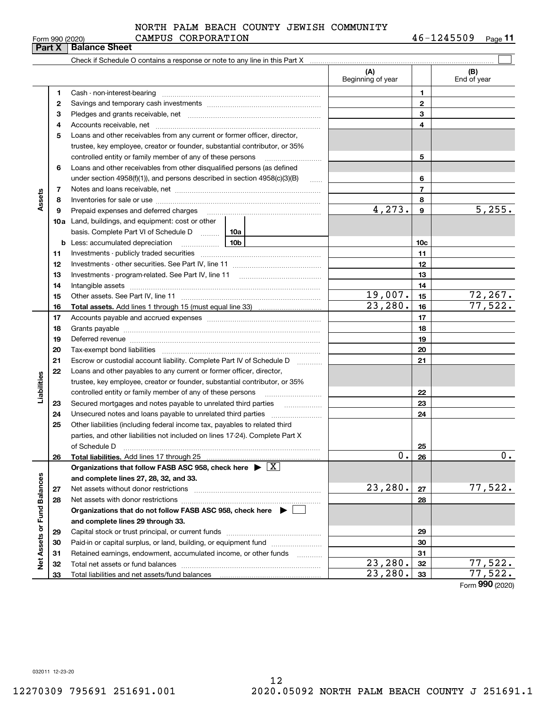# Form 990 (2020) CAMPUS CORPORATION 4 6-1 2 4 5 5 0 9 <sub>Page</sub> NORTH PALM BEACH COUNTY JEWISH COMMUNITY

|                             |          | <b>Part X   Balance Sheet</b>                                                                                                                                                                                                  |                          |                |                           |
|-----------------------------|----------|--------------------------------------------------------------------------------------------------------------------------------------------------------------------------------------------------------------------------------|--------------------------|----------------|---------------------------|
|                             |          |                                                                                                                                                                                                                                |                          |                |                           |
|                             |          |                                                                                                                                                                                                                                | (A)<br>Beginning of year |                | (B)<br>End of year        |
|                             | 1        |                                                                                                                                                                                                                                |                          | 1              |                           |
|                             | 2        |                                                                                                                                                                                                                                |                          | 2              |                           |
|                             | 3        |                                                                                                                                                                                                                                |                          | 3              |                           |
|                             | 4        |                                                                                                                                                                                                                                |                          | 4              |                           |
|                             | 5        | Loans and other receivables from any current or former officer, director,                                                                                                                                                      |                          |                |                           |
|                             |          | trustee, key employee, creator or founder, substantial contributor, or 35%                                                                                                                                                     |                          |                |                           |
|                             |          |                                                                                                                                                                                                                                |                          | 5              |                           |
|                             | 6        | Loans and other receivables from other disqualified persons (as defined                                                                                                                                                        |                          |                |                           |
|                             |          | under section $4958(f)(1)$ , and persons described in section $4958(c)(3)(B)$                                                                                                                                                  | $\ldots$                 | 6              |                           |
|                             | 7        |                                                                                                                                                                                                                                |                          | $\overline{7}$ |                           |
| Assets                      | 8        |                                                                                                                                                                                                                                |                          | 8              |                           |
|                             | 9        | Prepaid expenses and deferred charges [11] matter contracts and the ferred charges [11] matter contracts and the Prepaid expenses and deferred charges [11] matter contracts and the Prepaid experiment of Prepaid experiment  | 4,273.                   | 9              | 5,255.                    |
|                             |          | <b>10a</b> Land, buildings, and equipment: cost or other                                                                                                                                                                       |                          |                |                           |
|                             |          | basis. Complete Part VI of Schedule D    10a                                                                                                                                                                                   |                          |                |                           |
|                             |          | 10 <sub>b</sub>                                                                                                                                                                                                                |                          | 10c            |                           |
|                             | 11       |                                                                                                                                                                                                                                |                          | 11             |                           |
|                             | 12       |                                                                                                                                                                                                                                |                          | 12             |                           |
|                             | 13       |                                                                                                                                                                                                                                |                          | 13             |                           |
|                             | 14       |                                                                                                                                                                                                                                |                          | 14             |                           |
|                             | 15       |                                                                                                                                                                                                                                | 19,007.<br>23,280.       | 15             | <u>72,267.</u><br>77,522. |
|                             | 16       |                                                                                                                                                                                                                                |                          | 16             |                           |
|                             | 17       |                                                                                                                                                                                                                                |                          | 17             |                           |
|                             | 18       |                                                                                                                                                                                                                                |                          | 18<br>19       |                           |
|                             | 19<br>20 | Deferred revenue manual contracts and contracts are all the manual contracts and contracts are contracted and contracts are contracted and contract are contracted and contract are contracted and contract are contracted and |                          | 20             |                           |
|                             | 21       | Escrow or custodial account liability. Complete Part IV of Schedule D                                                                                                                                                          |                          | 21             |                           |
|                             | 22       | Loans and other payables to any current or former officer, director,                                                                                                                                                           |                          |                |                           |
| Liabilities                 |          | trustee, key employee, creator or founder, substantial contributor, or 35%                                                                                                                                                     |                          |                |                           |
|                             |          | controlled entity or family member of any of these persons                                                                                                                                                                     |                          | 22             |                           |
|                             | 23       | Secured mortgages and notes payable to unrelated third parties <i>manufactured</i> mortgages and notes payable to unrelated third parties                                                                                      |                          | 23             |                           |
|                             | 24       |                                                                                                                                                                                                                                |                          | 24             |                           |
|                             | 25       | Other liabilities (including federal income tax, payables to related third                                                                                                                                                     |                          |                |                           |
|                             |          | parties, and other liabilities not included on lines 17-24). Complete Part X                                                                                                                                                   |                          |                |                           |
|                             |          | of Schedule D                                                                                                                                                                                                                  |                          | 25             |                           |
|                             | 26       | Total liabilities. Add lines 17 through 25                                                                                                                                                                                     | 0.                       | 26             | 0.                        |
|                             |          | Organizations that follow FASB ASC 958, check here $\triangleright \lfloor X \rfloor$                                                                                                                                          |                          |                |                           |
|                             |          | and complete lines 27, 28, 32, and 33.                                                                                                                                                                                         |                          |                |                           |
|                             | 27       |                                                                                                                                                                                                                                | 23,280.                  | 27             | 77,522.                   |
|                             | 28       |                                                                                                                                                                                                                                |                          | 28             |                           |
|                             |          | Organizations that do not follow FASB ASC 958, check here $\blacktriangleright$                                                                                                                                                |                          |                |                           |
|                             |          | and complete lines 29 through 33.                                                                                                                                                                                              |                          |                |                           |
|                             | 29       |                                                                                                                                                                                                                                |                          | 29             |                           |
| Net Assets or Fund Balances | 30       | Paid-in or capital surplus, or land, building, or equipment fund                                                                                                                                                               |                          | 30             |                           |
|                             | 31       | Retained earnings, endowment, accumulated income, or other funds                                                                                                                                                               |                          | 31             |                           |
|                             | 32       |                                                                                                                                                                                                                                | 23,280.                  | 32             | 77,522.                   |
|                             | 33       |                                                                                                                                                                                                                                | 23,280.                  | 33             | 77,522.                   |

Form (2020) **990**

032011 12-23-20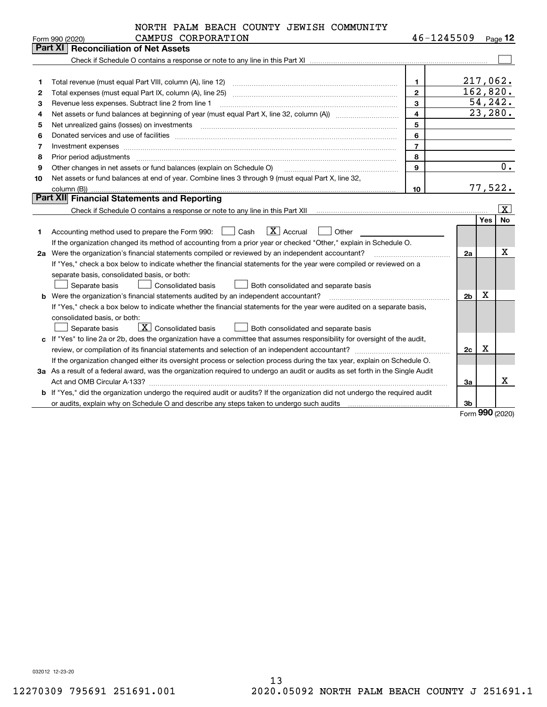|    | NORTH PALM BEACH COUNTY JEWISH COMMUNITY                                                                                                                                                                                       |                         |                |            |           |  |  |  |
|----|--------------------------------------------------------------------------------------------------------------------------------------------------------------------------------------------------------------------------------|-------------------------|----------------|------------|-----------|--|--|--|
|    | CAMPUS CORPORATION<br>Form 990 (2020)                                                                                                                                                                                          | 46-1245509              |                |            | Page $12$ |  |  |  |
|    | <b>Reconciliation of Net Assets</b><br>Part XI                                                                                                                                                                                 |                         |                |            |           |  |  |  |
|    |                                                                                                                                                                                                                                |                         |                |            |           |  |  |  |
|    |                                                                                                                                                                                                                                |                         |                |            |           |  |  |  |
| 1  |                                                                                                                                                                                                                                | $\mathbf{1}$            | 217,062.       |            |           |  |  |  |
| 2  | Total expenses (must equal Part IX, column (A), line 25)                                                                                                                                                                       | $\mathbf{2}$            | 162,820.       | 54, 242.   |           |  |  |  |
| 3  | $\overline{\mathbf{3}}$<br>Revenue less expenses. Subtract line 2 from line 1                                                                                                                                                  |                         |                |            |           |  |  |  |
| 4  |                                                                                                                                                                                                                                | $\overline{\mathbf{4}}$ |                | 23,280.    |           |  |  |  |
| 5  | Net unrealized gains (losses) on investments [11] matter contracts and the state of the state of the state of the state of the state of the state of the state of the state of the state of the state of the state of the stat | 5                       |                |            |           |  |  |  |
| 6  |                                                                                                                                                                                                                                | 6                       |                |            |           |  |  |  |
| 7  | Investment expenses <b>construction and construction of the construction of the construction</b> of the construction of                                                                                                        | $\overline{7}$          |                |            |           |  |  |  |
| 8  | Prior period adjustments                                                                                                                                                                                                       | 8                       |                |            |           |  |  |  |
| 9  | Other changes in net assets or fund balances (explain on Schedule O)                                                                                                                                                           | 9                       |                |            | $0$ .     |  |  |  |
| 10 | Net assets or fund balances at end of year. Combine lines 3 through 9 (must equal Part X, line 32,                                                                                                                             |                         |                |            |           |  |  |  |
|    |                                                                                                                                                                                                                                | 10                      |                | 77,522.    |           |  |  |  |
|    | Part XII Financial Statements and Reporting                                                                                                                                                                                    |                         |                |            |           |  |  |  |
|    |                                                                                                                                                                                                                                |                         |                |            | x         |  |  |  |
|    |                                                                                                                                                                                                                                |                         |                | <b>Yes</b> | <b>No</b> |  |  |  |
| 1. | $\boxed{\text{X}}$ Accrual<br>Accounting method used to prepare the Form 990: <u>II</u> Cash<br>Other                                                                                                                          |                         |                |            |           |  |  |  |
|    | If the organization changed its method of accounting from a prior year or checked "Other," explain in Schedule O.                                                                                                              |                         |                |            |           |  |  |  |
|    | 2a Were the organization's financial statements compiled or reviewed by an independent accountant?                                                                                                                             |                         | 2a             |            | х         |  |  |  |
|    | If "Yes," check a box below to indicate whether the financial statements for the year were compiled or reviewed on a                                                                                                           |                         |                |            |           |  |  |  |
|    | separate basis, consolidated basis, or both:                                                                                                                                                                                   |                         |                |            |           |  |  |  |
|    | Separate basis<br>Consolidated basis<br>Both consolidated and separate basis                                                                                                                                                   |                         |                |            |           |  |  |  |
|    | <b>b</b> Were the organization's financial statements audited by an independent accountant?                                                                                                                                    |                         | 2 <sub>b</sub> | X          |           |  |  |  |
|    | If "Yes," check a box below to indicate whether the financial statements for the year were audited on a separate basis,                                                                                                        |                         |                |            |           |  |  |  |
|    | consolidated basis, or both:                                                                                                                                                                                                   |                         |                |            |           |  |  |  |
|    | $\boxed{\textbf{X}}$ Consolidated basis<br>Both consolidated and separate basis<br>Separate basis                                                                                                                              |                         |                |            |           |  |  |  |
|    | c If "Yes" to line 2a or 2b, does the organization have a committee that assumes responsibility for oversight of the audit,                                                                                                    |                         |                |            |           |  |  |  |
|    |                                                                                                                                                                                                                                |                         | 2c             | Χ          |           |  |  |  |
|    | If the organization changed either its oversight process or selection process during the tax year, explain on Schedule O.                                                                                                      |                         |                |            |           |  |  |  |
|    | 3a As a result of a federal award, was the organization required to undergo an audit or audits as set forth in the Single Audit                                                                                                |                         |                |            |           |  |  |  |
|    |                                                                                                                                                                                                                                |                         |                |            |           |  |  |  |
|    | b If "Yes," did the organization undergo the required audit or audits? If the organization did not undergo the required audit                                                                                                  |                         |                |            |           |  |  |  |
|    |                                                                                                                                                                                                                                |                         | 3b             |            |           |  |  |  |

Form (2020) **990**

032012 12-23-20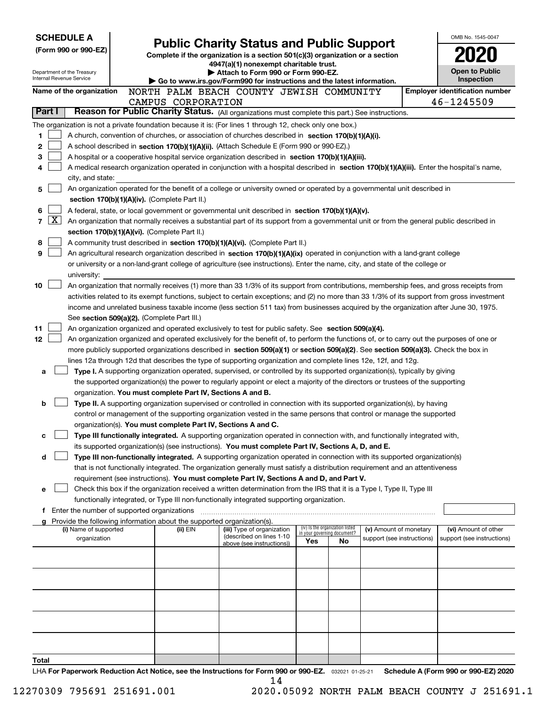| <b>SCHEDULE A</b>                                      |                                                                                                                                                                                                                                                                                          |  |                                                                                                                                  |                                                                                                                                                                                                                                 |     |                                                                |                            |  | OMB No. 1545-0047                     |  |  |  |
|--------------------------------------------------------|------------------------------------------------------------------------------------------------------------------------------------------------------------------------------------------------------------------------------------------------------------------------------------------|--|----------------------------------------------------------------------------------------------------------------------------------|---------------------------------------------------------------------------------------------------------------------------------------------------------------------------------------------------------------------------------|-----|----------------------------------------------------------------|----------------------------|--|---------------------------------------|--|--|--|
| (Form 990 or 990-EZ)                                   |                                                                                                                                                                                                                                                                                          |  | <b>Public Charity Status and Public Support</b><br>Complete if the organization is a section 501(c)(3) organization or a section |                                                                                                                                                                                                                                 |     |                                                                |                            |  |                                       |  |  |  |
|                                                        |                                                                                                                                                                                                                                                                                          |  | 4947(a)(1) nonexempt charitable trust.                                                                                           |                                                                                                                                                                                                                                 |     |                                                                |                            |  |                                       |  |  |  |
| Department of the Treasury<br>Internal Revenue Service |                                                                                                                                                                                                                                                                                          |  |                                                                                                                                  | Attach to Form 990 or Form 990-EZ.                                                                                                                                                                                              |     |                                                                |                            |  | <b>Open to Public</b>                 |  |  |  |
|                                                        |                                                                                                                                                                                                                                                                                          |  |                                                                                                                                  | Go to www.irs.gov/Form990 for instructions and the latest information.                                                                                                                                                          |     |                                                                |                            |  | Inspection                            |  |  |  |
| Name of the organization                               |                                                                                                                                                                                                                                                                                          |  |                                                                                                                                  | NORTH PALM BEACH COUNTY JEWISH COMMUNITY                                                                                                                                                                                        |     |                                                                |                            |  | <b>Employer identification number</b> |  |  |  |
|                                                        |                                                                                                                                                                                                                                                                                          |  | CAMPUS CORPORATION                                                                                                               |                                                                                                                                                                                                                                 |     |                                                                |                            |  | 46-1245509                            |  |  |  |
| Part I                                                 |                                                                                                                                                                                                                                                                                          |  |                                                                                                                                  | Reason for Public Charity Status. (All organizations must complete this part.) See instructions.                                                                                                                                |     |                                                                |                            |  |                                       |  |  |  |
|                                                        |                                                                                                                                                                                                                                                                                          |  |                                                                                                                                  | The organization is not a private foundation because it is: (For lines 1 through 12, check only one box.)                                                                                                                       |     |                                                                |                            |  |                                       |  |  |  |
| 1                                                      |                                                                                                                                                                                                                                                                                          |  |                                                                                                                                  | A church, convention of churches, or association of churches described in section 170(b)(1)(A)(i).                                                                                                                              |     |                                                                |                            |  |                                       |  |  |  |
| 2                                                      |                                                                                                                                                                                                                                                                                          |  |                                                                                                                                  | A school described in section 170(b)(1)(A)(ii). (Attach Schedule E (Form 990 or 990-EZ).)                                                                                                                                       |     |                                                                |                            |  |                                       |  |  |  |
| 3                                                      |                                                                                                                                                                                                                                                                                          |  |                                                                                                                                  | A hospital or a cooperative hospital service organization described in section 170(b)(1)(A)(iii).                                                                                                                               |     |                                                                |                            |  |                                       |  |  |  |
| 4                                                      |                                                                                                                                                                                                                                                                                          |  |                                                                                                                                  | A medical research organization operated in conjunction with a hospital described in section 170(b)(1)(A)(iii). Enter the hospital's name,                                                                                      |     |                                                                |                            |  |                                       |  |  |  |
|                                                        | city, and state:                                                                                                                                                                                                                                                                         |  |                                                                                                                                  | An organization operated for the benefit of a college or university owned or operated by a governmental unit described in                                                                                                       |     |                                                                |                            |  |                                       |  |  |  |
| 5                                                      |                                                                                                                                                                                                                                                                                          |  | section 170(b)(1)(A)(iv). (Complete Part II.)                                                                                    |                                                                                                                                                                                                                                 |     |                                                                |                            |  |                                       |  |  |  |
| 6                                                      |                                                                                                                                                                                                                                                                                          |  |                                                                                                                                  | A federal, state, or local government or governmental unit described in section 170(b)(1)(A)(v).                                                                                                                                |     |                                                                |                            |  |                                       |  |  |  |
| $\lfloor x \rfloor$<br>7                               |                                                                                                                                                                                                                                                                                          |  |                                                                                                                                  | An organization that normally receives a substantial part of its support from a governmental unit or from the general public described in                                                                                       |     |                                                                |                            |  |                                       |  |  |  |
|                                                        |                                                                                                                                                                                                                                                                                          |  | section 170(b)(1)(A)(vi). (Complete Part II.)                                                                                    |                                                                                                                                                                                                                                 |     |                                                                |                            |  |                                       |  |  |  |
| 8                                                      |                                                                                                                                                                                                                                                                                          |  |                                                                                                                                  | A community trust described in section 170(b)(1)(A)(vi). (Complete Part II.)                                                                                                                                                    |     |                                                                |                            |  |                                       |  |  |  |
| 9                                                      |                                                                                                                                                                                                                                                                                          |  |                                                                                                                                  | An agricultural research organization described in section 170(b)(1)(A)(ix) operated in conjunction with a land-grant college                                                                                                   |     |                                                                |                            |  |                                       |  |  |  |
|                                                        |                                                                                                                                                                                                                                                                                          |  |                                                                                                                                  | or university or a non-land-grant college of agriculture (see instructions). Enter the name, city, and state of the college or                                                                                                  |     |                                                                |                            |  |                                       |  |  |  |
|                                                        | university:                                                                                                                                                                                                                                                                              |  |                                                                                                                                  |                                                                                                                                                                                                                                 |     |                                                                |                            |  |                                       |  |  |  |
| 10                                                     |                                                                                                                                                                                                                                                                                          |  |                                                                                                                                  |                                                                                                                                                                                                                                 |     |                                                                |                            |  |                                       |  |  |  |
|                                                        | An organization that normally receives (1) more than 33 1/3% of its support from contributions, membership fees, and gross receipts from<br>activities related to its exempt functions, subject to certain exceptions; and (2) no more than 33 1/3% of its support from gross investment |  |                                                                                                                                  |                                                                                                                                                                                                                                 |     |                                                                |                            |  |                                       |  |  |  |
|                                                        | income and unrelated business taxable income (less section 511 tax) from businesses acquired by the organization after June 30, 1975.                                                                                                                                                    |  |                                                                                                                                  |                                                                                                                                                                                                                                 |     |                                                                |                            |  |                                       |  |  |  |
|                                                        | See section 509(a)(2). (Complete Part III.)                                                                                                                                                                                                                                              |  |                                                                                                                                  |                                                                                                                                                                                                                                 |     |                                                                |                            |  |                                       |  |  |  |
| 11                                                     | An organization organized and operated exclusively to test for public safety. See section 509(a)(4).                                                                                                                                                                                     |  |                                                                                                                                  |                                                                                                                                                                                                                                 |     |                                                                |                            |  |                                       |  |  |  |
| 12                                                     |                                                                                                                                                                                                                                                                                          |  |                                                                                                                                  | An organization organized and operated exclusively for the benefit of, to perform the functions of, or to carry out the purposes of one or                                                                                      |     |                                                                |                            |  |                                       |  |  |  |
|                                                        |                                                                                                                                                                                                                                                                                          |  |                                                                                                                                  | more publicly supported organizations described in section 509(a)(1) or section 509(a)(2). See section 509(a)(3). Check the box in                                                                                              |     |                                                                |                            |  |                                       |  |  |  |
|                                                        |                                                                                                                                                                                                                                                                                          |  |                                                                                                                                  | lines 12a through 12d that describes the type of supporting organization and complete lines 12e, 12f, and 12g.                                                                                                                  |     |                                                                |                            |  |                                       |  |  |  |
| a                                                      |                                                                                                                                                                                                                                                                                          |  |                                                                                                                                  | Type I. A supporting organization operated, supervised, or controlled by its supported organization(s), typically by giving                                                                                                     |     |                                                                |                            |  |                                       |  |  |  |
|                                                        |                                                                                                                                                                                                                                                                                          |  |                                                                                                                                  | the supported organization(s) the power to regularly appoint or elect a majority of the directors or trustees of the supporting                                                                                                 |     |                                                                |                            |  |                                       |  |  |  |
|                                                        |                                                                                                                                                                                                                                                                                          |  | organization. You must complete Part IV, Sections A and B.                                                                       |                                                                                                                                                                                                                                 |     |                                                                |                            |  |                                       |  |  |  |
| b                                                      |                                                                                                                                                                                                                                                                                          |  |                                                                                                                                  | Type II. A supporting organization supervised or controlled in connection with its supported organization(s), by having                                                                                                         |     |                                                                |                            |  |                                       |  |  |  |
|                                                        |                                                                                                                                                                                                                                                                                          |  |                                                                                                                                  | control or management of the supporting organization vested in the same persons that control or manage the supported                                                                                                            |     |                                                                |                            |  |                                       |  |  |  |
|                                                        |                                                                                                                                                                                                                                                                                          |  | organization(s). You must complete Part IV, Sections A and C.                                                                    |                                                                                                                                                                                                                                 |     |                                                                |                            |  |                                       |  |  |  |
| с                                                      |                                                                                                                                                                                                                                                                                          |  |                                                                                                                                  | Type III functionally integrated. A supporting organization operated in connection with, and functionally integrated with,                                                                                                      |     |                                                                |                            |  |                                       |  |  |  |
| d                                                      |                                                                                                                                                                                                                                                                                          |  |                                                                                                                                  | its supported organization(s) (see instructions). You must complete Part IV, Sections A, D, and E.<br>Type III non-functionally integrated. A supporting organization operated in connection with its supported organization(s) |     |                                                                |                            |  |                                       |  |  |  |
|                                                        |                                                                                                                                                                                                                                                                                          |  |                                                                                                                                  | that is not functionally integrated. The organization generally must satisfy a distribution requirement and an attentiveness                                                                                                    |     |                                                                |                            |  |                                       |  |  |  |
|                                                        |                                                                                                                                                                                                                                                                                          |  |                                                                                                                                  | requirement (see instructions). You must complete Part IV, Sections A and D, and Part V.                                                                                                                                        |     |                                                                |                            |  |                                       |  |  |  |
| е                                                      |                                                                                                                                                                                                                                                                                          |  |                                                                                                                                  | Check this box if the organization received a written determination from the IRS that it is a Type I, Type II, Type III                                                                                                         |     |                                                                |                            |  |                                       |  |  |  |
|                                                        |                                                                                                                                                                                                                                                                                          |  |                                                                                                                                  | functionally integrated, or Type III non-functionally integrated supporting organization.                                                                                                                                       |     |                                                                |                            |  |                                       |  |  |  |
|                                                        |                                                                                                                                                                                                                                                                                          |  |                                                                                                                                  |                                                                                                                                                                                                                                 |     |                                                                |                            |  |                                       |  |  |  |
|                                                        |                                                                                                                                                                                                                                                                                          |  | g Provide the following information about the supported organization(s).                                                         |                                                                                                                                                                                                                                 |     |                                                                |                            |  |                                       |  |  |  |
|                                                        | (i) Name of supported                                                                                                                                                                                                                                                                    |  | (ii) EIN                                                                                                                         | (iii) Type of organization<br>(described on lines 1-10                                                                                                                                                                          |     | (iv) Is the organization listed<br>in your governing document? | (v) Amount of monetary     |  | (vi) Amount of other                  |  |  |  |
|                                                        | organization                                                                                                                                                                                                                                                                             |  |                                                                                                                                  | above (see instructions))                                                                                                                                                                                                       | Yes | No                                                             | support (see instructions) |  | support (see instructions)            |  |  |  |
|                                                        |                                                                                                                                                                                                                                                                                          |  |                                                                                                                                  |                                                                                                                                                                                                                                 |     |                                                                |                            |  |                                       |  |  |  |
|                                                        |                                                                                                                                                                                                                                                                                          |  |                                                                                                                                  |                                                                                                                                                                                                                                 |     |                                                                |                            |  |                                       |  |  |  |
|                                                        |                                                                                                                                                                                                                                                                                          |  |                                                                                                                                  |                                                                                                                                                                                                                                 |     |                                                                |                            |  |                                       |  |  |  |
|                                                        |                                                                                                                                                                                                                                                                                          |  |                                                                                                                                  |                                                                                                                                                                                                                                 |     |                                                                |                            |  |                                       |  |  |  |
|                                                        |                                                                                                                                                                                                                                                                                          |  |                                                                                                                                  |                                                                                                                                                                                                                                 |     |                                                                |                            |  |                                       |  |  |  |
|                                                        |                                                                                                                                                                                                                                                                                          |  |                                                                                                                                  |                                                                                                                                                                                                                                 |     |                                                                |                            |  |                                       |  |  |  |
|                                                        |                                                                                                                                                                                                                                                                                          |  |                                                                                                                                  |                                                                                                                                                                                                                                 |     |                                                                |                            |  |                                       |  |  |  |
|                                                        |                                                                                                                                                                                                                                                                                          |  |                                                                                                                                  |                                                                                                                                                                                                                                 |     |                                                                |                            |  |                                       |  |  |  |
|                                                        |                                                                                                                                                                                                                                                                                          |  |                                                                                                                                  |                                                                                                                                                                                                                                 |     |                                                                |                            |  |                                       |  |  |  |
|                                                        |                                                                                                                                                                                                                                                                                          |  |                                                                                                                                  |                                                                                                                                                                                                                                 |     |                                                                |                            |  |                                       |  |  |  |
| Total                                                  |                                                                                                                                                                                                                                                                                          |  |                                                                                                                                  | $\Box$ A Ear Department Poduction Act Notice, see the Instructions for Earm 000 or 000-EZ $\sim$ 00001,01.05.01                                                                                                                 |     |                                                                |                            |  | Schodule A (Form 990 or 990-F7) 2020  |  |  |  |

LHA For Paperwork Reduction Act Notice, see the Instructions for Form 990 or 990-EZ. <sub>032021</sub> o1-25-21 Schedule A (Form 990 or 990-EZ) 2020 14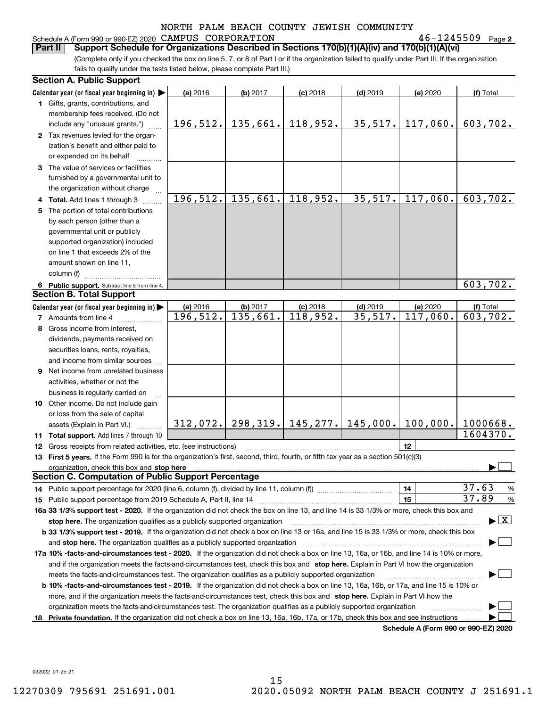## Schedule A (Form 990 or 990-EZ) 2020 Page CAMPUS CORPORATION 46-1245509

**2**

(Complete only if you checked the box on line 5, 7, or 8 of Part I or if the organization failed to qualify under Part III. If the organization **Part II Support Schedule for Organizations Described in Sections 170(b)(1)(A)(iv) and 170(b)(1)(A)(vi)**

|     | Section A. Public Support                                                                                                                                                                                                      |           |                                 |            |                                             |                                      |                                          |
|-----|--------------------------------------------------------------------------------------------------------------------------------------------------------------------------------------------------------------------------------|-----------|---------------------------------|------------|---------------------------------------------|--------------------------------------|------------------------------------------|
|     | Calendar year (or fiscal year beginning in)                                                                                                                                                                                    | (a) 2016  | (b) 2017                        | $(c)$ 2018 | $(d)$ 2019                                  | (e) 2020                             | (f) Total                                |
|     | 1 Gifts, grants, contributions, and                                                                                                                                                                                            |           |                                 |            |                                             |                                      |                                          |
|     | membership fees received. (Do not                                                                                                                                                                                              |           |                                 |            |                                             |                                      |                                          |
|     | include any "unusual grants.")                                                                                                                                                                                                 |           | $196, 512.$ 135, 661. 118, 952. |            | 35,517.                                     | 117,060.                             | 603,702.                                 |
|     | 2 Tax revenues levied for the organ-                                                                                                                                                                                           |           |                                 |            |                                             |                                      |                                          |
|     | ization's benefit and either paid to                                                                                                                                                                                           |           |                                 |            |                                             |                                      |                                          |
|     | or expended on its behalf                                                                                                                                                                                                      |           |                                 |            |                                             |                                      |                                          |
|     | 3 The value of services or facilities                                                                                                                                                                                          |           |                                 |            |                                             |                                      |                                          |
|     | furnished by a governmental unit to                                                                                                                                                                                            |           |                                 |            |                                             |                                      |                                          |
|     | the organization without charge                                                                                                                                                                                                |           |                                 |            |                                             |                                      |                                          |
|     | 4 Total. Add lines 1 through 3                                                                                                                                                                                                 | 196, 512. | 135,661.                        | 118,952.   | 35,517.                                     | 117,060.                             | 603,702.                                 |
|     | 5 The portion of total contributions                                                                                                                                                                                           |           |                                 |            |                                             |                                      |                                          |
|     | by each person (other than a                                                                                                                                                                                                   |           |                                 |            |                                             |                                      |                                          |
|     | governmental unit or publicly                                                                                                                                                                                                  |           |                                 |            |                                             |                                      |                                          |
|     | supported organization) included                                                                                                                                                                                               |           |                                 |            |                                             |                                      |                                          |
|     | on line 1 that exceeds 2% of the                                                                                                                                                                                               |           |                                 |            |                                             |                                      |                                          |
|     | amount shown on line 11,                                                                                                                                                                                                       |           |                                 |            |                                             |                                      |                                          |
|     | column (f)                                                                                                                                                                                                                     |           |                                 |            |                                             |                                      |                                          |
|     | 6 Public support. Subtract line 5 from line 4.                                                                                                                                                                                 |           |                                 |            |                                             |                                      | $\overline{603}$ , 702.                  |
|     | <b>Section B. Total Support</b>                                                                                                                                                                                                |           |                                 |            |                                             |                                      |                                          |
|     | Calendar year (or fiscal year beginning in)                                                                                                                                                                                    | (a) 2016  | (b) 2017                        | $(c)$ 2018 | $(d)$ 2019                                  | (e) 2020                             | (f) Total                                |
|     | 7 Amounts from line 4                                                                                                                                                                                                          | 196,512.  | 135,661.                        | 118,952.   | 35,517.                                     | 117,060.                             | 603,702.                                 |
|     | 8 Gross income from interest,                                                                                                                                                                                                  |           |                                 |            |                                             |                                      |                                          |
|     | dividends, payments received on                                                                                                                                                                                                |           |                                 |            |                                             |                                      |                                          |
|     | securities loans, rents, royalties,                                                                                                                                                                                            |           |                                 |            |                                             |                                      |                                          |
|     | and income from similar sources                                                                                                                                                                                                |           |                                 |            |                                             |                                      |                                          |
|     | <b>9</b> Net income from unrelated business                                                                                                                                                                                    |           |                                 |            |                                             |                                      |                                          |
|     | activities, whether or not the                                                                                                                                                                                                 |           |                                 |            |                                             |                                      |                                          |
|     | business is regularly carried on                                                                                                                                                                                               |           |                                 |            |                                             |                                      |                                          |
|     | 10 Other income. Do not include gain                                                                                                                                                                                           |           |                                 |            |                                             |                                      |                                          |
|     | or loss from the sale of capital                                                                                                                                                                                               |           |                                 |            |                                             |                                      |                                          |
|     | assets (Explain in Part VI.)                                                                                                                                                                                                   |           |                                 |            | $312,072.$   298,319.   145,277.   145,000. | 100,000.                             | 1000668.                                 |
| 11. | <b>Total support.</b> Add lines 7 through 10                                                                                                                                                                                   |           |                                 |            |                                             |                                      | 1604370.                                 |
| 12  | Gross receipts from related activities, etc. (see instructions)                                                                                                                                                                |           |                                 |            |                                             | 12                                   |                                          |
|     | 13 First 5 years. If the Form 990 is for the organization's first, second, third, fourth, or fifth tax year as a section 501(c)(3)                                                                                             |           |                                 |            |                                             |                                      |                                          |
|     | organization, check this box and stop here manufactured and content to the state of the content of the state of the content of the content of the content of the content of the content of the content of the content of the c |           |                                 |            |                                             |                                      |                                          |
|     | Section C. Computation of Public Support Percentage                                                                                                                                                                            |           |                                 |            |                                             |                                      |                                          |
|     |                                                                                                                                                                                                                                |           |                                 |            |                                             | 14                                   | 37.63<br>$\frac{9}{6}$                   |
| 15  |                                                                                                                                                                                                                                |           |                                 |            |                                             | 15                                   | 37.89<br>$\frac{9}{6}$                   |
|     | 16a 33 1/3% support test - 2020. If the organization did not check the box on line 13, and line 14 is 33 1/3% or more, check this box and                                                                                      |           |                                 |            |                                             |                                      |                                          |
|     | stop here. The organization qualifies as a publicly supported organization                                                                                                                                                     |           |                                 |            |                                             |                                      | $\blacktriangleright$ $\boxed{\text{X}}$ |
|     | b 33 1/3% support test - 2019. If the organization did not check a box on line 13 or 16a, and line 15 is 33 1/3% or more, check this box                                                                                       |           |                                 |            |                                             |                                      |                                          |
|     | and stop here. The organization qualifies as a publicly supported organization manufactured content and stop here. The organization qualifies as a publicly supported organization manufactured and an analyze of the stop has |           |                                 |            |                                             |                                      |                                          |
|     | 17a 10% -facts-and-circumstances test - 2020. If the organization did not check a box on line 13, 16a, or 16b, and line 14 is 10% or more,                                                                                     |           |                                 |            |                                             |                                      |                                          |
|     | and if the organization meets the facts-and-circumstances test, check this box and stop here. Explain in Part VI how the organization                                                                                          |           |                                 |            |                                             |                                      |                                          |
|     | meets the facts-and-circumstances test. The organization qualifies as a publicly supported organization                                                                                                                        |           |                                 |            |                                             |                                      |                                          |
|     | <b>b 10% -facts-and-circumstances test - 2019.</b> If the organization did not check a box on line 13, 16a, 16b, or 17a, and line 15 is 10% or                                                                                 |           |                                 |            |                                             |                                      |                                          |
|     | more, and if the organization meets the facts-and-circumstances test, check this box and stop here. Explain in Part VI how the                                                                                                 |           |                                 |            |                                             |                                      |                                          |
|     | organization meets the facts-and-circumstances test. The organization qualifies as a publicly supported organization                                                                                                           |           |                                 |            |                                             |                                      |                                          |
|     | 18 Private foundation. If the organization did not check a box on line 13, 16a, 16b, 17a, or 17b, check this box and see instructions                                                                                          |           |                                 |            |                                             |                                      |                                          |
|     |                                                                                                                                                                                                                                |           |                                 |            |                                             | Schedule A (Form 990 or 990-F7) 2020 |                                          |

**Schedule A (Form 990 or 990-EZ) 2020**

032022 01-25-21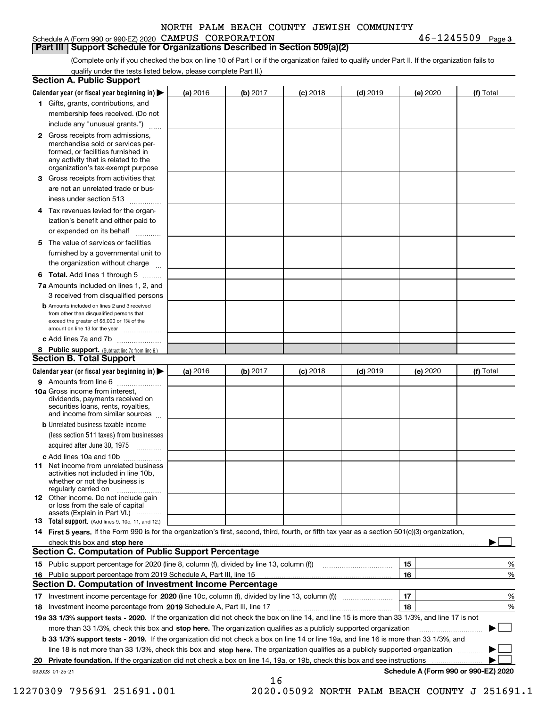|  |  | Schedule A (Form 990 or 990-EZ) 2020 CAMPUS CORPORATION | $46 - 1245509$ Page 3 |  |
|--|--|---------------------------------------------------------|-----------------------|--|
|  |  |                                                         |                       |  |

(Complete only if you checked the box on line 10 of Part I or if the organization failed to qualify under Part II. If the organization fails to **Part III Support Schedule for Organizations Described in Section 509(a)(2)** 

qualify under the tests listed below, please complete Part II.)

|    | <b>Section A. Public Support</b>                                                                                                                                                         |          |          |                 |            |          |                                      |
|----|------------------------------------------------------------------------------------------------------------------------------------------------------------------------------------------|----------|----------|-----------------|------------|----------|--------------------------------------|
|    | Calendar year (or fiscal year beginning in) $\blacktriangleright$                                                                                                                        | (a) 2016 | (b) 2017 | <b>(c)</b> 2018 | $(d)$ 2019 | (e) 2020 | (f) Total                            |
|    | 1 Gifts, grants, contributions, and                                                                                                                                                      |          |          |                 |            |          |                                      |
|    | membership fees received. (Do not                                                                                                                                                        |          |          |                 |            |          |                                      |
|    | include any "unusual grants.")                                                                                                                                                           |          |          |                 |            |          |                                      |
|    | 2 Gross receipts from admissions,<br>merchandise sold or services per-<br>formed, or facilities furnished in<br>any activity that is related to the<br>organization's tax-exempt purpose |          |          |                 |            |          |                                      |
| З  | Gross receipts from activities that                                                                                                                                                      |          |          |                 |            |          |                                      |
|    | are not an unrelated trade or bus-<br>iness under section 513                                                                                                                            |          |          |                 |            |          |                                      |
| 4  | Tax revenues levied for the organ-                                                                                                                                                       |          |          |                 |            |          |                                      |
|    | ization's benefit and either paid to<br>or expended on its behalf<br>.                                                                                                                   |          |          |                 |            |          |                                      |
| 5. | The value of services or facilities                                                                                                                                                      |          |          |                 |            |          |                                      |
|    | furnished by a governmental unit to                                                                                                                                                      |          |          |                 |            |          |                                      |
|    | the organization without charge                                                                                                                                                          |          |          |                 |            |          |                                      |
|    | <b>6 Total.</b> Add lines 1 through 5                                                                                                                                                    |          |          |                 |            |          |                                      |
|    | 7a Amounts included on lines 1, 2, and                                                                                                                                                   |          |          |                 |            |          |                                      |
|    | 3 received from disqualified persons<br><b>b</b> Amounts included on lines 2 and 3 received                                                                                              |          |          |                 |            |          |                                      |
|    | from other than disqualified persons that<br>exceed the greater of \$5,000 or 1% of the<br>amount on line 13 for the year                                                                |          |          |                 |            |          |                                      |
|    | c Add lines 7a and 7b                                                                                                                                                                    |          |          |                 |            |          |                                      |
|    | 8 Public support. (Subtract line 7c from line 6.)                                                                                                                                        |          |          |                 |            |          |                                      |
|    | <b>Section B. Total Support</b>                                                                                                                                                          |          |          |                 |            |          |                                      |
|    | Calendar year (or fiscal year beginning in)                                                                                                                                              | (a) 2016 | (b) 2017 | <b>(c)</b> 2018 | $(d)$ 2019 | (e) 2020 | (f) Total                            |
|    | 9 Amounts from line 6                                                                                                                                                                    |          |          |                 |            |          |                                      |
|    | 10a Gross income from interest,<br>dividends, payments received on<br>securities loans, rents, royalties,<br>and income from similar sources                                             |          |          |                 |            |          |                                      |
|    | <b>b</b> Unrelated business taxable income                                                                                                                                               |          |          |                 |            |          |                                      |
|    | (less section 511 taxes) from businesses<br>acquired after June 30, 1975                                                                                                                 |          |          |                 |            |          |                                      |
|    |                                                                                                                                                                                          |          |          |                 |            |          |                                      |
|    | c Add lines 10a and 10b<br><b>11</b> Net income from unrelated business<br>activities not included in line 10b.<br>whether or not the business is<br>regularly carried on                |          |          |                 |            |          |                                      |
|    | <b>12</b> Other income. Do not include gain<br>or loss from the sale of capital<br>assets (Explain in Part VI.)                                                                          |          |          |                 |            |          |                                      |
|    | <b>13</b> Total support. (Add lines 9, 10c, 11, and 12.)                                                                                                                                 |          |          |                 |            |          |                                      |
|    | 14 First 5 years. If the Form 990 is for the organization's first, second, third, fourth, or fifth tax year as a section 501(c)(3) organization,                                         |          |          |                 |            |          |                                      |
|    | check this box and stop here www.communication.communication.com/                                                                                                                        |          |          |                 |            |          |                                      |
|    | <b>Section C. Computation of Public Support Percentage</b>                                                                                                                               |          |          |                 |            |          |                                      |
|    |                                                                                                                                                                                          |          |          |                 |            | 15       | %                                    |
|    | 16 Public support percentage from 2019 Schedule A, Part III, line 15                                                                                                                     |          |          |                 |            | 16       | %                                    |
|    | Section D. Computation of Investment Income Percentage                                                                                                                                   |          |          |                 |            |          |                                      |
|    |                                                                                                                                                                                          |          |          |                 |            | 17       | %                                    |
|    | 18 Investment income percentage from 2019 Schedule A, Part III, line 17                                                                                                                  |          |          |                 |            | 18       | %                                    |
|    | 19a 33 1/3% support tests - 2020. If the organization did not check the box on line 14, and line 15 is more than 33 1/3%, and line 17 is not                                             |          |          |                 |            |          |                                      |
|    | more than 33 1/3%, check this box and stop here. The organization qualifies as a publicly supported organization                                                                         |          |          |                 |            |          |                                      |
|    | b 33 1/3% support tests - 2019. If the organization did not check a box on line 14 or line 19a, and line 16 is more than 33 1/3%, and                                                    |          |          |                 |            |          |                                      |
|    | line 18 is not more than 33 1/3%, check this box and stop here. The organization qualifies as a publicly supported organization                                                          |          |          |                 |            |          |                                      |
| 20 |                                                                                                                                                                                          |          |          |                 |            |          |                                      |
|    | 032023 01-25-21                                                                                                                                                                          |          | 16       |                 |            |          | Schedule A (Form 990 or 990-EZ) 2020 |

12270309 795691 251691.001 2020.05092 NORTH PALM BEACH COUNTY J 251691.1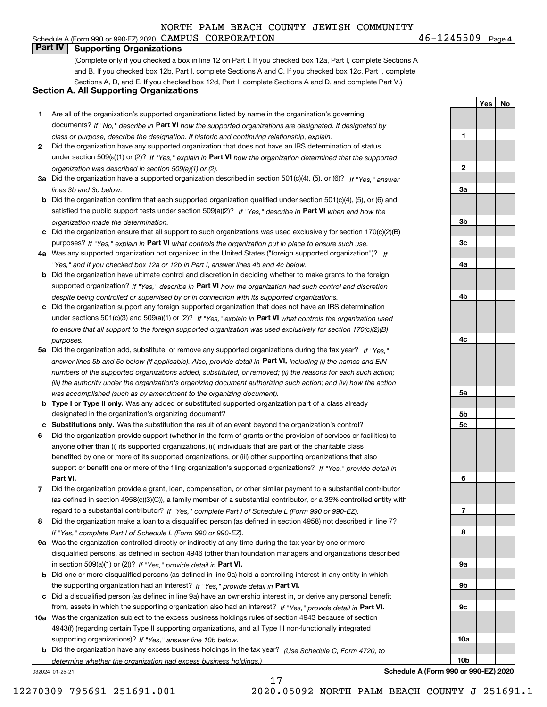# Schedule A (Form 990 or 990-EZ) 2020 Page CAMPUS CORPORATION 46-1245509 **Part IV Supporting Organizations**

(Complete only if you checked a box in line 12 on Part I. If you checked box 12a, Part I, complete Sections A and B. If you checked box 12b, Part I, complete Sections A and C. If you checked box 12c, Part I, complete Sections A, D, and E. If you checked box 12d, Part I, complete Sections A and D, and complete Part V.)

# **Section A. All Supporting Organizations**

- **1** Are all of the organization's supported organizations listed by name in the organization's governing documents? If "No," describe in **Part VI** how the supported organizations are designated. If designated by *class or purpose, describe the designation. If historic and continuing relationship, explain.*
- **2** Did the organization have any supported organization that does not have an IRS determination of status under section 509(a)(1) or (2)? If "Yes," explain in Part VI how the organization determined that the supported *organization was described in section 509(a)(1) or (2).*
- **3a** Did the organization have a supported organization described in section 501(c)(4), (5), or (6)? If "Yes," answer *lines 3b and 3c below.*
- **b** Did the organization confirm that each supported organization qualified under section 501(c)(4), (5), or (6) and satisfied the public support tests under section 509(a)(2)? If "Yes," describe in **Part VI** when and how the *organization made the determination.*
- **c**Did the organization ensure that all support to such organizations was used exclusively for section 170(c)(2)(B) purposes? If "Yes," explain in **Part VI** what controls the organization put in place to ensure such use.
- **4a***If* Was any supported organization not organized in the United States ("foreign supported organization")? *"Yes," and if you checked box 12a or 12b in Part I, answer lines 4b and 4c below.*
- **b** Did the organization have ultimate control and discretion in deciding whether to make grants to the foreign supported organization? If "Yes," describe in **Part VI** how the organization had such control and discretion *despite being controlled or supervised by or in connection with its supported organizations.*
- **c** Did the organization support any foreign supported organization that does not have an IRS determination under sections 501(c)(3) and 509(a)(1) or (2)? If "Yes," explain in **Part VI** what controls the organization used *to ensure that all support to the foreign supported organization was used exclusively for section 170(c)(2)(B) purposes.*
- **5a** Did the organization add, substitute, or remove any supported organizations during the tax year? If "Yes," answer lines 5b and 5c below (if applicable). Also, provide detail in **Part VI,** including (i) the names and EIN *numbers of the supported organizations added, substituted, or removed; (ii) the reasons for each such action; (iii) the authority under the organization's organizing document authorizing such action; and (iv) how the action was accomplished (such as by amendment to the organizing document).*
- **b** Type I or Type II only. Was any added or substituted supported organization part of a class already designated in the organization's organizing document?
- **cSubstitutions only.**  Was the substitution the result of an event beyond the organization's control?
- **6** Did the organization provide support (whether in the form of grants or the provision of services or facilities) to **Part VI.** *If "Yes," provide detail in* support or benefit one or more of the filing organization's supported organizations? anyone other than (i) its supported organizations, (ii) individuals that are part of the charitable class benefited by one or more of its supported organizations, or (iii) other supporting organizations that also
- **7**Did the organization provide a grant, loan, compensation, or other similar payment to a substantial contributor *If "Yes," complete Part I of Schedule L (Form 990 or 990-EZ).* regard to a substantial contributor? (as defined in section 4958(c)(3)(C)), a family member of a substantial contributor, or a 35% controlled entity with
- **8** Did the organization make a loan to a disqualified person (as defined in section 4958) not described in line 7? *If "Yes," complete Part I of Schedule L (Form 990 or 990-EZ).*
- **9a** Was the organization controlled directly or indirectly at any time during the tax year by one or more in section 509(a)(1) or (2))? If "Yes," *provide detail in* <code>Part VI.</code> disqualified persons, as defined in section 4946 (other than foundation managers and organizations described
- **b**the supporting organization had an interest? If "Yes," provide detail in P**art VI**. Did one or more disqualified persons (as defined in line 9a) hold a controlling interest in any entity in which
- **c**Did a disqualified person (as defined in line 9a) have an ownership interest in, or derive any personal benefit from, assets in which the supporting organization also had an interest? If "Yes," provide detail in P**art VI.**
- **10a** Was the organization subject to the excess business holdings rules of section 4943 because of section supporting organizations)? If "Yes," answer line 10b below. 4943(f) (regarding certain Type II supporting organizations, and all Type III non-functionally integrated
- **b** Did the organization have any excess business holdings in the tax year? (Use Schedule C, Form 4720, to *determine whether the organization had excess business holdings.)*

032024 01-25-21

**Schedule A (Form 990 or 990-EZ) 2020**

 $46 - 1245509$  Page 4

**1**

**2**

**3a**

**3b**

**3c**

**4a**

**4b**

**4c**

**5a**

**5b5c**

**6**

**7**

**8**

**9a**

**9b**

**9c**

**10a**

**10b**

**YesNo**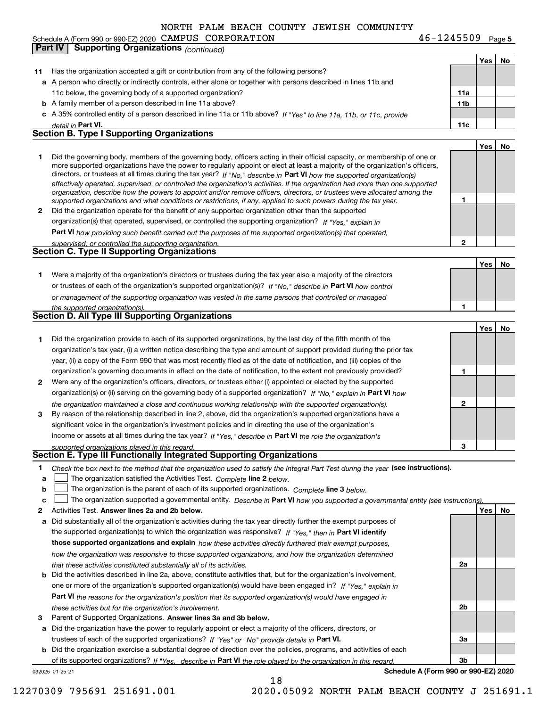Schedule A (Form 990 or 990-EZ) 2020 Page CAMPUS CORPORATION 46-1245509 **Part IV** Supporting Organizations *(continued)* 

**5**

|    |                                                                                                                                                           |              | Yes $ $ | No |
|----|-----------------------------------------------------------------------------------------------------------------------------------------------------------|--------------|---------|----|
| 11 | Has the organization accepted a gift or contribution from any of the following persons?                                                                   |              |         |    |
|    | a A person who directly or indirectly controls, either alone or together with persons described in lines 11b and                                          |              |         |    |
|    | 11c below, the governing body of a supported organization?                                                                                                | 11a          |         |    |
|    | <b>b</b> A family member of a person described in line 11a above?                                                                                         | 11b          |         |    |
|    | c A 35% controlled entity of a person described in line 11a or 11b above? If "Yes" to line 11a, 11b, or 11c, provide                                      |              |         |    |
|    | detail in Part VI.                                                                                                                                        | 11c          |         |    |
|    | <b>Section B. Type I Supporting Organizations</b>                                                                                                         |              |         |    |
|    |                                                                                                                                                           |              | Yes     | No |
|    | Did the governing body, members of the governing body, officers acting in their official capacity, or membership of one or                                |              |         |    |
| 1  | more supported organizations have the power to regularly appoint or elect at least a majority of the organization's officers,                             |              |         |    |
|    | directors, or trustees at all times during the tax year? If "No," describe in Part VI how the supported organization(s)                                   |              |         |    |
|    | effectively operated, supervised, or controlled the organization's activities. If the organization had more than one supported                            |              |         |    |
|    | organization, describe how the powers to appoint and/or remove officers, directors, or trustees were allocated among the                                  |              |         |    |
|    | supported organizations and what conditions or restrictions, if any, applied to such powers during the tax year.                                          | 1            |         |    |
| 2  | Did the organization operate for the benefit of any supported organization other than the supported                                                       |              |         |    |
|    | organization(s) that operated, supervised, or controlled the supporting organization? If "Yes," explain in                                                |              |         |    |
|    | <b>Part VI</b> how providing such benefit carried out the purposes of the supported organization(s) that operated.                                        |              |         |    |
|    | supervised, or controlled the supporting organization.                                                                                                    | 2            |         |    |
|    | <b>Section C. Type II Supporting Organizations</b>                                                                                                        |              |         |    |
|    |                                                                                                                                                           |              | Yes     | No |
| 1  | Were a majority of the organization's directors or trustees during the tax year also a majority of the directors                                          |              |         |    |
|    | or trustees of each of the organization's supported organization(s)? If "No." describe in Part VI how control                                             |              |         |    |
|    | or management of the supporting organization was vested in the same persons that controlled or managed                                                    |              |         |    |
|    | the supported organization(s).                                                                                                                            | 1            |         |    |
|    | Section D. All Type III Supporting Organizations                                                                                                          |              |         |    |
|    |                                                                                                                                                           |              | Yes     | No |
| 1  | Did the organization provide to each of its supported organizations, by the last day of the fifth month of the                                            |              |         |    |
|    | organization's tax year, (i) a written notice describing the type and amount of support provided during the prior tax                                     |              |         |    |
|    | year, (ii) a copy of the Form 990 that was most recently filed as of the date of notification, and (iii) copies of the                                    |              |         |    |
|    |                                                                                                                                                           | 1            |         |    |
|    | organization's governing documents in effect on the date of notification, to the extent not previously provided?                                          |              |         |    |
| 2  | Were any of the organization's officers, directors, or trustees either (i) appointed or elected by the supported                                          |              |         |    |
|    | organization(s) or (ii) serving on the governing body of a supported organization? If "No," explain in Part VI how                                        |              |         |    |
|    | the organization maintained a close and continuous working relationship with the supported organization(s).                                               | $\mathbf{2}$ |         |    |
| 3  | By reason of the relationship described in line 2, above, did the organization's supported organizations have a                                           |              |         |    |
|    | significant voice in the organization's investment policies and in directing the use of the organization's                                                |              |         |    |
|    | income or assets at all times during the tax year? If "Yes," describe in Part VI the role the organization's                                              |              |         |    |
|    | supported organizations played in this regard.                                                                                                            | з            |         |    |
|    | Section E. Type III Functionally Integrated Supporting Organizations                                                                                      |              |         |    |
| 1  | Check the box next to the method that the organization used to satisfy the Integral Part Test during the year (see instructions).                         |              |         |    |
| a  | The organization satisfied the Activities Test. Complete line 2 below.                                                                                    |              |         |    |
| b  | The organization is the parent of each of its supported organizations. Complete line 3 below.                                                             |              |         |    |
| c  | The organization supported a governmental entity. Describe in Part VI how you supported a governmental entity (see instructions).                         |              |         |    |
| 2  | Activities Test. Answer lines 2a and 2b below.                                                                                                            |              | Yes     | No |
| а  | Did substantially all of the organization's activities during the tax year directly further the exempt purposes of                                        |              |         |    |
|    | the supported organization(s) to which the organization was responsive? If "Yes," then in Part VI identify                                                |              |         |    |
|    | those supported organizations and explain how these activities directly furthered their exempt purposes,                                                  |              |         |    |
|    | how the organization was responsive to those supported organizations, and how the organization determined                                                 |              |         |    |
|    | that these activities constituted substantially all of its activities.                                                                                    | 2a           |         |    |
| b  | Did the activities described in line 2a, above, constitute activities that, but for the organization's involvement,                                       |              |         |    |
|    | one or more of the organization's supported organization(s) would have been engaged in? If "Yes," explain in                                              |              |         |    |
|    | Part VI the reasons for the organization's position that its supported organization(s) would have engaged in                                              |              |         |    |
|    | these activities but for the organization's involvement.                                                                                                  | 2b           |         |    |
| з  | Parent of Supported Organizations. Answer lines 3a and 3b below.                                                                                          |              |         |    |
| а  | Did the organization have the power to regularly appoint or elect a majority of the officers, directors, or                                               |              |         |    |
|    | trustees of each of the supported organizations? If "Yes" or "No" provide details in Part VI.                                                             | За           |         |    |
|    | Did the organization exercise a substantial degree of direction over the policies, programs, and activities of each                                       |              |         |    |
| b  |                                                                                                                                                           | 3b           |         |    |
|    | of its supported organizations? If "Yes." describe in Part VI the role played by the organization in this regard.<br>Schedule A (Form 990 or 990-EZ) 2020 |              |         |    |
|    | 032025 01-25-21<br>18                                                                                                                                     |              |         |    |
|    |                                                                                                                                                           |              |         |    |

12270309 795691 251691.001 2020.05092 NORTH PALM BEACH COUNTY J 251691.1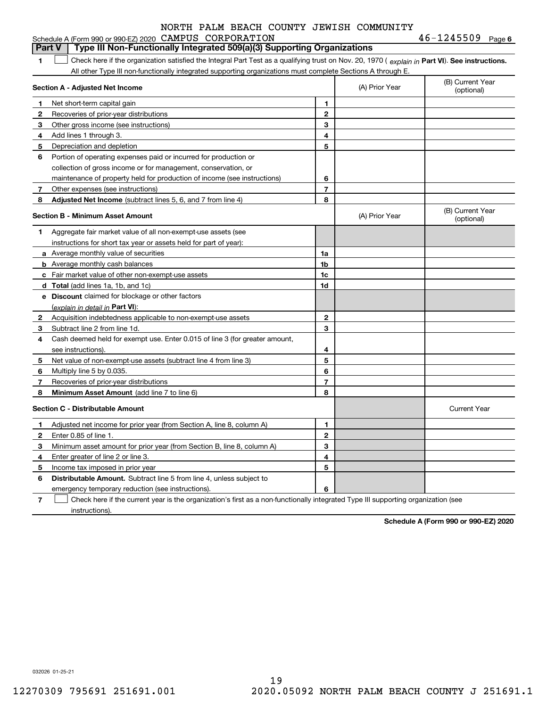|   | Schedule A (Form 990 or 990-EZ) 2020 CAMPUS CORPORATION                                                                                        |                          |                | $46 - 1245509$ Page 6          |
|---|------------------------------------------------------------------------------------------------------------------------------------------------|--------------------------|----------------|--------------------------------|
|   | Type III Non-Functionally Integrated 509(a)(3) Supporting Organizations<br><b>Part V</b>                                                       |                          |                |                                |
| 1 | Check here if the organization satisfied the Integral Part Test as a qualifying trust on Nov. 20, 1970 (explain in Part VI). See instructions. |                          |                |                                |
|   | All other Type III non-functionally integrated supporting organizations must complete Sections A through E.                                    |                          |                |                                |
|   | Section A - Adjusted Net Income                                                                                                                |                          | (A) Prior Year | (B) Current Year<br>(optional) |
| 1 | Net short-term capital gain                                                                                                                    | 1.                       |                |                                |
| 2 | Recoveries of prior-year distributions                                                                                                         | $\overline{\mathbf{c}}$  |                |                                |
| 3 | Other gross income (see instructions)                                                                                                          | 3                        |                |                                |
| 4 | Add lines 1 through 3.                                                                                                                         | 4                        |                |                                |
| 5 | Depreciation and depletion                                                                                                                     | 5                        |                |                                |
| 6 | Portion of operating expenses paid or incurred for production or                                                                               |                          |                |                                |
|   | collection of gross income or for management, conservation, or                                                                                 |                          |                |                                |
|   | maintenance of property held for production of income (see instructions)                                                                       | 6                        |                |                                |
| 7 | Other expenses (see instructions)                                                                                                              | $\overline{7}$           |                |                                |
| 8 | Adjusted Net Income (subtract lines 5, 6, and 7 from line 4)                                                                                   | 8                        |                |                                |
|   | <b>Section B - Minimum Asset Amount</b>                                                                                                        |                          | (A) Prior Year | (B) Current Year<br>(optional) |
| 1 | Aggregate fair market value of all non-exempt-use assets (see                                                                                  |                          |                |                                |
|   | instructions for short tax year or assets held for part of year):                                                                              |                          |                |                                |
|   | a Average monthly value of securities                                                                                                          | 1a                       |                |                                |
|   | <b>b</b> Average monthly cash balances                                                                                                         | 1b                       |                |                                |
|   | c Fair market value of other non-exempt-use assets                                                                                             | 1c                       |                |                                |
|   | d Total (add lines 1a, 1b, and 1c)                                                                                                             | 1d                       |                |                                |
|   | e Discount claimed for blockage or other factors                                                                                               |                          |                |                                |
|   | (explain in detail in Part VI):                                                                                                                |                          |                |                                |
| 2 | Acquisition indebtedness applicable to non-exempt-use assets                                                                                   | $\mathbf 2$              |                |                                |
| 3 | Subtract line 2 from line 1d.                                                                                                                  | 3                        |                |                                |
| 4 | Cash deemed held for exempt use. Enter 0.015 of line 3 (for greater amount,                                                                    |                          |                |                                |
|   | see instructions).                                                                                                                             | 4                        |                |                                |
| 5 | Net value of non-exempt-use assets (subtract line 4 from line 3)                                                                               | 5                        |                |                                |
| 6 | Multiply line 5 by 0.035.                                                                                                                      | 6                        |                |                                |
| 7 | Recoveries of prior-year distributions                                                                                                         | $\overline{\phantom{a}}$ |                |                                |
| 8 | Minimum Asset Amount (add line 7 to line 6)                                                                                                    | 8                        |                |                                |
|   | <b>Section C - Distributable Amount</b>                                                                                                        |                          |                | <b>Current Year</b>            |
| 1 | Adjusted net income for prior year (from Section A, line 8, column A)                                                                          | 1                        |                |                                |
| 2 | Enter 0.85 of line 1.                                                                                                                          | $\overline{2}$           |                |                                |
| 3 | Minimum asset amount for prior year (from Section B, line 8, column A)                                                                         | 3                        |                |                                |
| 4 | Enter greater of line 2 or line 3.                                                                                                             | 4                        |                |                                |
| 5 | Income tax imposed in prior year                                                                                                               | 5                        |                |                                |
| 6 | <b>Distributable Amount.</b> Subtract line 5 from line 4, unless subject to                                                                    |                          |                |                                |
|   | emergency temporary reduction (see instructions).                                                                                              | 6                        |                |                                |

**7** Check here if the current year is the organization's first as a non-functionally integrated Type III supporting organization (see instructions).

**Schedule A (Form 990 or 990-EZ) 2020**

032026 01-25-21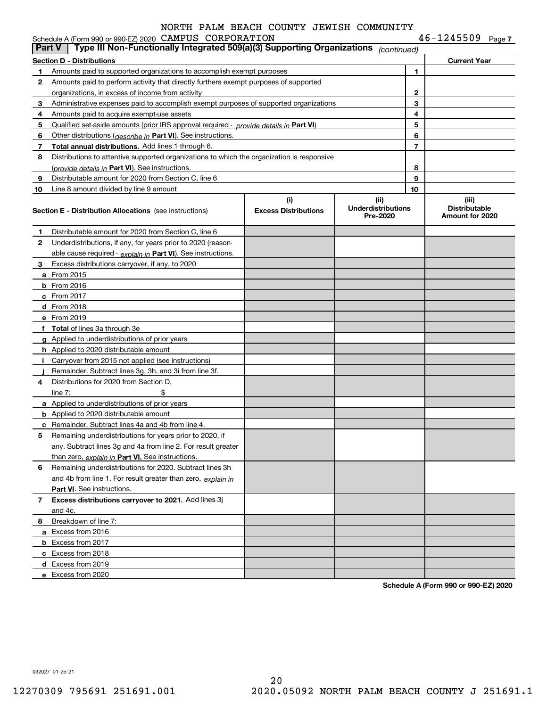|               | Schedule A (Form 990 or 990-EZ) 2020 CAMPUS CORPORATION                                       |                                    |                                               |                | $46 - 1245509$ Page 7                            |
|---------------|-----------------------------------------------------------------------------------------------|------------------------------------|-----------------------------------------------|----------------|--------------------------------------------------|
| <b>Part V</b> | Type III Non-Functionally Integrated 509(a)(3) Supporting Organizations                       |                                    | (continued)                                   |                |                                                  |
|               | <b>Section D - Distributions</b>                                                              |                                    |                                               |                | <b>Current Year</b>                              |
| 1.            | Amounts paid to supported organizations to accomplish exempt purposes                         |                                    |                                               | 1              |                                                  |
| 2             | Amounts paid to perform activity that directly furthers exempt purposes of supported          |                                    |                                               |                |                                                  |
|               | organizations, in excess of income from activity                                              |                                    |                                               | $\mathbf{2}$   |                                                  |
| 3             | Administrative expenses paid to accomplish exempt purposes of supported organizations         |                                    |                                               | 3              |                                                  |
| 4             | Amounts paid to acquire exempt-use assets                                                     |                                    |                                               | 4              |                                                  |
| 5             | Qualified set-aside amounts (prior IRS approval required - <i>provide details in</i> Part VI) |                                    |                                               | 5              |                                                  |
| 6             | Other distributions ( <i>describe in</i> Part VI). See instructions.                          |                                    |                                               | 6              |                                                  |
| 7             | Total annual distributions. Add lines 1 through 6.                                            |                                    |                                               | $\overline{7}$ |                                                  |
| 8             | Distributions to attentive supported organizations to which the organization is responsive    |                                    |                                               |                |                                                  |
|               | (provide details in Part VI). See instructions.                                               |                                    |                                               | 8              |                                                  |
| 9             | Distributable amount for 2020 from Section C, line 6                                          |                                    |                                               | 9              |                                                  |
| 10            | Line 8 amount divided by line 9 amount                                                        |                                    |                                               | 10             |                                                  |
|               | <b>Section E - Distribution Allocations</b> (see instructions)                                | (i)<br><b>Excess Distributions</b> | (ii)<br><b>Underdistributions</b><br>Pre-2020 |                | (iii)<br><b>Distributable</b><br>Amount for 2020 |
| 1             | Distributable amount for 2020 from Section C, line 6                                          |                                    |                                               |                |                                                  |
| 2             | Underdistributions, if any, for years prior to 2020 (reason-                                  |                                    |                                               |                |                                                  |
|               | able cause required $\cdot$ explain in Part VI). See instructions.                            |                                    |                                               |                |                                                  |
| З.            | Excess distributions carryover, if any, to 2020                                               |                                    |                                               |                |                                                  |
|               | <b>a</b> From 2015                                                                            |                                    |                                               |                |                                                  |
|               | $b$ From 2016                                                                                 |                                    |                                               |                |                                                  |
|               | $c$ From 2017                                                                                 |                                    |                                               |                |                                                  |
|               | d From 2018                                                                                   |                                    |                                               |                |                                                  |
|               | e From 2019                                                                                   |                                    |                                               |                |                                                  |
|               | f Total of lines 3a through 3e                                                                |                                    |                                               |                |                                                  |
|               | g Applied to underdistributions of prior years                                                |                                    |                                               |                |                                                  |
|               | <b>h</b> Applied to 2020 distributable amount                                                 |                                    |                                               |                |                                                  |
|               | Carryover from 2015 not applied (see instructions)                                            |                                    |                                               |                |                                                  |
|               | Remainder. Subtract lines 3g, 3h, and 3i from line 3f.                                        |                                    |                                               |                |                                                  |
| 4             | Distributions for 2020 from Section D.                                                        |                                    |                                               |                |                                                  |
|               | \$<br>line $7:$                                                                               |                                    |                                               |                |                                                  |
|               | a Applied to underdistributions of prior years                                                |                                    |                                               |                |                                                  |
|               | <b>b</b> Applied to 2020 distributable amount                                                 |                                    |                                               |                |                                                  |
|               | <b>c</b> Remainder. Subtract lines 4a and 4b from line 4.                                     |                                    |                                               |                |                                                  |
|               | Remaining underdistributions for years prior to 2020, if                                      |                                    |                                               |                |                                                  |
|               | any. Subtract lines 3g and 4a from line 2. For result greater                                 |                                    |                                               |                |                                                  |
|               | than zero, explain in Part VI. See instructions.                                              |                                    |                                               |                |                                                  |
| 6             | Remaining underdistributions for 2020. Subtract lines 3h                                      |                                    |                                               |                |                                                  |
|               | and 4b from line 1. For result greater than zero, explain in                                  |                                    |                                               |                |                                                  |
|               | Part VI. See instructions.                                                                    |                                    |                                               |                |                                                  |
| $7^{\circ}$   | Excess distributions carryover to 2021. Add lines 3j                                          |                                    |                                               |                |                                                  |
|               | and 4c.                                                                                       |                                    |                                               |                |                                                  |
| 8             | Breakdown of line 7:                                                                          |                                    |                                               |                |                                                  |
|               | a Excess from 2016                                                                            |                                    |                                               |                |                                                  |
|               | <b>b</b> Excess from 2017                                                                     |                                    |                                               |                |                                                  |
|               | c Excess from 2018                                                                            |                                    |                                               |                |                                                  |
|               | d Excess from 2019                                                                            |                                    |                                               |                |                                                  |
|               | e Excess from 2020                                                                            |                                    |                                               |                |                                                  |
|               |                                                                                               |                                    |                                               |                |                                                  |

**Schedule A (Form 990 or 990-EZ) 2020**

032027 01-25-21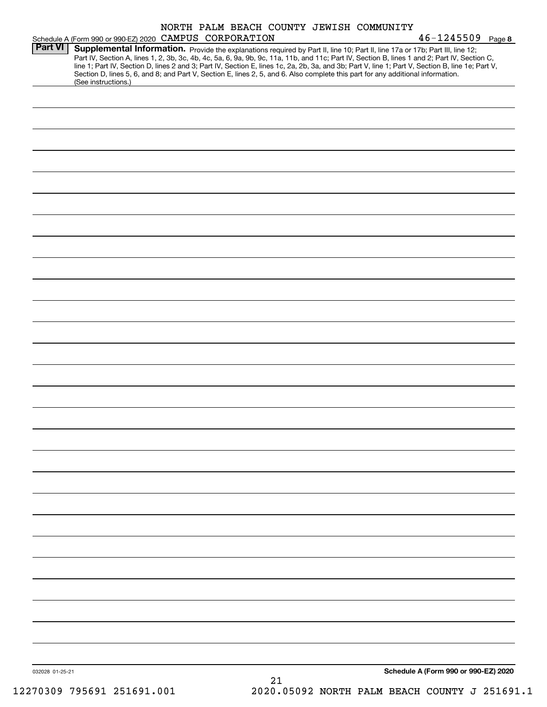|                 |                                                                                                                                                                                                                                                                                                                                          |  |    | NORTH PALM BEACH COUNTY JEWISH COMMUNITY |                                      |  |
|-----------------|------------------------------------------------------------------------------------------------------------------------------------------------------------------------------------------------------------------------------------------------------------------------------------------------------------------------------------------|--|----|------------------------------------------|--------------------------------------|--|
| <b>Part VI</b>  | Schedule A (Form 990 or 990-EZ) 2020 CAMPUS CORPORATION<br>Supplemental Information. Provide the explanations required by Part II, line 10; Part II, line 17a or 17b; Part III, line 12;<br>Part IV, Section A, lines 1, 2, 3b, 3c, 4b, 4c, 5a, 6, 9a, 9b, 9c, 11a, 11b, and 11c; Part IV, Section B, lines 1 and 2; Part IV, Section C, |  |    |                                          | $46 - 1245509$ Page 8                |  |
|                 | line 1; Part IV, Section D, lines 2 and 3; Part IV, Section E, lines 1c, 2a, 2b, 3a, and 3b; Part V, line 1; Part V, Section B, line 1e; Part V,<br>Section D, lines 5, 6, and 8; and Part V, Section E, lines 2, 5, and 6. Also complete this part for any additional information.<br>(See instructions.)                               |  |    |                                          |                                      |  |
|                 |                                                                                                                                                                                                                                                                                                                                          |  |    |                                          |                                      |  |
|                 |                                                                                                                                                                                                                                                                                                                                          |  |    |                                          |                                      |  |
|                 |                                                                                                                                                                                                                                                                                                                                          |  |    |                                          |                                      |  |
|                 |                                                                                                                                                                                                                                                                                                                                          |  |    |                                          |                                      |  |
|                 |                                                                                                                                                                                                                                                                                                                                          |  |    |                                          |                                      |  |
|                 |                                                                                                                                                                                                                                                                                                                                          |  |    |                                          |                                      |  |
|                 |                                                                                                                                                                                                                                                                                                                                          |  |    |                                          |                                      |  |
|                 |                                                                                                                                                                                                                                                                                                                                          |  |    |                                          |                                      |  |
|                 |                                                                                                                                                                                                                                                                                                                                          |  |    |                                          |                                      |  |
|                 |                                                                                                                                                                                                                                                                                                                                          |  |    |                                          |                                      |  |
|                 |                                                                                                                                                                                                                                                                                                                                          |  |    |                                          |                                      |  |
|                 |                                                                                                                                                                                                                                                                                                                                          |  |    |                                          |                                      |  |
|                 |                                                                                                                                                                                                                                                                                                                                          |  |    |                                          |                                      |  |
|                 |                                                                                                                                                                                                                                                                                                                                          |  |    |                                          |                                      |  |
|                 |                                                                                                                                                                                                                                                                                                                                          |  |    |                                          |                                      |  |
|                 |                                                                                                                                                                                                                                                                                                                                          |  |    |                                          |                                      |  |
|                 |                                                                                                                                                                                                                                                                                                                                          |  |    |                                          |                                      |  |
|                 |                                                                                                                                                                                                                                                                                                                                          |  |    |                                          |                                      |  |
|                 |                                                                                                                                                                                                                                                                                                                                          |  |    |                                          |                                      |  |
|                 |                                                                                                                                                                                                                                                                                                                                          |  |    |                                          |                                      |  |
|                 |                                                                                                                                                                                                                                                                                                                                          |  |    |                                          |                                      |  |
|                 |                                                                                                                                                                                                                                                                                                                                          |  |    |                                          |                                      |  |
|                 |                                                                                                                                                                                                                                                                                                                                          |  |    |                                          |                                      |  |
|                 |                                                                                                                                                                                                                                                                                                                                          |  |    |                                          |                                      |  |
| 032028 01-25-21 |                                                                                                                                                                                                                                                                                                                                          |  | 21 |                                          | Schedule A (Form 990 or 990-EZ) 2020 |  |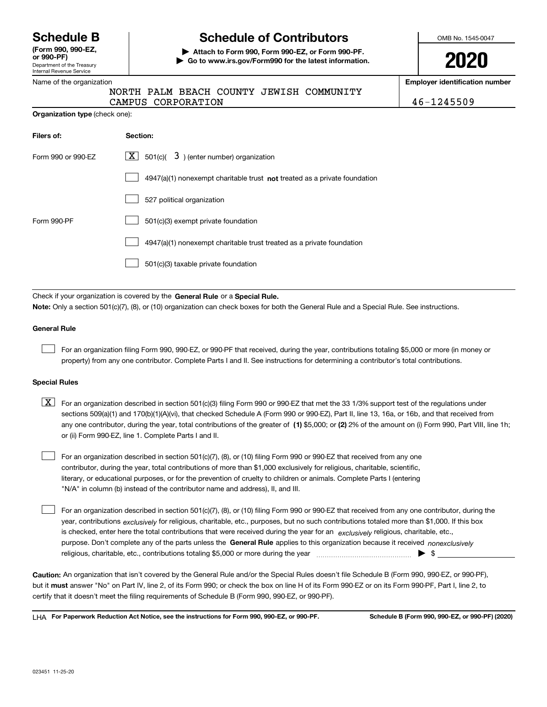Department of the Treasury Internal Revenue Service **(Form 990, 990-EZ, or 990-PF)**

**Organization type** (check one):

# **Schedule B Schedule of Contributors**

**| Attach to Form 990, Form 990-EZ, or Form 990-PF. | Go to www.irs.gov/Form990 for the latest information.** OMB No. 1545-0047

**2020**

**Employer identification number**

| Name of the organization |  |  |                                          |
|--------------------------|--|--|------------------------------------------|
|                          |  |  | NORTH PALM BEACH COUNTY JEWISH COMMUNITY |

CAMPUS CORPORATION 46-1245509

| Filers of:         | Section:                                                                           |
|--------------------|------------------------------------------------------------------------------------|
| Form 990 or 990-EZ | $\lfloor \mathbf{X} \rfloor$ 501(c)( 3) (enter number) organization                |
|                    | $4947(a)(1)$ nonexempt charitable trust <b>not</b> treated as a private foundation |
|                    | 527 political organization                                                         |
| Form 990-PF        | 501(c)(3) exempt private foundation                                                |
|                    | 4947(a)(1) nonexempt charitable trust treated as a private foundation              |
|                    | 501(c)(3) taxable private foundation                                               |

Check if your organization is covered by the **General Rule** or a **Special Rule. Note:**  Only a section 501(c)(7), (8), or (10) organization can check boxes for both the General Rule and a Special Rule. See instructions.

## **General Rule**

 $\mathcal{L}^{\text{max}}$ 

For an organization filing Form 990, 990-EZ, or 990-PF that received, during the year, contributions totaling \$5,000 or more (in money or property) from any one contributor. Complete Parts I and II. See instructions for determining a contributor's total contributions.

### **Special Rules**

any one contributor, during the year, total contributions of the greater of  $\,$  (1) \$5,000; or **(2)** 2% of the amount on (i) Form 990, Part VIII, line 1h;  $\boxed{\textbf{X}}$  For an organization described in section 501(c)(3) filing Form 990 or 990-EZ that met the 33 1/3% support test of the regulations under sections 509(a)(1) and 170(b)(1)(A)(vi), that checked Schedule A (Form 990 or 990-EZ), Part II, line 13, 16a, or 16b, and that received from or (ii) Form 990-EZ, line 1. Complete Parts I and II.

For an organization described in section 501(c)(7), (8), or (10) filing Form 990 or 990-EZ that received from any one contributor, during the year, total contributions of more than \$1,000 exclusively for religious, charitable, scientific, literary, or educational purposes, or for the prevention of cruelty to children or animals. Complete Parts I (entering "N/A" in column (b) instead of the contributor name and address), II, and III.  $\mathcal{L}^{\text{max}}$ 

purpose. Don't complete any of the parts unless the **General Rule** applies to this organization because it received *nonexclusively* year, contributions <sub>exclusively</sub> for religious, charitable, etc., purposes, but no such contributions totaled more than \$1,000. If this box is checked, enter here the total contributions that were received during the year for an  $\;$ exclusively religious, charitable, etc., For an organization described in section 501(c)(7), (8), or (10) filing Form 990 or 990-EZ that received from any one contributor, during the religious, charitable, etc., contributions totaling \$5,000 or more during the year  $\Box$ — $\Box$   $\Box$  $\mathcal{L}^{\text{max}}$ 

**Caution:**  An organization that isn't covered by the General Rule and/or the Special Rules doesn't file Schedule B (Form 990, 990-EZ, or 990-PF),  **must** but it answer "No" on Part IV, line 2, of its Form 990; or check the box on line H of its Form 990-EZ or on its Form 990-PF, Part I, line 2, to certify that it doesn't meet the filing requirements of Schedule B (Form 990, 990-EZ, or 990-PF).

**For Paperwork Reduction Act Notice, see the instructions for Form 990, 990-EZ, or 990-PF. Schedule B (Form 990, 990-EZ, or 990-PF) (2020)** LHA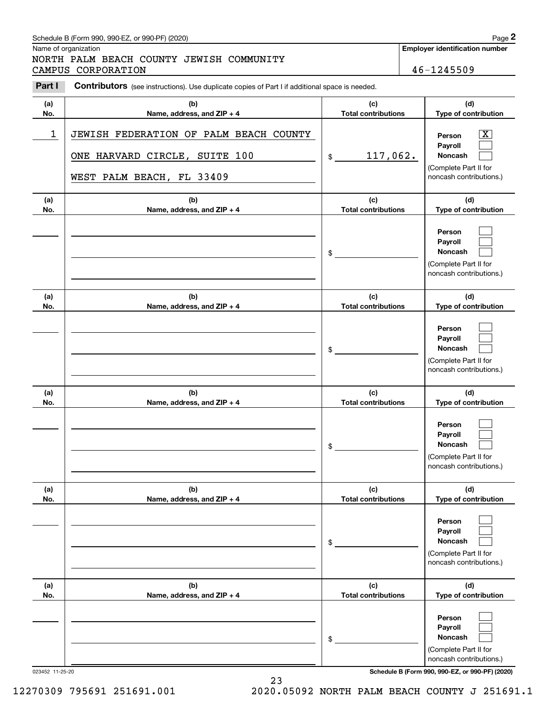# Schedule B (Form 990, 990-EZ, or 990-PF) (2020) **Page 2** Page 2

Name of organization

# Chedule B (Form 990, 990-EZ, or 990-PF) (2020)<br> **2Page 2**<br> **2Part I** PALM BEACH COUNTY JEWISH COMMUNITY<br>
2Part I Contributors (see instructions). Use duplicate copies of Part I if additional space is needed.<br>
2Part I Contr NORTH PALM BEACH COUNTY JEWISH COMMUNITY CAMPUS CORPORATION 46-1245509

### **Employer identification number**

| Part I     | Contributors (see instructions). Use duplicate copies of Part I if additional space is needed.       |                                   |                                                                                                                 |
|------------|------------------------------------------------------------------------------------------------------|-----------------------------------|-----------------------------------------------------------------------------------------------------------------|
| (a)<br>No. | (b)<br>Name, address, and ZIP + 4                                                                    | (c)<br><b>Total contributions</b> | (d)<br>Type of contribution                                                                                     |
| 1          | JEWISH FEDERATION OF PALM BEACH COUNTY<br>ONE HARVARD CIRCLE, SUITE 100<br>WEST PALM BEACH, FL 33409 | 117,062.<br>\$                    | $\boxed{\text{X}}$<br>Person<br>Payroll<br><b>Noncash</b><br>(Complete Part II for<br>noncash contributions.)   |
| (a)<br>No. | (b)<br>Name, address, and ZIP + 4                                                                    | (c)<br><b>Total contributions</b> | (d)<br>Type of contribution                                                                                     |
|            |                                                                                                      | \$                                | Person<br>Payroll<br>Noncash<br>(Complete Part II for<br>noncash contributions.)                                |
| (a)<br>No. | (b)<br>Name, address, and ZIP + 4                                                                    | (c)<br><b>Total contributions</b> | (d)<br>Type of contribution                                                                                     |
|            |                                                                                                      | \$                                | Person<br>Payroll<br><b>Noncash</b><br>(Complete Part II for<br>noncash contributions.)                         |
| (a)        | (b)                                                                                                  | (c)                               | (d)                                                                                                             |
| No.        | Name, address, and ZIP + 4                                                                           | <b>Total contributions</b><br>\$  | Type of contribution<br>Person<br>Payroll<br><b>Noncash</b><br>(Complete Part II for<br>noncash contributions.) |
| (a)<br>No. | (b)<br>Name, address, and ZIP + 4                                                                    | (c)<br><b>Total contributions</b> | (d)<br>Type of contribution                                                                                     |
|            |                                                                                                      | \$                                | Person<br>Payroll<br>Noncash<br>(Complete Part II for<br>noncash contributions.)                                |
| (a)<br>No. | (b)<br>Name, address, and ZIP + 4                                                                    | (c)<br><b>Total contributions</b> | (d)<br>Type of contribution                                                                                     |
|            |                                                                                                      | \$                                | Person<br>Payroll<br>Noncash<br>(Complete Part II for<br>noncash contributions.)                                |

023452 11-25-20 **Schedule B (Form 990, 990-EZ, or 990-PF) (2020)**

23 12270309 795691 251691.001 2020.05092 NORTH PALM BEACH COUNTY J 251691.1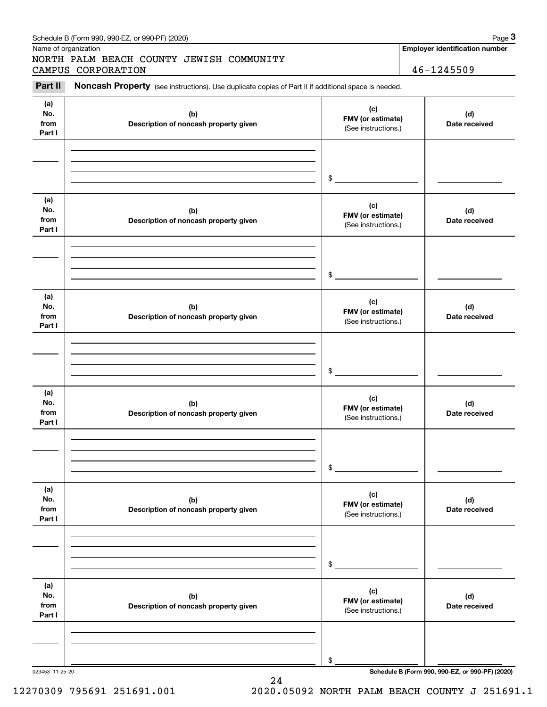|                              | NORTH PALM BEACH COUNTY JEWISH COMMUNITY                                                                                  |                                                 |                      |
|------------------------------|---------------------------------------------------------------------------------------------------------------------------|-------------------------------------------------|----------------------|
| Part II                      | CAMPUS CORPORATION<br>Noncash Property (see instructions). Use duplicate copies of Part II if additional space is needed. |                                                 | 46-1245509           |
|                              |                                                                                                                           |                                                 |                      |
| (a)<br>No.<br>from<br>Part I | (b)<br>Description of noncash property given                                                                              | (c)<br>FMV (or estimate)<br>(See instructions.) | (d)<br>Date received |
|                              |                                                                                                                           |                                                 |                      |
|                              |                                                                                                                           | \$                                              |                      |
| (a)<br>No.<br>from<br>Part I | (b)<br>Description of noncash property given                                                                              | (c)<br>FMV (or estimate)<br>(See instructions.) | (d)<br>Date received |
|                              |                                                                                                                           |                                                 |                      |
|                              |                                                                                                                           | \$                                              |                      |
| (a)<br>No.<br>from<br>Part I | (b)<br>Description of noncash property given                                                                              | (c)<br>FMV (or estimate)<br>(See instructions.) | (d)<br>Date received |
|                              |                                                                                                                           |                                                 |                      |
|                              |                                                                                                                           | \$                                              |                      |
| (a)<br>No.<br>from<br>Part I | (b)<br>Description of noncash property given                                                                              | (c)<br>FMV (or estimate)<br>(See instructions.) | (d)<br>Date received |
|                              |                                                                                                                           |                                                 |                      |
|                              |                                                                                                                           | \$                                              |                      |
| (a)<br>No.<br>from<br>Part I | (b)<br>Description of noncash property given                                                                              | (c)<br>FMV (or estimate)<br>(See instructions.) | (d)<br>Date received |
|                              |                                                                                                                           |                                                 |                      |
|                              |                                                                                                                           | \$                                              |                      |
| (a)<br>No.<br>from<br>Part I | (b)<br>Description of noncash property given                                                                              | (c)<br>FMV (or estimate)<br>(See instructions.) | (d)<br>Date received |
|                              |                                                                                                                           |                                                 |                      |
|                              |                                                                                                                           |                                                 |                      |

Schedule B (Form 990, 990-EZ, or 990-PF) (2020) Page 3

24

12270309 795691 251691.001 2020.05092 NORTH PALM BEACH COUNTY J 251691.1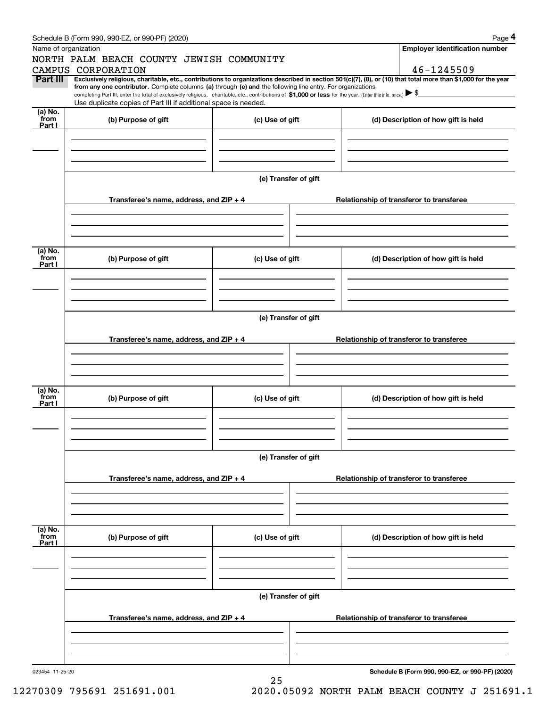| Schedule B (Form 990, 990-EZ, or 990-PF) (2020) | Page |
|-------------------------------------------------|------|
|-------------------------------------------------|------|

|                      | Schedule B (Form 990, 990-EZ, or 990-PF) (2020)                                                                                                                                                                                                 |                      |  |  | Page 4                                          |  |  |  |  |
|----------------------|-------------------------------------------------------------------------------------------------------------------------------------------------------------------------------------------------------------------------------------------------|----------------------|--|--|-------------------------------------------------|--|--|--|--|
| Name of organization |                                                                                                                                                                                                                                                 |                      |  |  | <b>Employer identification number</b>           |  |  |  |  |
|                      | NORTH PALM BEACH COUNTY JEWISH COMMUNITY<br>CAMPUS CORPORATION                                                                                                                                                                                  |                      |  |  | 46-1245509                                      |  |  |  |  |
| Part III             | Exclusively religious, charitable, etc., contributions to organizations described in section 501(c)(7), (8), or (10) that total more than \$1,000 for the year                                                                                  |                      |  |  |                                                 |  |  |  |  |
|                      | from any one contributor. Complete columns (a) through (e) and the following line entry. For organizations                                                                                                                                      |                      |  |  |                                                 |  |  |  |  |
|                      | completing Part III, enter the total of exclusively religious, charitable, etc., contributions of \$1,000 or less for the year. (Enter this info. once.) $\triangleright$ \$<br>Use duplicate copies of Part III if additional space is needed. |                      |  |  |                                                 |  |  |  |  |
| $(a)$ No.<br>from    |                                                                                                                                                                                                                                                 |                      |  |  |                                                 |  |  |  |  |
| Part I               | (b) Purpose of gift                                                                                                                                                                                                                             | (c) Use of gift      |  |  | (d) Description of how gift is held             |  |  |  |  |
|                      |                                                                                                                                                                                                                                                 |                      |  |  |                                                 |  |  |  |  |
|                      |                                                                                                                                                                                                                                                 |                      |  |  |                                                 |  |  |  |  |
|                      |                                                                                                                                                                                                                                                 |                      |  |  |                                                 |  |  |  |  |
|                      |                                                                                                                                                                                                                                                 | (e) Transfer of gift |  |  |                                                 |  |  |  |  |
|                      |                                                                                                                                                                                                                                                 |                      |  |  |                                                 |  |  |  |  |
|                      | Transferee's name, address, and ZIP + 4                                                                                                                                                                                                         |                      |  |  | Relationship of transferor to transferee        |  |  |  |  |
|                      |                                                                                                                                                                                                                                                 |                      |  |  |                                                 |  |  |  |  |
|                      |                                                                                                                                                                                                                                                 |                      |  |  |                                                 |  |  |  |  |
|                      |                                                                                                                                                                                                                                                 |                      |  |  |                                                 |  |  |  |  |
| (a) No.              |                                                                                                                                                                                                                                                 |                      |  |  |                                                 |  |  |  |  |
| from<br>Part I       | (b) Purpose of gift                                                                                                                                                                                                                             | (c) Use of gift      |  |  | (d) Description of how gift is held             |  |  |  |  |
|                      |                                                                                                                                                                                                                                                 |                      |  |  |                                                 |  |  |  |  |
|                      |                                                                                                                                                                                                                                                 |                      |  |  |                                                 |  |  |  |  |
|                      |                                                                                                                                                                                                                                                 |                      |  |  |                                                 |  |  |  |  |
|                      |                                                                                                                                                                                                                                                 |                      |  |  |                                                 |  |  |  |  |
|                      | (e) Transfer of gift                                                                                                                                                                                                                            |                      |  |  |                                                 |  |  |  |  |
|                      | Transferee's name, address, and ZIP + 4                                                                                                                                                                                                         |                      |  |  | Relationship of transferor to transferee        |  |  |  |  |
|                      |                                                                                                                                                                                                                                                 |                      |  |  |                                                 |  |  |  |  |
|                      |                                                                                                                                                                                                                                                 |                      |  |  |                                                 |  |  |  |  |
|                      |                                                                                                                                                                                                                                                 |                      |  |  |                                                 |  |  |  |  |
| (a) No.              |                                                                                                                                                                                                                                                 |                      |  |  |                                                 |  |  |  |  |
| from<br>Part I       | (b) Purpose of gift                                                                                                                                                                                                                             | (c) Use of gift      |  |  | (d) Description of how gift is held             |  |  |  |  |
|                      |                                                                                                                                                                                                                                                 |                      |  |  |                                                 |  |  |  |  |
|                      |                                                                                                                                                                                                                                                 |                      |  |  |                                                 |  |  |  |  |
|                      |                                                                                                                                                                                                                                                 |                      |  |  |                                                 |  |  |  |  |
|                      |                                                                                                                                                                                                                                                 |                      |  |  |                                                 |  |  |  |  |
|                      | (e) Transfer of gift                                                                                                                                                                                                                            |                      |  |  |                                                 |  |  |  |  |
|                      | Transferee's name, address, and ZIP + 4                                                                                                                                                                                                         |                      |  |  | Relationship of transferor to transferee        |  |  |  |  |
|                      |                                                                                                                                                                                                                                                 |                      |  |  |                                                 |  |  |  |  |
|                      |                                                                                                                                                                                                                                                 |                      |  |  |                                                 |  |  |  |  |
|                      |                                                                                                                                                                                                                                                 |                      |  |  |                                                 |  |  |  |  |
|                      |                                                                                                                                                                                                                                                 |                      |  |  |                                                 |  |  |  |  |
| (a) No.<br>from      | (b) Purpose of gift                                                                                                                                                                                                                             | (c) Use of gift      |  |  | (d) Description of how gift is held             |  |  |  |  |
| Part I               |                                                                                                                                                                                                                                                 |                      |  |  |                                                 |  |  |  |  |
|                      |                                                                                                                                                                                                                                                 |                      |  |  |                                                 |  |  |  |  |
|                      |                                                                                                                                                                                                                                                 |                      |  |  |                                                 |  |  |  |  |
|                      |                                                                                                                                                                                                                                                 |                      |  |  |                                                 |  |  |  |  |
|                      |                                                                                                                                                                                                                                                 | (e) Transfer of gift |  |  |                                                 |  |  |  |  |
|                      |                                                                                                                                                                                                                                                 |                      |  |  |                                                 |  |  |  |  |
|                      | Transferee's name, address, and $ZIP + 4$                                                                                                                                                                                                       |                      |  |  | Relationship of transferor to transferee        |  |  |  |  |
|                      |                                                                                                                                                                                                                                                 |                      |  |  |                                                 |  |  |  |  |
|                      |                                                                                                                                                                                                                                                 |                      |  |  |                                                 |  |  |  |  |
|                      |                                                                                                                                                                                                                                                 |                      |  |  |                                                 |  |  |  |  |
| 023454 11-25-20      |                                                                                                                                                                                                                                                 |                      |  |  | Schedule B (Form 990, 990-EZ, or 990-PF) (2020) |  |  |  |  |

25

12270309 795691 251691.001 2020.05092 NORTH PALM BEACH COUNTY J 251691.1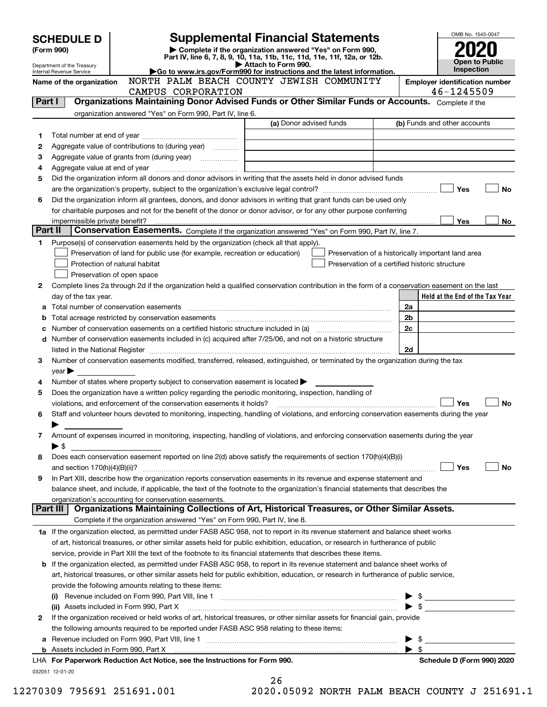|         | <b>SCHEDULE D</b>                                                                                                            |                                                                                                                                                | <b>Supplemental Financial Statements</b>                                                        |                                                    | OMB No. 1545-0047                     |  |  |  |  |
|---------|------------------------------------------------------------------------------------------------------------------------------|------------------------------------------------------------------------------------------------------------------------------------------------|-------------------------------------------------------------------------------------------------|----------------------------------------------------|---------------------------------------|--|--|--|--|
|         | (Form 990)                                                                                                                   |                                                                                                                                                | Complete if the organization answered "Yes" on Form 990,                                        |                                                    |                                       |  |  |  |  |
|         | Department of the Treasury                                                                                                   |                                                                                                                                                | Part IV, line 6, 7, 8, 9, 10, 11a, 11b, 11c, 11d, 11e, 11f, 12a, or 12b.<br>Attach to Form 990. |                                                    | <b>Open to Public</b><br>Inspection   |  |  |  |  |
|         | Go to www.irs.gov/Form990 for instructions and the latest information.<br>Internal Revenue Service                           |                                                                                                                                                |                                                                                                 |                                                    |                                       |  |  |  |  |
|         | Name of the organization                                                                                                     |                                                                                                                                                | NORTH PALM BEACH COUNTY JEWISH COMMUNITY                                                        |                                                    | <b>Employer identification number</b> |  |  |  |  |
|         |                                                                                                                              | CAMPUS CORPORATION<br>Organizations Maintaining Donor Advised Funds or Other Similar Funds or Accounts. Complete if the                        |                                                                                                 |                                                    | 46-1245509                            |  |  |  |  |
| Part I  |                                                                                                                              |                                                                                                                                                |                                                                                                 |                                                    |                                       |  |  |  |  |
|         |                                                                                                                              | organization answered "Yes" on Form 990, Part IV, line 6.                                                                                      | (a) Donor advised funds                                                                         |                                                    | (b) Funds and other accounts          |  |  |  |  |
| 1       |                                                                                                                              |                                                                                                                                                |                                                                                                 |                                                    |                                       |  |  |  |  |
| 2       |                                                                                                                              | Aggregate value of contributions to (during year)                                                                                              |                                                                                                 |                                                    |                                       |  |  |  |  |
| З       |                                                                                                                              |                                                                                                                                                |                                                                                                 |                                                    |                                       |  |  |  |  |
| 4       |                                                                                                                              |                                                                                                                                                |                                                                                                 |                                                    |                                       |  |  |  |  |
| 5       |                                                                                                                              | Did the organization inform all donors and donor advisors in writing that the assets held in donor advised funds                               |                                                                                                 |                                                    |                                       |  |  |  |  |
|         |                                                                                                                              |                                                                                                                                                |                                                                                                 |                                                    | Yes<br>No                             |  |  |  |  |
| 6       |                                                                                                                              | Did the organization inform all grantees, donors, and donor advisors in writing that grant funds can be used only                              |                                                                                                 |                                                    |                                       |  |  |  |  |
|         |                                                                                                                              | for charitable purposes and not for the benefit of the donor or donor advisor, or for any other purpose conferring                             |                                                                                                 |                                                    |                                       |  |  |  |  |
|         | impermissible private benefit?                                                                                               |                                                                                                                                                |                                                                                                 |                                                    | Yes<br>No                             |  |  |  |  |
| Part II |                                                                                                                              | Conservation Easements. Complete if the organization answered "Yes" on Form 990, Part IV, line 7.                                              |                                                                                                 |                                                    |                                       |  |  |  |  |
| 1       |                                                                                                                              | Purpose(s) of conservation easements held by the organization (check all that apply).                                                          |                                                                                                 |                                                    |                                       |  |  |  |  |
|         |                                                                                                                              | Preservation of land for public use (for example, recreation or education)                                                                     |                                                                                                 | Preservation of a historically important land area |                                       |  |  |  |  |
|         |                                                                                                                              | Protection of natural habitat                                                                                                                  |                                                                                                 | Preservation of a certified historic structure     |                                       |  |  |  |  |
|         |                                                                                                                              | Preservation of open space                                                                                                                     |                                                                                                 |                                                    |                                       |  |  |  |  |
| 2       |                                                                                                                              | Complete lines 2a through 2d if the organization held a qualified conservation contribution in the form of a conservation easement on the last |                                                                                                 |                                                    |                                       |  |  |  |  |
|         | day of the tax year.                                                                                                         |                                                                                                                                                |                                                                                                 |                                                    | Held at the End of the Tax Year       |  |  |  |  |
| а       |                                                                                                                              |                                                                                                                                                |                                                                                                 | 2a                                                 |                                       |  |  |  |  |
|         |                                                                                                                              | Total acreage restricted by conservation easements                                                                                             |                                                                                                 | 2 <sub>b</sub>                                     |                                       |  |  |  |  |
|         |                                                                                                                              | Number of conservation easements on a certified historic structure included in (a) manufacture included in (a)                                 |                                                                                                 | 2c                                                 |                                       |  |  |  |  |
|         |                                                                                                                              | d Number of conservation easements included in (c) acquired after 7/25/06, and not on a historic structure                                     |                                                                                                 |                                                    |                                       |  |  |  |  |
|         |                                                                                                                              |                                                                                                                                                |                                                                                                 | 2d                                                 |                                       |  |  |  |  |
| з       |                                                                                                                              | Number of conservation easements modified, transferred, released, extinguished, or terminated by the organization during the tax               |                                                                                                 |                                                    |                                       |  |  |  |  |
|         | year                                                                                                                         |                                                                                                                                                |                                                                                                 |                                                    |                                       |  |  |  |  |
| 4       |                                                                                                                              | Number of states where property subject to conservation easement is located $\blacktriangleright$                                              |                                                                                                 |                                                    |                                       |  |  |  |  |
| 5       |                                                                                                                              | Does the organization have a written policy regarding the periodic monitoring, inspection, handling of                                         |                                                                                                 |                                                    |                                       |  |  |  |  |
|         |                                                                                                                              | violations, and enforcement of the conservation easements it holds?                                                                            |                                                                                                 |                                                    | Yes<br>No                             |  |  |  |  |
| 6       |                                                                                                                              | Staff and volunteer hours devoted to monitoring, inspecting, handling of violations, and enforcing conservation easements during the year      |                                                                                                 |                                                    |                                       |  |  |  |  |
|         |                                                                                                                              |                                                                                                                                                |                                                                                                 |                                                    |                                       |  |  |  |  |
| 7       |                                                                                                                              | Amount of expenses incurred in monitoring, inspecting, handling of violations, and enforcing conservation easements during the year            |                                                                                                 |                                                    |                                       |  |  |  |  |
| 8       | ▶ \$                                                                                                                         | Does each conservation easement reported on line 2(d) above satisfy the requirements of section 170(h)(4)(B)(i)                                |                                                                                                 |                                                    |                                       |  |  |  |  |
|         |                                                                                                                              |                                                                                                                                                |                                                                                                 |                                                    | Yes<br>No                             |  |  |  |  |
| 9       |                                                                                                                              | In Part XIII, describe how the organization reports conservation easements in its revenue and expense statement and                            |                                                                                                 |                                                    |                                       |  |  |  |  |
|         |                                                                                                                              | balance sheet, and include, if applicable, the text of the footnote to the organization's financial statements that describes the              |                                                                                                 |                                                    |                                       |  |  |  |  |
|         |                                                                                                                              | organization's accounting for conservation easements.                                                                                          |                                                                                                 |                                                    |                                       |  |  |  |  |
|         | Part III                                                                                                                     | Organizations Maintaining Collections of Art, Historical Treasures, or Other Similar Assets.                                                   |                                                                                                 |                                                    |                                       |  |  |  |  |
|         |                                                                                                                              | Complete if the organization answered "Yes" on Form 990, Part IV, line 8.                                                                      |                                                                                                 |                                                    |                                       |  |  |  |  |
|         |                                                                                                                              | 1a If the organization elected, as permitted under FASB ASC 958, not to report in its revenue statement and balance sheet works                |                                                                                                 |                                                    |                                       |  |  |  |  |
|         |                                                                                                                              | of art, historical treasures, or other similar assets held for public exhibition, education, or research in furtherance of public              |                                                                                                 |                                                    |                                       |  |  |  |  |
|         |                                                                                                                              | service, provide in Part XIII the text of the footnote to its financial statements that describes these items.                                 |                                                                                                 |                                                    |                                       |  |  |  |  |
|         |                                                                                                                              | <b>b</b> If the organization elected, as permitted under FASB ASC 958, to report in its revenue statement and balance sheet works of           |                                                                                                 |                                                    |                                       |  |  |  |  |
|         |                                                                                                                              | art, historical treasures, or other similar assets held for public exhibition, education, or research in furtherance of public service,        |                                                                                                 |                                                    |                                       |  |  |  |  |
|         |                                                                                                                              | provide the following amounts relating to these items:                                                                                         |                                                                                                 |                                                    |                                       |  |  |  |  |
|         |                                                                                                                              |                                                                                                                                                |                                                                                                 |                                                    |                                       |  |  |  |  |
|         |                                                                                                                              | (ii) Assets included in Form 990, Part X                                                                                                       |                                                                                                 |                                                    |                                       |  |  |  |  |
| 2       | If the organization received or held works of art, historical treasures, or other similar assets for financial gain, provide |                                                                                                                                                |                                                                                                 |                                                    |                                       |  |  |  |  |
|         | the following amounts required to be reported under FASB ASC 958 relating to these items:                                    |                                                                                                                                                |                                                                                                 |                                                    |                                       |  |  |  |  |
| а       |                                                                                                                              |                                                                                                                                                |                                                                                                 | - \$                                               |                                       |  |  |  |  |
| b       |                                                                                                                              | Assets included in Form 990, Part X <i>maching and accountant content in the set</i> sincluded in Form 990, Part X                             |                                                                                                 | $\blacktriangleright$ s                            |                                       |  |  |  |  |
|         |                                                                                                                              | LHA For Paperwork Reduction Act Notice, see the Instructions for Form 990.                                                                     |                                                                                                 |                                                    | Schedule D (Form 990) 2020            |  |  |  |  |
|         | 032051 12-01-20                                                                                                              |                                                                                                                                                |                                                                                                 |                                                    |                                       |  |  |  |  |
|         |                                                                                                                              |                                                                                                                                                | 26                                                                                              |                                                    |                                       |  |  |  |  |

|  | 12270309 795691 251691.00 |  |  |  |
|--|---------------------------|--|--|--|
|--|---------------------------|--|--|--|

|     | 26 |  |              |  |  |  |
|-----|----|--|--------------|--|--|--|
| n n |    |  | <b>OEOOO</b> |  |  |  |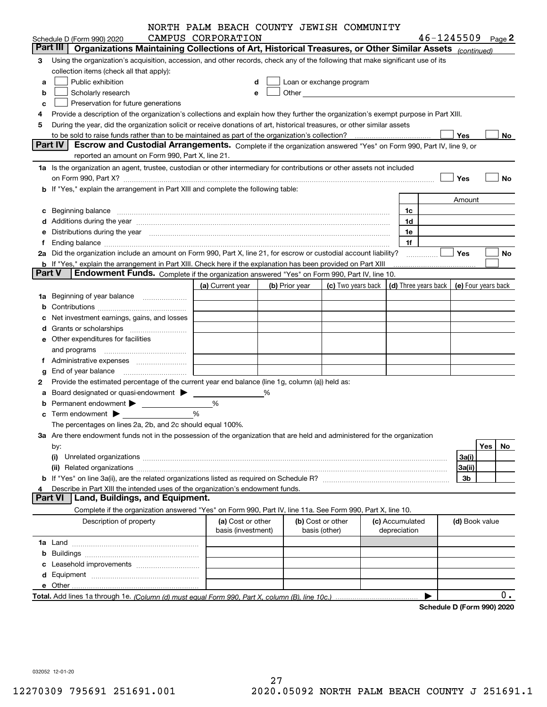|               |                                                                                                                                                                                                                                | NORTH PALM BEACH COUNTY JEWISH COMMUNITY |                |                   |                                                                                                                                                                                                                               |                 |              |                                            |     |    |
|---------------|--------------------------------------------------------------------------------------------------------------------------------------------------------------------------------------------------------------------------------|------------------------------------------|----------------|-------------------|-------------------------------------------------------------------------------------------------------------------------------------------------------------------------------------------------------------------------------|-----------------|--------------|--------------------------------------------|-----|----|
|               | Schedule D (Form 990) 2020                                                                                                                                                                                                     | CAMPUS CORPORATION                       |                |                   |                                                                                                                                                                                                                               |                 |              | $46 - 1245509$ Page 2                      |     |    |
|               | Part III   Organizations Maintaining Collections of Art, Historical Treasures, or Other Similar Assets (continued)                                                                                                             |                                          |                |                   |                                                                                                                                                                                                                               |                 |              |                                            |     |    |
| 3             | Using the organization's acquisition, accession, and other records, check any of the following that make significant use of its<br>collection items (check all that apply):                                                    |                                          |                |                   |                                                                                                                                                                                                                               |                 |              |                                            |     |    |
| a             | Public exhibition                                                                                                                                                                                                              |                                          |                |                   | Loan or exchange program                                                                                                                                                                                                      |                 |              |                                            |     |    |
| b             | Scholarly research                                                                                                                                                                                                             |                                          |                |                   | Other and the contract of the contract of the contract of the contract of the contract of the contract of the contract of the contract of the contract of the contract of the contract of the contract of the contract of the |                 |              |                                            |     |    |
| с             | Preservation for future generations                                                                                                                                                                                            |                                          |                |                   |                                                                                                                                                                                                                               |                 |              |                                            |     |    |
| 4             | Provide a description of the organization's collections and explain how they further the organization's exempt purpose in Part XIII.                                                                                           |                                          |                |                   |                                                                                                                                                                                                                               |                 |              |                                            |     |    |
| 5             | During the year, did the organization solicit or receive donations of art, historical treasures, or other similar assets                                                                                                       |                                          |                |                   |                                                                                                                                                                                                                               |                 |              |                                            |     |    |
|               |                                                                                                                                                                                                                                |                                          |                |                   |                                                                                                                                                                                                                               |                 |              | Yes                                        |     | No |
|               | <b>Part IV</b><br>Escrow and Custodial Arrangements. Complete if the organization answered "Yes" on Form 990, Part IV, line 9, or                                                                                              |                                          |                |                   |                                                                                                                                                                                                                               |                 |              |                                            |     |    |
|               | reported an amount on Form 990, Part X, line 21.                                                                                                                                                                               |                                          |                |                   |                                                                                                                                                                                                                               |                 |              |                                            |     |    |
|               | 1a Is the organization an agent, trustee, custodian or other intermediary for contributions or other assets not included                                                                                                       |                                          |                |                   |                                                                                                                                                                                                                               |                 |              |                                            |     |    |
|               |                                                                                                                                                                                                                                |                                          |                |                   |                                                                                                                                                                                                                               |                 |              | Yes                                        |     | No |
|               | on Form 990, Part X? [11] matter contracts and contracts and contracts are contracted as a form 990, Part X?<br>b If "Yes," explain the arrangement in Part XIII and complete the following table:                             |                                          |                |                   |                                                                                                                                                                                                                               |                 |              |                                            |     |    |
|               |                                                                                                                                                                                                                                |                                          |                |                   |                                                                                                                                                                                                                               |                 |              |                                            |     |    |
|               |                                                                                                                                                                                                                                |                                          |                |                   |                                                                                                                                                                                                                               |                 |              | Amount                                     |     |    |
|               | c Beginning balance measurements and the state of the state of the state of the state of the state of the state of the state of the state of the state of the state of the state of the state of the state of the state of the |                                          |                |                   |                                                                                                                                                                                                                               |                 | 1c           |                                            |     |    |
|               | d Additions during the year measurements are also contained a state of the year measurement of the year measurement of the state of the state of the state of the state of the state of the state of the state of the state of |                                          |                |                   |                                                                                                                                                                                                                               |                 | 1d           |                                            |     |    |
|               | e Distributions during the year manufactured and contained and contained and contained and contained and contained and contained and contained and contained and contained and contained and contained and contained and conta |                                          |                |                   |                                                                                                                                                                                                                               |                 | 1e           |                                            |     |    |
| f.            |                                                                                                                                                                                                                                |                                          |                |                   |                                                                                                                                                                                                                               |                 | 1f           |                                            |     |    |
|               | 2a Did the organization include an amount on Form 990, Part X, line 21, for escrow or custodial account liability?                                                                                                             |                                          |                |                   |                                                                                                                                                                                                                               |                 |              | <b>Yes</b>                                 |     | No |
|               | <b>b</b> If "Yes," explain the arrangement in Part XIII. Check here if the explanation has been provided on Part XIII                                                                                                          |                                          |                |                   |                                                                                                                                                                                                                               |                 |              |                                            |     |    |
| <b>Part V</b> | Endowment Funds. Complete if the organization answered "Yes" on Form 990, Part IV, line 10.                                                                                                                                    |                                          |                |                   |                                                                                                                                                                                                                               |                 |              |                                            |     |    |
|               |                                                                                                                                                                                                                                | (a) Current year                         | (b) Prior year |                   | (c) Two years back                                                                                                                                                                                                            |                 |              | (d) Three years back   (e) Four years back |     |    |
|               | 1a Beginning of year balance                                                                                                                                                                                                   |                                          |                |                   |                                                                                                                                                                                                                               |                 |              |                                            |     |    |
| b             |                                                                                                                                                                                                                                |                                          |                |                   |                                                                                                                                                                                                                               |                 |              |                                            |     |    |
|               | Net investment earnings, gains, and losses                                                                                                                                                                                     |                                          |                |                   |                                                                                                                                                                                                                               |                 |              |                                            |     |    |
|               | d Grants or scholarships <i>manually contained</i>                                                                                                                                                                             |                                          |                |                   |                                                                                                                                                                                                                               |                 |              |                                            |     |    |
|               | e Other expenditures for facilities                                                                                                                                                                                            |                                          |                |                   |                                                                                                                                                                                                                               |                 |              |                                            |     |    |
|               |                                                                                                                                                                                                                                |                                          |                |                   |                                                                                                                                                                                                                               |                 |              |                                            |     |    |
|               | f Administrative expenses <i>manually communicative</i>                                                                                                                                                                        |                                          |                |                   |                                                                                                                                                                                                                               |                 |              |                                            |     |    |
|               | <b>g</b> End of year balance $\ldots$                                                                                                                                                                                          |                                          |                |                   |                                                                                                                                                                                                                               |                 |              |                                            |     |    |
| 2             | Provide the estimated percentage of the current year end balance (line 1g, column (a)) held as:                                                                                                                                |                                          |                |                   |                                                                                                                                                                                                                               |                 |              |                                            |     |    |
|               | a Board designated or quasi-endowment >                                                                                                                                                                                        |                                          | %              |                   |                                                                                                                                                                                                                               |                 |              |                                            |     |    |
|               |                                                                                                                                                                                                                                | %                                        |                |                   |                                                                                                                                                                                                                               |                 |              |                                            |     |    |
|               |                                                                                                                                                                                                                                | %                                        |                |                   |                                                                                                                                                                                                                               |                 |              |                                            |     |    |
|               | $\mathbf c$ Term endowment $\blacktriangleright$                                                                                                                                                                               |                                          |                |                   |                                                                                                                                                                                                                               |                 |              |                                            |     |    |
|               | The percentages on lines 2a, 2b, and 2c should equal 100%.                                                                                                                                                                     |                                          |                |                   |                                                                                                                                                                                                                               |                 |              |                                            |     |    |
|               | 3a Are there endowment funds not in the possession of the organization that are held and administered for the organization                                                                                                     |                                          |                |                   |                                                                                                                                                                                                                               |                 |              |                                            |     |    |
|               | by:                                                                                                                                                                                                                            |                                          |                |                   |                                                                                                                                                                                                                               |                 |              |                                            | Yes | No |
|               | (i)                                                                                                                                                                                                                            |                                          |                |                   |                                                                                                                                                                                                                               |                 |              | 3a(i)                                      |     |    |
|               |                                                                                                                                                                                                                                |                                          |                |                   |                                                                                                                                                                                                                               |                 |              | 3a(ii)                                     |     |    |
|               |                                                                                                                                                                                                                                |                                          |                |                   |                                                                                                                                                                                                                               |                 |              | 3b                                         |     |    |
|               | Describe in Part XIII the intended uses of the organization's endowment funds.                                                                                                                                                 |                                          |                |                   |                                                                                                                                                                                                                               |                 |              |                                            |     |    |
|               | Land, Buildings, and Equipment.<br><b>Part VI</b>                                                                                                                                                                              |                                          |                |                   |                                                                                                                                                                                                                               |                 |              |                                            |     |    |
|               | Complete if the organization answered "Yes" on Form 990, Part IV, line 11a. See Form 990, Part X, line 10.                                                                                                                     |                                          |                |                   |                                                                                                                                                                                                                               |                 |              |                                            |     |    |
|               | Description of property                                                                                                                                                                                                        | (a) Cost or other                        |                | (b) Cost or other |                                                                                                                                                                                                                               | (c) Accumulated |              | (d) Book value                             |     |    |
|               |                                                                                                                                                                                                                                | basis (investment)                       |                | basis (other)     |                                                                                                                                                                                                                               |                 | depreciation |                                            |     |    |
|               |                                                                                                                                                                                                                                |                                          |                |                   |                                                                                                                                                                                                                               |                 |              |                                            |     |    |
|               |                                                                                                                                                                                                                                |                                          |                |                   |                                                                                                                                                                                                                               |                 |              |                                            |     |    |
|               |                                                                                                                                                                                                                                |                                          |                |                   |                                                                                                                                                                                                                               |                 |              |                                            |     |    |
|               |                                                                                                                                                                                                                                |                                          |                |                   |                                                                                                                                                                                                                               |                 |              |                                            |     |    |
|               |                                                                                                                                                                                                                                |                                          |                |                   |                                                                                                                                                                                                                               |                 |              |                                            |     |    |
|               |                                                                                                                                                                                                                                |                                          |                |                   |                                                                                                                                                                                                                               |                 |              |                                            |     | 0. |
|               |                                                                                                                                                                                                                                |                                          |                |                   |                                                                                                                                                                                                                               |                 |              | Schedule D (Form 990) 2020                 |     |    |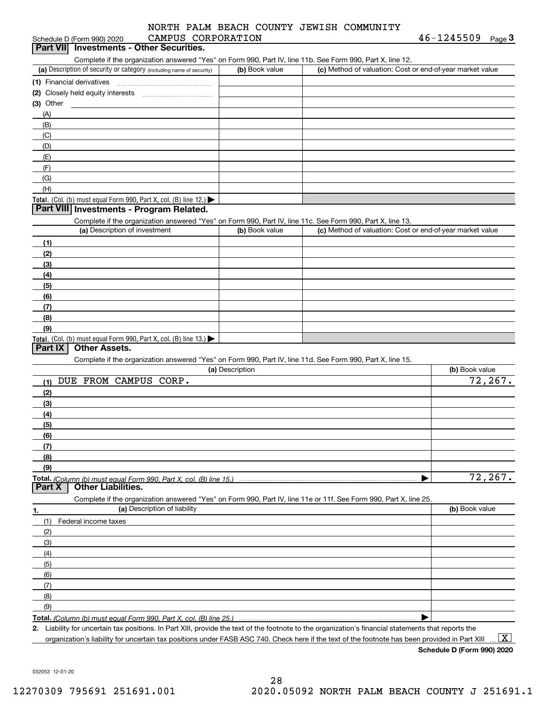| CAMPUS CORPORATION                                                                                         | INDI DUNCH COONII OPMIDII | $46 - 1245509$ Page 3                                     |
|------------------------------------------------------------------------------------------------------------|---------------------------|-----------------------------------------------------------|
| Schedule D (Form 990) 2020<br>Part VII Investments - Other Securities.                                     |                           |                                                           |
|                                                                                                            |                           |                                                           |
| Complete if the organization answered "Yes" on Form 990, Part IV, line 11b. See Form 990, Part X, line 12. |                           |                                                           |
| (a) Description of security or category (including name of security)                                       | (b) Book value            | (c) Method of valuation: Cost or end-of-year market value |
|                                                                                                            |                           |                                                           |
|                                                                                                            |                           |                                                           |
| $(3)$ Other                                                                                                |                           |                                                           |
| (A)                                                                                                        |                           |                                                           |
| (B)                                                                                                        |                           |                                                           |
| (C)                                                                                                        |                           |                                                           |
| (D)                                                                                                        |                           |                                                           |
| (E)                                                                                                        |                           |                                                           |
| (F)                                                                                                        |                           |                                                           |
| (G)                                                                                                        |                           |                                                           |
| (H)                                                                                                        |                           |                                                           |
| <b>Total.</b> (Col. (b) must equal Form 990, Part X, col. (B) line 12.) $\blacktriangleright$              |                           |                                                           |
| Part VIII Investments - Program Related.                                                                   |                           |                                                           |
| Complete if the organization answered "Yes" on Form 990, Part IV, line 11c. See Form 990, Part X, line 13. |                           |                                                           |
| (a) Description of investment                                                                              | (b) Book value            | (c) Method of valuation: Cost or end-of-year market value |
| (1)                                                                                                        |                           |                                                           |
| (2)                                                                                                        |                           |                                                           |
| (3)                                                                                                        |                           |                                                           |
| (4)                                                                                                        |                           |                                                           |
| (5)                                                                                                        |                           |                                                           |
| (6)                                                                                                        |                           |                                                           |
| (7)                                                                                                        |                           |                                                           |
| (8)                                                                                                        |                           |                                                           |
| (9)                                                                                                        |                           |                                                           |
| Total. (Col. (b) must equal Form 990, Part X, col. (B) line 13.)                                           |                           |                                                           |
| Part IX<br><b>Other Assets.</b>                                                                            |                           |                                                           |

Complete if the organization answered "Yes" on Form 990, Part IV, line 11d. See Form 990, Part X, line 15.

| (a) Description                                                                                                   | (b) Book value |
|-------------------------------------------------------------------------------------------------------------------|----------------|
| FROM CAMPUS<br>CORP.<br>DUE<br>(1)                                                                                | 72, 267.       |
| (2)                                                                                                               |                |
| (3)                                                                                                               |                |
| (4)                                                                                                               |                |
| (5)                                                                                                               |                |
| (6)                                                                                                               |                |
| (7)                                                                                                               |                |
| (8)                                                                                                               |                |
| (9)                                                                                                               |                |
|                                                                                                                   | 72, 267.       |
| <b>Other Liabilities.</b><br>Part X                                                                               |                |
| Complete if the organization answered "Yes" on Form 990, Part IV, line 11e or 11f. See Form 990, Part X, line 25. |                |
| (a) Description of liability<br>1.                                                                                | (b) Book value |
| Federal income taxes<br>(1)                                                                                       |                |
| (2)                                                                                                               |                |
| (3)                                                                                                               |                |
| (4)                                                                                                               |                |
| (5)                                                                                                               |                |
| (6)                                                                                                               |                |
| (7)                                                                                                               |                |
| (8)                                                                                                               |                |
| (9)                                                                                                               |                |
|                                                                                                                   |                |

**2.** Liability for uncertain tax positions. In Part XIII, provide the text of the footnote to the organization's financial statements that reports the organization's liability for uncertain tax positions under FASB ASC 740. Check here if the text of the footnote has been provided in Part XIII.

 $\boxed{\text{X}}$ 

**Schedule D (Form 990) 2020**

032053 12-01-20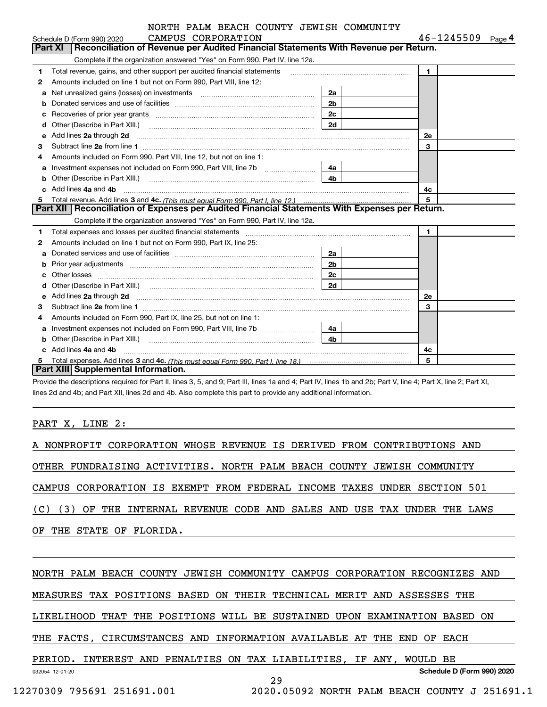### Schedule D (Form 990) 2020 Page CAMPUS CORPORATION NORTH PALM BEACH COUNTY JEWISH COMMUNITY

|    | CAMPUS CORPORATION<br>Schedule D (Form 990) 2020                                                                                                                                                                                    |                | 46-1245509<br>Page 4 |
|----|-------------------------------------------------------------------------------------------------------------------------------------------------------------------------------------------------------------------------------------|----------------|----------------------|
|    | <b>Part XI</b><br>Reconciliation of Revenue per Audited Financial Statements With Revenue per Return.                                                                                                                               |                |                      |
|    | Complete if the organization answered "Yes" on Form 990, Part IV, line 12a.                                                                                                                                                         |                |                      |
| 1  | Total revenue, gains, and other support per audited financial statements                                                                                                                                                            |                | $\blacksquare$       |
| 2  | Amounts included on line 1 but not on Form 990, Part VIII, line 12:                                                                                                                                                                 |                |                      |
| a  |                                                                                                                                                                                                                                     | 2a             |                      |
|    |                                                                                                                                                                                                                                     | 2 <sub>b</sub> |                      |
| c  | Recoveries of prior year grants [11,111] Recoveries of prior year grants [11,111] Recoveries of prior year grants                                                                                                                   | 2c             |                      |
| d  | Other (Describe in Part XIII.) <b>2006</b> 2006 2010 2010 2010 2010 2011 2012 2013 2014 2015 2016 2017 2018 2019 2016 2016 2017 2018 2019 2016 2017 2018 2019 2016 2017 2018 2019 2018 2019 2016 2017 2018 2019 2018 2019 2018 2019 | 2d             |                      |
| е  | Add lines 2a through 2d                                                                                                                                                                                                             |                | 2е                   |
| 3  |                                                                                                                                                                                                                                     |                | 3                    |
| 4  | Amounts included on Form 990, Part VIII, line 12, but not on line 1:                                                                                                                                                                |                |                      |
|    | Investment expenses not included on Form 990, Part VIII, line 7b [111] [11] Investment expenses not included on Form 990, Part VIII, line 7b                                                                                        | 4а             |                      |
| b  |                                                                                                                                                                                                                                     | 4 <sub>b</sub> |                      |
| c. | Add lines 4a and 4b                                                                                                                                                                                                                 |                | 4с                   |
| 5  |                                                                                                                                                                                                                                     |                | 5                    |
|    | Part XII Reconciliation of Expenses per Audited Financial Statements With Expenses per Return.                                                                                                                                      |                |                      |
|    | Complete if the organization answered "Yes" on Form 990, Part IV, line 12a.                                                                                                                                                         |                |                      |
| 1  | Total expenses and losses per audited financial statements [11] [11] Total expenses and losses per audited financial statements [11] [11] Total expenses and losses per audited financial statements                                |                | $\blacksquare$       |
| 2  | Amounts included on line 1 but not on Form 990, Part IX, line 25:                                                                                                                                                                   |                |                      |
| a  |                                                                                                                                                                                                                                     | 2a             |                      |
| b  |                                                                                                                                                                                                                                     | 2 <sub>b</sub> |                      |
|    |                                                                                                                                                                                                                                     | 2c             |                      |
|    |                                                                                                                                                                                                                                     | 2d             |                      |
| e  | Add lines 2a through 2d <b>must be a constructed as the constant of the construction</b> and the state of the state of the state of the state of the state of the state of the state of the state of the state of the state of the  |                | <b>2e</b>            |
| 3  | Subtract line 2e from line 1                                                                                                                                                                                                        |                | 3                    |
| 4  | Amounts included on Form 990, Part IX, line 25, but not on line 1:                                                                                                                                                                  |                |                      |
| a  |                                                                                                                                                                                                                                     | 4a             |                      |
| b  | Other (Describe in Part XIII.) <b>Construction Contract Construction</b> Chern Construction Construction Construction                                                                                                               | 4b             |                      |
|    | Add lines 4a and 4b                                                                                                                                                                                                                 |                | 4c                   |
| 5  |                                                                                                                                                                                                                                     |                | 5                    |
|    | <b>Part XIII Supplemental Information.</b>                                                                                                                                                                                          |                |                      |

Provide the descriptions required for Part II, lines 3, 5, and 9; Part III, lines 1a and 4; Part IV, lines 1b and 2b; Part V, line 4; Part X, line 2; Part XI, lines 2d and 4b; and Part XII, lines 2d and 4b. Also complete this part to provide any additional information.

## PART X, LINE 2:

A NONPROFIT CORPORATION WHOSE REVENUE IS DERIVED FROM CONTRIBUTIONS AND OTHER FUNDRAISING ACTIVITIES. NORTH PALM BEACH COUNTY JEWISH COMMUNITY CAMPUS CORPORATION IS EXEMPT FROM FEDERAL INCOME TAXES UNDER SECTION 501 (C) (3) OF THE INTERNAL REVENUE CODE AND SALES AND USE TAX UNDER THE LAWS OF THE STATE OF FLORIDA. NORTH PALM BEACH COUNTY JEWISH COMMUNITY CAMPUS CORPORATION RECOGNIZES AND

MEASURES TAX POSITIONS BASED ON THEIR TECHNICAL MERIT AND ASSESSES THE

LIKELIHOOD THAT THE POSITIONS WILL BE SUSTAINED UPON EXAMINATION BASED ON

29

THE FACTS, CIRCUMSTANCES AND INFORMATION AVAILABLE AT THE END OF EACH

# PERIOD. INTEREST AND PENALTIES ON TAX LIABILITIES, IF ANY, WOULD BE

**Schedule D (Form 990) 2020**

032054 12-01-20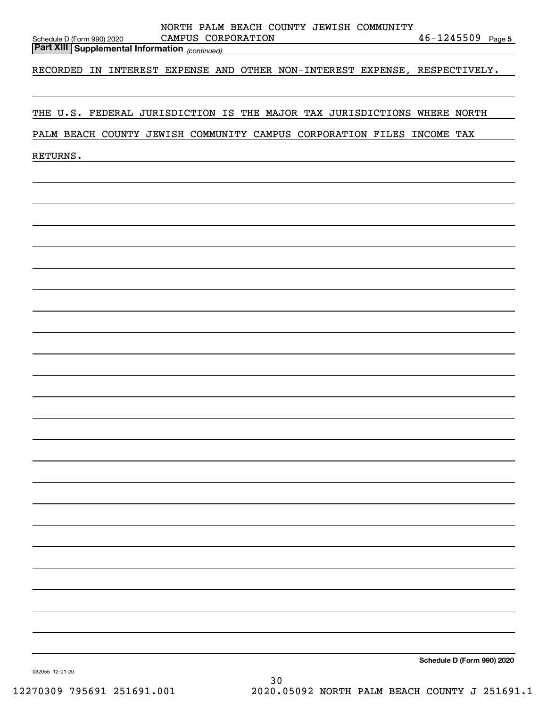| NORTH PALM BEACH COUNTY JEWISH COMMUNITY                                                                               |                            |
|------------------------------------------------------------------------------------------------------------------------|----------------------------|
| CAMPUS CORPORATION<br>Schedule D (Form 990) 2020<br><b>Part XIII   Supplemental Information</b> <sub>(continued)</sub> | $46 - 1245509$ Page 5      |
|                                                                                                                        |                            |
| RECORDED IN INTEREST EXPENSE AND OTHER NON-INTEREST EXPENSE, RESPECTIVELY.                                             |                            |
|                                                                                                                        |                            |
| THE U.S. FEDERAL JURISDICTION IS THE MAJOR TAX JURISDICTIONS WHERE NORTH                                               |                            |
|                                                                                                                        |                            |
| PALM BEACH COUNTY JEWISH COMMUNITY CAMPUS CORPORATION FILES INCOME TAX                                                 |                            |
| RETURNS.                                                                                                               |                            |
|                                                                                                                        |                            |
|                                                                                                                        |                            |
|                                                                                                                        |                            |
|                                                                                                                        |                            |
|                                                                                                                        |                            |
|                                                                                                                        |                            |
|                                                                                                                        |                            |
|                                                                                                                        |                            |
|                                                                                                                        |                            |
|                                                                                                                        |                            |
|                                                                                                                        |                            |
|                                                                                                                        |                            |
|                                                                                                                        |                            |
|                                                                                                                        |                            |
|                                                                                                                        |                            |
|                                                                                                                        |                            |
|                                                                                                                        |                            |
|                                                                                                                        |                            |
|                                                                                                                        |                            |
|                                                                                                                        |                            |
|                                                                                                                        |                            |
|                                                                                                                        |                            |
|                                                                                                                        |                            |
|                                                                                                                        |                            |
|                                                                                                                        |                            |
|                                                                                                                        |                            |
|                                                                                                                        |                            |
|                                                                                                                        |                            |
|                                                                                                                        |                            |
|                                                                                                                        |                            |
|                                                                                                                        |                            |
|                                                                                                                        | Schedule D (Form 990) 2020 |

30

032055 12-01-20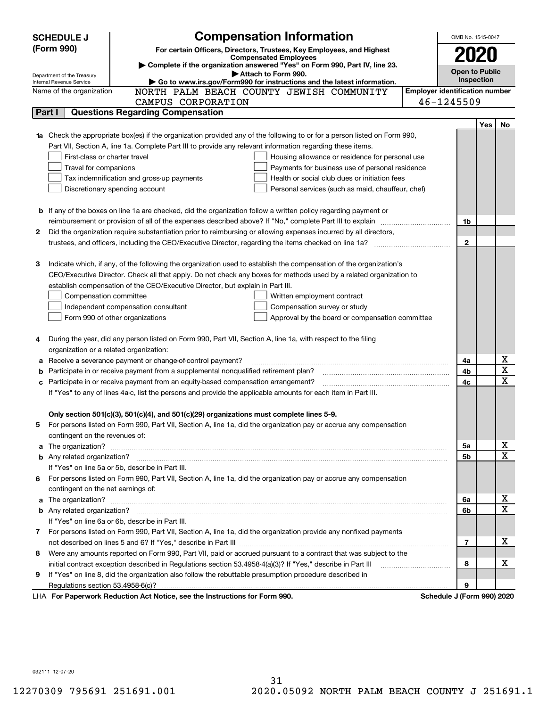|    | <b>Compensation Information</b><br><b>SCHEDULE J</b>                                                                                                                                                 |                                       | OMB No. 1545-0047          |            |                         |  |
|----|------------------------------------------------------------------------------------------------------------------------------------------------------------------------------------------------------|---------------------------------------|----------------------------|------------|-------------------------|--|
|    | (Form 990)<br>For certain Officers, Directors, Trustees, Key Employees, and Highest                                                                                                                  |                                       |                            |            |                         |  |
|    | <b>Compensated Employees</b>                                                                                                                                                                         |                                       | 2020                       |            |                         |  |
|    | Complete if the organization answered "Yes" on Form 990, Part IV, line 23.<br>Attach to Form 990.                                                                                                    |                                       | <b>Open to Public</b>      |            |                         |  |
|    | Department of the Treasury<br>Go to www.irs.gov/Form990 for instructions and the latest information.<br>Internal Revenue Service                                                                     |                                       | Inspection                 |            |                         |  |
|    | NORTH PALM BEACH COUNTY JEWISH COMMUNITY<br>Name of the organization                                                                                                                                 | <b>Employer identification number</b> |                            |            |                         |  |
|    | CAMPUS CORPORATION                                                                                                                                                                                   | 46-1245509                            |                            |            |                         |  |
|    | <b>Questions Regarding Compensation</b><br>Part I                                                                                                                                                    |                                       |                            |            |                         |  |
|    |                                                                                                                                                                                                      |                                       |                            | <b>Yes</b> | No                      |  |
|    | <b>1a</b> Check the appropriate box(es) if the organization provided any of the following to or for a person listed on Form 990,                                                                     |                                       |                            |            |                         |  |
|    | Part VII, Section A, line 1a. Complete Part III to provide any relevant information regarding these items.                                                                                           |                                       |                            |            |                         |  |
|    | First-class or charter travel<br>Housing allowance or residence for personal use                                                                                                                     |                                       |                            |            |                         |  |
|    | Payments for business use of personal residence<br>Travel for companions                                                                                                                             |                                       |                            |            |                         |  |
|    | Tax indemnification and gross-up payments<br>Health or social club dues or initiation fees                                                                                                           |                                       |                            |            |                         |  |
|    | Discretionary spending account<br>Personal services (such as maid, chauffeur, chef)                                                                                                                  |                                       |                            |            |                         |  |
|    |                                                                                                                                                                                                      |                                       |                            |            |                         |  |
|    | <b>b</b> If any of the boxes on line 1a are checked, did the organization follow a written policy regarding payment or                                                                               |                                       |                            |            |                         |  |
|    | reimbursement or provision of all of the expenses described above? If "No," complete Part III to explain                                                                                             |                                       | 1b                         |            |                         |  |
| 2  | Did the organization require substantiation prior to reimbursing or allowing expenses incurred by all directors,                                                                                     |                                       |                            |            |                         |  |
|    |                                                                                                                                                                                                      |                                       | $\mathbf{2}$               |            |                         |  |
|    |                                                                                                                                                                                                      |                                       |                            |            |                         |  |
| З  | Indicate which, if any, of the following the organization used to establish the compensation of the organization's                                                                                   |                                       |                            |            |                         |  |
|    | CEO/Executive Director. Check all that apply. Do not check any boxes for methods used by a related organization to<br>establish compensation of the CEO/Executive Director, but explain in Part III. |                                       |                            |            |                         |  |
|    | Compensation committee<br>Written employment contract                                                                                                                                                |                                       |                            |            |                         |  |
|    | Compensation survey or study<br>Independent compensation consultant                                                                                                                                  |                                       |                            |            |                         |  |
|    | Form 990 of other organizations<br>Approval by the board or compensation committee                                                                                                                   |                                       |                            |            |                         |  |
|    |                                                                                                                                                                                                      |                                       |                            |            |                         |  |
|    | During the year, did any person listed on Form 990, Part VII, Section A, line 1a, with respect to the filing                                                                                         |                                       |                            |            |                         |  |
|    | organization or a related organization:                                                                                                                                                              |                                       |                            |            |                         |  |
| а  | Receive a severance payment or change-of-control payment?                                                                                                                                            |                                       | 4a                         |            | х                       |  |
| b  | Participate in or receive payment from a supplemental nonqualified retirement plan?                                                                                                                  |                                       | 4b                         |            | $\overline{\mathbf{x}}$ |  |
| c  | Participate in or receive payment from an equity-based compensation arrangement?                                                                                                                     |                                       | 4c                         |            | $\overline{\mathbf{x}}$ |  |
|    | If "Yes" to any of lines 4a-c, list the persons and provide the applicable amounts for each item in Part III.                                                                                        |                                       |                            |            |                         |  |
|    |                                                                                                                                                                                                      |                                       |                            |            |                         |  |
|    | Only section 501(c)(3), 501(c)(4), and 501(c)(29) organizations must complete lines 5-9.                                                                                                             |                                       |                            |            |                         |  |
|    | For persons listed on Form 990, Part VII, Section A, line 1a, did the organization pay or accrue any compensation                                                                                    |                                       |                            |            |                         |  |
|    | contingent on the revenues of:                                                                                                                                                                       |                                       |                            |            |                         |  |
|    | a The organization? <b>Entitation</b> and the organization?                                                                                                                                          |                                       | 5a                         |            | x                       |  |
|    |                                                                                                                                                                                                      |                                       | 5b                         |            | $\mathbf x$             |  |
|    | If "Yes" on line 5a or 5b, describe in Part III.                                                                                                                                                     |                                       |                            |            |                         |  |
| 6. | For persons listed on Form 990, Part VII, Section A, line 1a, did the organization pay or accrue any compensation                                                                                    |                                       |                            |            |                         |  |
|    | contingent on the net earnings of:                                                                                                                                                                   |                                       |                            |            |                         |  |
| a  |                                                                                                                                                                                                      |                                       | 6a                         |            | х<br>$\mathbf x$        |  |
|    |                                                                                                                                                                                                      |                                       | 6b                         |            |                         |  |
|    | If "Yes" on line 6a or 6b, describe in Part III.                                                                                                                                                     |                                       |                            |            |                         |  |
|    | 7 For persons listed on Form 990, Part VII, Section A, line 1a, did the organization provide any nonfixed payments                                                                                   |                                       |                            |            | х                       |  |
|    | Were any amounts reported on Form 990, Part VII, paid or accrued pursuant to a contract that was subject to the                                                                                      |                                       | 7                          |            |                         |  |
| 8  | initial contract exception described in Regulations section 53.4958-4(a)(3)? If "Yes," describe in Part III                                                                                          |                                       | 8                          |            | х                       |  |
| 9  | If "Yes" on line 8, did the organization also follow the rebuttable presumption procedure described in                                                                                               |                                       |                            |            |                         |  |
|    | Regulations section 53.4958-6(c)?                                                                                                                                                                    |                                       | 9                          |            |                         |  |
|    | LHA For Paperwork Reduction Act Notice, see the Instructions for Form 990.                                                                                                                           |                                       | Schedule J (Form 990) 2020 |            |                         |  |
|    |                                                                                                                                                                                                      |                                       |                            |            |                         |  |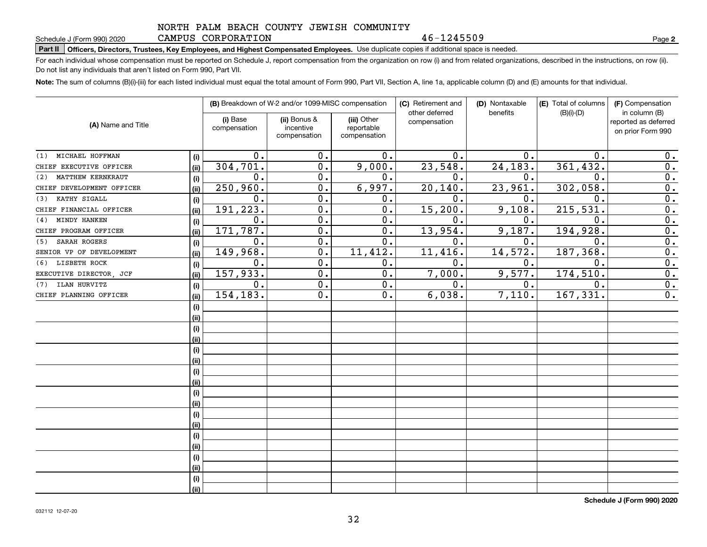## NORTH PALM BEACH COUNTY JEWISH COMMUNITY CAMPUS CORPORATION

46-1245509

**2**

# **Part II Officers, Directors, Trustees, Key Employees, and Highest Compensated Employees.**  Schedule J (Form 990) 2020 Page Use duplicate copies if additional space is needed.

For each individual whose compensation must be reported on Schedule J, report compensation from the organization on row (i) and from related organizations, described in the instructions, on row (ii). Do not list any individuals that aren't listed on Form 990, Part VII.

**Note:**  The sum of columns (B)(i)-(iii) for each listed individual must equal the total amount of Form 990, Part VII, Section A, line 1a, applicable column (D) and (E) amounts for that individual.

| (A) Name and Title        |             | (B) Breakdown of W-2 and/or 1099-MISC compensation |                                           |                                           | (C) Retirement and<br>other deferred | (D) Nontaxable<br>benefits | (E) Total of columns<br>$(B)(i)-(D)$ | (F) Compensation<br>in column (B)         |
|---------------------------|-------------|----------------------------------------------------|-------------------------------------------|-------------------------------------------|--------------------------------------|----------------------------|--------------------------------------|-------------------------------------------|
|                           |             | (i) Base<br>compensation                           | (ii) Bonus &<br>incentive<br>compensation | (iii) Other<br>reportable<br>compensation | compensation                         |                            |                                      | reported as deferred<br>on prior Form 990 |
| MICHAEL HOFFMAN<br>(1)    |             | 0.                                                 | 0.                                        | 0.                                        | 0.                                   | $\mathbf 0$ .              | $\mathbf 0$ .                        | 0.                                        |
| CHIEF EXECUTIVE OFFICER   | (i)<br>(ii) | 304, 701.                                          | 0.                                        | 9,000.                                    | 23,548.                              | 24,183.                    | 361,432.                             | $\overline{0}$ .                          |
| MATTHEW KERNKRAUT<br>(2)  | (i)         | 0.                                                 | 0.                                        | 0.                                        | $\mathbf 0$ .                        | 0.                         | $\mathbf 0$                          | $\overline{0}$ .                          |
| CHIEF DEVELOPMENT OFFICER | (ii)        | 250,960.                                           | $\overline{0}$ .                          | 6,997.                                    | 20,140                               | 23,961.                    | 302,058.                             | $\overline{0}$ .                          |
| KATHY SIGALL<br>(3)       | (i)         | $\mathbf 0$ .                                      | $\overline{0}$ .                          | 0.                                        | $\mathbf 0$                          | 0.                         | $\mathbf 0$                          | $\overline{0}$ .                          |
| CHIEF FINANCIAL OFFICER   | (ii)        | 191,223.                                           | $\overline{0}$ .                          | $\overline{0}$ .                          | 15,200                               | 9,108.                     | 215,531                              | $\overline{0}$ .                          |
| MINDY HANKEN<br>(4)       | (i)         | $\mathbf 0$ .                                      | $\overline{0}$ .                          | 0.                                        | О.                                   | 0.                         | $\mathbf 0$ .                        | $\overline{0}$ .                          |
| CHIEF PROGRAM OFFICER     | (ii)        | 171, 787.                                          | $\mathbf 0$ .                             | 0.                                        | 13,954.                              | 9,187.                     | 194,928                              | $\overline{0}$ .                          |
| SARAH ROGERS<br>(5)       | (i)         | $\mathbf 0$ .                                      | $\mathbf 0$ .                             | 0.                                        | $\mathbf 0$ .                        | 0.                         | $\mathbf 0$ .                        | $\overline{0}$ .                          |
| SENIOR VP OF DEVELOPMENT  | (ii)        | 149,968.                                           | $\mathbf 0$ .                             | 11,412.                                   | 11,416                               | 14,572.                    | 187,368                              | $\overline{0}$ .                          |
| LISBETH ROCK<br>(6)       | (i)         | 0.                                                 | $\mathbf 0$ .                             | $0$ .                                     | $\mathbf 0$ .                        | 0.                         | $\mathbf 0$ .                        | $\overline{0}$ .                          |
| EXECUTIVE DIRECTOR, JCF   | (ii)        | 157,933.                                           | 0.                                        | $0$ .                                     | 7,000.                               | 9,577.                     | 174,510                              | $\overline{0}$ .                          |
| ILAN HURVITZ<br>(7)       | (i)         | 0.                                                 | 0.                                        | $0$ .                                     | 0.                                   | 0.                         | $\mathbf 0$ .                        | $\overline{0}$ .                          |
| CHIEF PLANNING OFFICER    | (ii)        | 154,183.                                           | 0.                                        | 0.                                        | 6,038.                               | 7,110.                     | 167,331.                             | $\overline{0}$ .                          |
|                           | (i)         |                                                    |                                           |                                           |                                      |                            |                                      |                                           |
|                           | (ii)        |                                                    |                                           |                                           |                                      |                            |                                      |                                           |
|                           | (i)         |                                                    |                                           |                                           |                                      |                            |                                      |                                           |
|                           | (ii)        |                                                    |                                           |                                           |                                      |                            |                                      |                                           |
|                           | (i)         |                                                    |                                           |                                           |                                      |                            |                                      |                                           |
|                           | (i)         |                                                    |                                           |                                           |                                      |                            |                                      |                                           |
|                           | (i)         |                                                    |                                           |                                           |                                      |                            |                                      |                                           |
|                           | (i)         |                                                    |                                           |                                           |                                      |                            |                                      |                                           |
|                           | (i)         |                                                    |                                           |                                           |                                      |                            |                                      |                                           |
|                           | (ii)        |                                                    |                                           |                                           |                                      |                            |                                      |                                           |
|                           | (i)         |                                                    |                                           |                                           |                                      |                            |                                      |                                           |
|                           | (i)         |                                                    |                                           |                                           |                                      |                            |                                      |                                           |
|                           | (i)         |                                                    |                                           |                                           |                                      |                            |                                      |                                           |
|                           | (i)         |                                                    |                                           |                                           |                                      |                            |                                      |                                           |
|                           | (i)         |                                                    |                                           |                                           |                                      |                            |                                      |                                           |
|                           | (ii)        |                                                    |                                           |                                           |                                      |                            |                                      |                                           |
|                           | (i)         |                                                    |                                           |                                           |                                      |                            |                                      |                                           |
|                           | (ii)        |                                                    |                                           |                                           |                                      |                            |                                      |                                           |

**Schedule J (Form 990) 2020**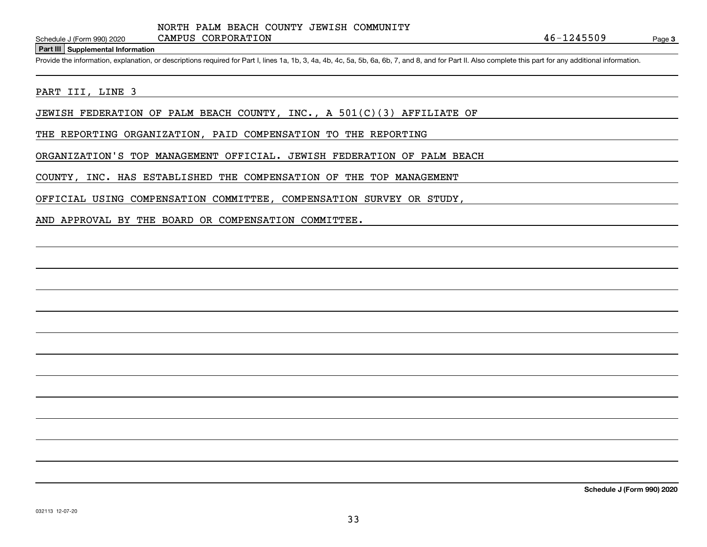### **Part III Supplemental Information**

Schedule J (Form 990) 2020 CAMPUS CORPORATION 46-1245509<br>Part III Supplemental Information<br>Provide the information, explanation, or descriptions required for Part I, lines 1a, 1b, 3, 4a, 4b, 4c, 5a, 5b, 6a, 6b, 7, and 8, a

## PART III, LINE 3

JEWISH FEDERATION OF PALM BEACH COUNTY, INC., A  $501(C)(3)$  AFFILIATE OF

THE REPORTING ORGANIZATION, PAID COMPENSATION TO THE REPORTING

ORGANIZATION'S TOP MANAGEMENT OFFICIAL. JEWISH FEDERATION OF PALM BEACH

COUNTY, INC. HAS ESTABLISHED THE COMPENSATION OF THE TOP MANAGEMENT

OFFICIAL USING COMPENSATION COMMITTEE, COMPENSATION SURVEY OR STUDY,

AND APPROVAL BY THE BOARD OR COMPENSATION COMMITTEE.

**Schedule J (Form 990) 2020**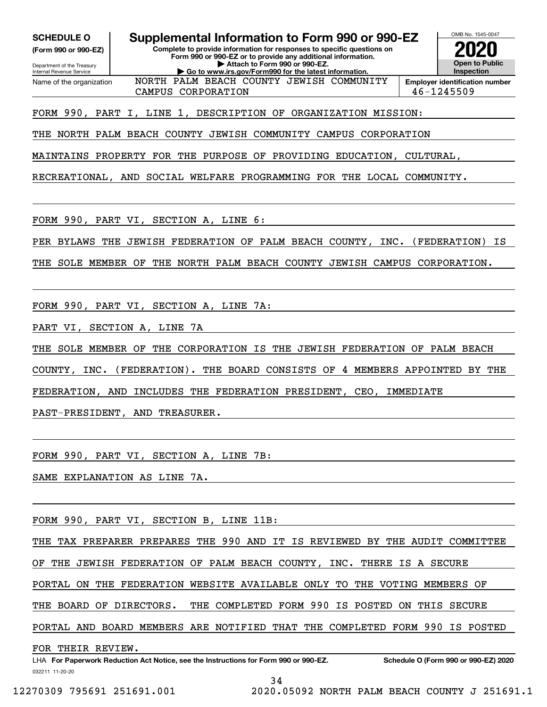**(Form 990 or 990-EZ)**

Department of the Treasury Internal Revenue Service Name of the organization

**SCHEDULE O Supplemental Information to Form 990 or 990-EZ**

**Complete to provide information for responses to specific questions on Form 990 or 990-EZ or to provide any additional information. | Attach to Form 990 or 990-EZ. | Go to www.irs.gov/Form990 for the latest information.**



CAMPUS CORPORATION 46-1245509 NORTH PALM BEACH COUNTY JEWISH COMMUNITY

# FORM 990, PART I, LINE 1, DESCRIPTION OF ORGANIZATION MISSION:

THE NORTH PALM BEACH COUNTY JEWISH COMMUNITY CAMPUS CORPORATION

MAINTAINS PROPERTY FOR THE PURPOSE OF PROVIDING EDUCATION, CULTURAL,

RECREATIONAL, AND SOCIAL WELFARE PROGRAMMING FOR THE LOCAL COMMUNITY.

FORM 990, PART VI, SECTION A, LINE 6:

PER BYLAWS THE JEWISH FEDERATION OF PALM BEACH COUNTY, INC. (FEDERATION) IS

THE SOLE MEMBER OF THE NORTH PALM BEACH COUNTY JEWISH CAMPUS CORPORATION.

FORM 990, PART VI, SECTION A, LINE 7A:

PART VI, SECTION A, LINE 7A

THE SOLE MEMBER OF THE CORPORATION IS THE JEWISH FEDERATION OF PALM BEACH

COUNTY, INC. (FEDERATION). THE BOARD CONSISTS OF 4 MEMBERS APPOINTED BY THE

FEDERATION, AND INCLUDES THE FEDERATION PRESIDENT, CEO, IMMEDIATE

PAST-PRESIDENT, AND TREASURER.

FORM 990, PART VI, SECTION A, LINE 7B:

SAME EXPLANATION AS LINE 7A.

FORM 990, PART VI, SECTION B, LINE 11B:

THE TAX PREPARER PREPARES THE 990 AND IT IS REVIEWED BY THE AUDIT COMMITTEE

OF THE JEWISH FEDERATION OF PALM BEACH COUNTY, INC. THERE IS A SECURE

PORTAL ON THE FEDERATION WEBSITE AVAILABLE ONLY TO THE VOTING MEMBERS OF

THE BOARD OF DIRECTORS. THE COMPLETED FORM 990 IS POSTED ON THIS SECURE

PORTAL AND BOARD MEMBERS ARE NOTIFIED THAT THE COMPLETED FORM 990 IS POSTED

FOR THEIR REVIEW.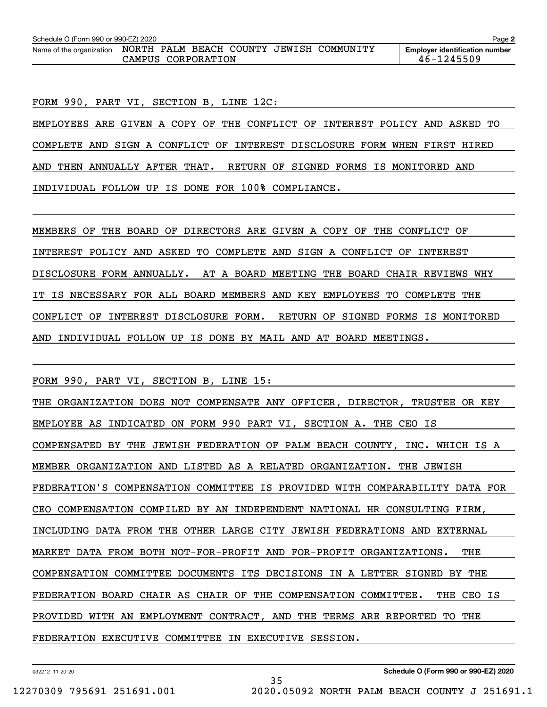| Schedule O (Form 990 or 990-EZ) 2020 |  |                    |  |                                          | Page 2                                                  |
|--------------------------------------|--|--------------------|--|------------------------------------------|---------------------------------------------------------|
| Name of the organization             |  | CAMPUS CORPORATION |  | NORTH PALM BEACH COUNTY JEWISH COMMUNITY | <b>Employer identification number</b><br>$46 - 1245509$ |

FORM 990, PART VI, SECTION B, LINE 12C:

EMPLOYEES ARE GIVEN A COPY OF THE CONFLICT OF INTEREST POLICY AND ASKED TO COMPLETE AND SIGN A CONFLICT OF INTEREST DISCLOSURE FORM WHEN FIRST HIRED AND THEN ANNUALLY AFTER THAT. RETURN OF SIGNED FORMS IS MONITORED AND INDIVIDUAL FOLLOW UP IS DONE FOR 100% COMPLIANCE.

MEMBERS OF THE BOARD OF DIRECTORS ARE GIVEN A COPY OF THE CONFLICT OF INTEREST POLICY AND ASKED TO COMPLETE AND SIGN A CONFLICT OF INTEREST DISCLOSURE FORM ANNUALLY. AT A BOARD MEETING THE BOARD CHAIR REVIEWS WHY IT IS NECESSARY FOR ALL BOARD MEMBERS AND KEY EMPLOYEES TO COMPLETE THE CONFLICT OF INTEREST DISCLOSURE FORM. RETURN OF SIGNED FORMS IS MONITORED AND INDIVIDUAL FOLLOW UP IS DONE BY MAIL AND AT BOARD MEETINGS.

FORM 990, PART VI, SECTION B, LINE 15:

THE ORGANIZATION DOES NOT COMPENSATE ANY OFFICER, DIRECTOR, TRUSTEE OR KEY EMPLOYEE AS INDICATED ON FORM 990 PART VI, SECTION A. THE CEO IS COMPENSATED BY THE JEWISH FEDERATION OF PALM BEACH COUNTY, INC. WHICH IS A MEMBER ORGANIZATION AND LISTED AS A RELATED ORGANIZATION. THE JEWISH FEDERATION'S COMPENSATION COMMITTEE IS PROVIDED WITH COMPARABILITY DATA FOR CEO COMPENSATION COMPILED BY AN INDEPENDENT NATIONAL HR CONSULTING FIRM, INCLUDING DATA FROM THE OTHER LARGE CITY JEWISH FEDERATIONS AND EXTERNAL MARKET DATA FROM BOTH NOT-FOR-PROFIT AND FOR-PROFIT ORGANIZATIONS. THE COMPENSATION COMMITTEE DOCUMENTS ITS DECISIONS IN A LETTER SIGNED BY THE FEDERATION BOARD CHAIR AS CHAIR OF THE COMPENSATION COMMITTEE. THE CEO IS PROVIDED WITH AN EMPLOYMENT CONTRACT, AND THE TERMS ARE REPORTED TO THE FEDERATION EXECUTIVE COMMITTEE IN EXECUTIVE SESSION.

35

032212 11-20-20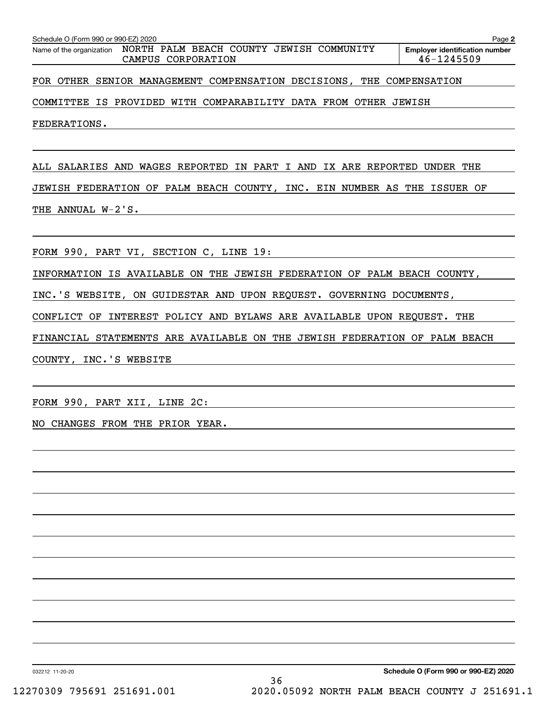|  | Name of the organization NORTH PALM BEACH COUNTY JEWISH COMMUNITY<br>CAMPUS CORPORATION |  | <b>Employer identification number</b><br>46-1245509 |
|--|-----------------------------------------------------------------------------------------|--|-----------------------------------------------------|
|  | FOR OTHER SENIOR MANAGEMENT COMPENSATION DECISIONS, THE COMPENSATION                    |  |                                                     |
|  | COMMITTEE IS PROVIDED WITH COMPARABILITY DATA FROM OTHER JEWISH                         |  |                                                     |

ALL SALARIES AND WAGES REPORTED IN PART I AND IX ARE REPORTED UNDER THE JEWISH FEDERATION OF PALM BEACH COUNTY, INC. EIN NUMBER AS THE ISSUER OF THE ANNUAL W-2'S.

FORM 990, PART VI, SECTION C, LINE 19:

INFORMATION IS AVAILABLE ON THE JEWISH FEDERATION OF PALM BEACH COUNTY,

INC.'S WEBSITE, ON GUIDESTAR AND UPON REQUEST. GOVERNING DOCUMENTS,

CONFLICT OF INTEREST POLICY AND BYLAWS ARE AVAILABLE UPON REQUEST. THE

FINANCIAL STATEMENTS ARE AVAILABLE ON THE JEWISH FEDERATION OF PALM BEACH

COUNTY, INC.'S WEBSITE

FORM 990, PART XII, LINE 2C:

NO CHANGES FROM THE PRIOR YEAR.

032212 11-20-20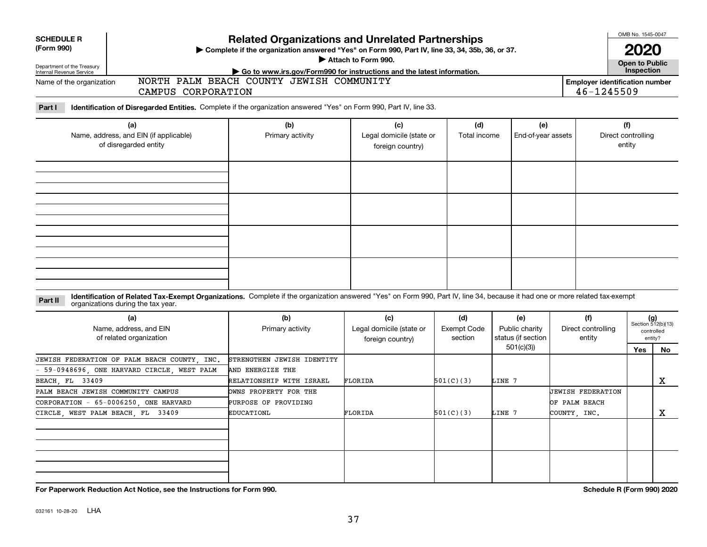| <b>SCHEDULE R</b><br>(Form 990)<br>Department of the Treasury<br>Internal Revenue Service<br>Name of the organization | <b>Related Organizations and Unrelated Partnerships</b><br>Complete if the organization answered "Yes" on Form 990, Part IV, line 33, 34, 35b, 36, or 37.<br>Attach to Form 990.<br>Go to www.irs.gov/Form990 for instructions and the latest information.<br>NORTH PALM BEACH COUNTY JEWISH COMMUNITY<br><b>Employer identification number</b><br>46-1245509<br>CAMPUS CORPORATION<br>Identification of Disregarded Entities. Complete if the organization answered "Yes" on Form 990, Part IV, line 33. |                                                                                         |                                                     |                               |                                                          |                                                    |                                     |                                                            |  |  |  |
|-----------------------------------------------------------------------------------------------------------------------|-----------------------------------------------------------------------------------------------------------------------------------------------------------------------------------------------------------------------------------------------------------------------------------------------------------------------------------------------------------------------------------------------------------------------------------------------------------------------------------------------------------|-----------------------------------------------------------------------------------------|-----------------------------------------------------|-------------------------------|----------------------------------------------------------|----------------------------------------------------|-------------------------------------|------------------------------------------------------------|--|--|--|
| Part I<br>(a)<br>Name, address, and EIN (if applicable)<br>of disregarded entity                                      |                                                                                                                                                                                                                                                                                                                                                                                                                                                                                                           | (b)<br>Primary activity                                                                 | (c)<br>Legal domicile (state or<br>foreign country) | (d)<br>Total income           | (e)<br>End-of-year assets                                |                                                    | (f)<br>Direct controlling<br>entity |                                                            |  |  |  |
|                                                                                                                       |                                                                                                                                                                                                                                                                                                                                                                                                                                                                                                           |                                                                                         |                                                     |                               |                                                          |                                                    |                                     |                                                            |  |  |  |
| Part II                                                                                                               | Identification of Related Tax-Exempt Organizations. Complete if the organization answered "Yes" on Form 990, Part IV, line 34, because it had one or more related tax-exempt<br>organizations during the tax year.<br>(a)<br>Name, address, and EIN<br>of related organization<br>JEWISH FEDERATION OF PALM BEACH COUNTY . INC.<br>59-0948696, ONE HARVARD CIRCLE, WEST PALM                                                                                                                              | (b)<br>Primary activity<br>STRENGTHEN JEWISH IDENTITY<br>AND ENERGIZE THE               | (c)<br>Legal domicile (state or<br>foreign country) | (d)<br>Exempt Code<br>section | (e)<br>Public charity<br>status (if section<br>501(c)(3) | (f)<br>Direct controlling<br>entity                | <b>Yes</b>                          | $(g)$<br>Section 512(b)(13)<br>controlled<br>entity?<br>No |  |  |  |
| BEACH FL 33409                                                                                                        | PALM BEACH JEWISH COMMUNITY CAMPUS<br>CORPORATION - 65-0006250, ONE HARVARD<br>CIRCLE, WEST PALM BEACH, FL 33409                                                                                                                                                                                                                                                                                                                                                                                          | RELATIONSHIP WITH ISRAEL<br>OWNS PROPERTY FOR THE<br>PURPOSE OF PROVIDING<br>EDUCATIONL | FLORIDA<br>FLORIDA                                  | 501(C)(3)<br>501(C)(3)        | LINE 7<br>LINE 7                                         | JEWISH FEDERATION<br>OF PALM BEACH<br>COUNTY, INC. |                                     | x<br>X                                                     |  |  |  |
|                                                                                                                       |                                                                                                                                                                                                                                                                                                                                                                                                                                                                                                           |                                                                                         |                                                     |                               |                                                          |                                                    |                                     |                                                            |  |  |  |

**For Paperwork Reduction Act Notice, see the Instructions for Form 990. Schedule R (Form 990) 2020**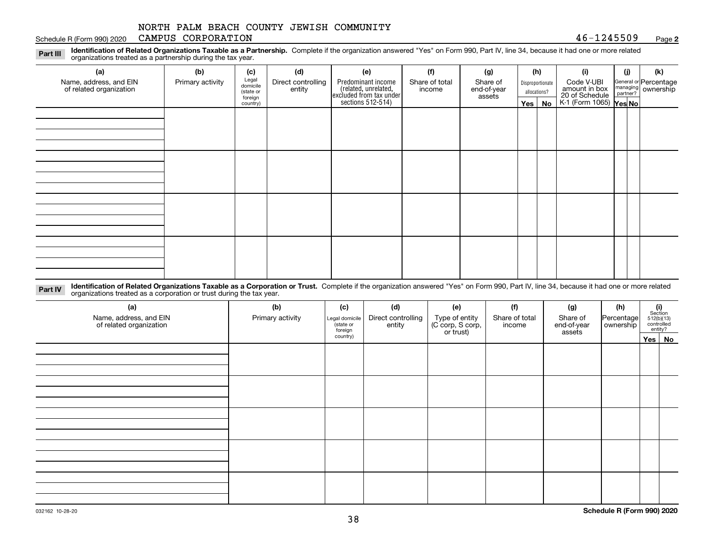### Schedule R (Form 990) 2020 Page CAMPUS CORPORATION 46-1245509

**2**

**Identification of Related Organizations Taxable as a Partnership.** Complete if the organization answered "Yes" on Form 990, Part IV, line 34, because it had one or more related **Part III** organizations treated as a partnership during the tax year.

| (b)              | (c)      | (d)                                       | (e)    | (f)            | (g)                                                                                                  |                       |    | (i)                                                   | (i) | (k)                                                                                                                  |
|------------------|----------|-------------------------------------------|--------|----------------|------------------------------------------------------------------------------------------------------|-----------------------|----|-------------------------------------------------------|-----|----------------------------------------------------------------------------------------------------------------------|
| Primary activity |          | Direct controlling                        |        | Share of total | Share of                                                                                             |                       |    | Code V-UBI                                            |     |                                                                                                                      |
|                  |          |                                           |        |                |                                                                                                      |                       |    |                                                       |     |                                                                                                                      |
|                  | country) |                                           |        |                |                                                                                                      |                       | No |                                                       |     |                                                                                                                      |
|                  |          |                                           |        |                |                                                                                                      |                       |    |                                                       |     |                                                                                                                      |
|                  |          |                                           |        |                |                                                                                                      |                       |    |                                                       |     |                                                                                                                      |
|                  |          |                                           |        |                |                                                                                                      |                       |    |                                                       |     |                                                                                                                      |
|                  |          |                                           |        |                |                                                                                                      |                       |    |                                                       |     |                                                                                                                      |
|                  |          |                                           |        |                |                                                                                                      |                       |    |                                                       |     |                                                                                                                      |
|                  |          |                                           |        |                |                                                                                                      |                       |    |                                                       |     |                                                                                                                      |
|                  |          |                                           |        |                |                                                                                                      |                       |    |                                                       |     |                                                                                                                      |
|                  |          |                                           |        |                |                                                                                                      |                       |    |                                                       |     |                                                                                                                      |
|                  |          |                                           |        |                |                                                                                                      |                       |    |                                                       |     |                                                                                                                      |
|                  |          |                                           |        |                |                                                                                                      |                       |    |                                                       |     |                                                                                                                      |
|                  |          |                                           |        |                |                                                                                                      |                       |    |                                                       |     |                                                                                                                      |
|                  |          |                                           |        |                |                                                                                                      |                       |    |                                                       |     |                                                                                                                      |
|                  |          |                                           |        |                |                                                                                                      |                       |    |                                                       |     |                                                                                                                      |
|                  |          |                                           |        |                |                                                                                                      |                       |    |                                                       |     |                                                                                                                      |
|                  |          |                                           |        |                |                                                                                                      |                       |    |                                                       |     |                                                                                                                      |
|                  |          |                                           |        |                |                                                                                                      |                       |    |                                                       |     |                                                                                                                      |
|                  |          | Legal<br>domicile<br>(state or<br>foreign | entity |                | Predominant income<br>(related, unrelated,<br>excluded from tax under<br>sections 512-514)<br>income | end-of-year<br>assets |    | (h)<br>Disproportionate<br>allocations?<br>$Yes \mid$ |     | General or Percentage<br>managing ownership<br>partner?<br>amount in box<br>20 of Schedule<br>K-1 (Form 1065) Yes No |

**Identification of Related Organizations Taxable as a Corporation or Trust.** Complete if the organization answered "Yes" on Form 990, Part IV, line 34, because it had one or more related **Part IV** organizations treated as a corporation or trust during the tax year.

| (a)<br>Name, address, and EIN<br>of related organization | (b)<br>Primary activity | (c)<br>Legal domicile<br>(state or<br>foreign<br>country) | (d)<br>Direct controlling<br>entity | (e)<br>Type of entity<br>(C corp, S corp,<br>or trust) | (f)<br>Share of total<br>income | (g)<br>Share of<br>end-of-year<br>assets | (h)<br>Percentage<br>ownership | $\begin{array}{c} \textbf{(i)}\\ \text{Section}\\ 512 \text{(b)} \text{(13)}\\ \text{controlled}\\ \text{entity?} \end{array}$ |
|----------------------------------------------------------|-------------------------|-----------------------------------------------------------|-------------------------------------|--------------------------------------------------------|---------------------------------|------------------------------------------|--------------------------------|--------------------------------------------------------------------------------------------------------------------------------|
|                                                          |                         |                                                           |                                     |                                                        |                                 |                                          |                                | Yes No                                                                                                                         |
|                                                          |                         |                                                           |                                     |                                                        |                                 |                                          |                                |                                                                                                                                |
|                                                          |                         |                                                           |                                     |                                                        |                                 |                                          |                                |                                                                                                                                |
|                                                          |                         |                                                           |                                     |                                                        |                                 |                                          |                                |                                                                                                                                |
|                                                          |                         |                                                           |                                     |                                                        |                                 |                                          |                                |                                                                                                                                |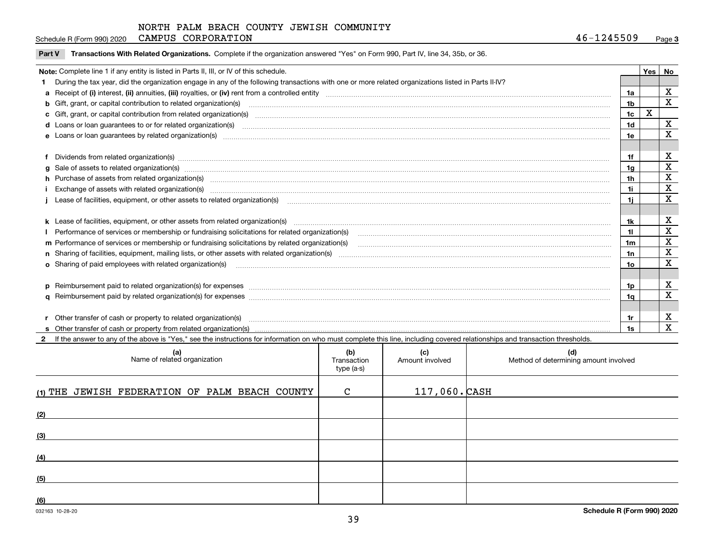| CAMPUS<br>CORPORATION<br>1245509<br>Schedule R (Form 990) 2020<br>46. | Paɑe |  |
|-----------------------------------------------------------------------|------|--|
|-----------------------------------------------------------------------|------|--|

| Part V Transactions With Related Organizations. Complete if the organization answered "Yes" on Form 990, Part IV, line 34, 35b, or 36. |  |
|----------------------------------------------------------------------------------------------------------------------------------------|--|
|                                                                                                                                        |  |

| Note: Complete line 1 if any entity is listed in Parts II, III, or IV of this schedule.                                                                                                                                              |     | <b>Yes</b> | No               |  |  |
|--------------------------------------------------------------------------------------------------------------------------------------------------------------------------------------------------------------------------------------|-----|------------|------------------|--|--|
| During the tax year, did the organization engage in any of the following transactions with one or more related organizations listed in Parts II-IV?                                                                                  |     |            |                  |  |  |
|                                                                                                                                                                                                                                      | 1a  |            | х                |  |  |
| b Gift, grant, or capital contribution to related organization(s) manufactured and contribution to related organization(s)                                                                                                           | 1b  |            | X                |  |  |
| c Gift, grant, or capital contribution from related organization(s)                                                                                                                                                                  | 1c  | х          |                  |  |  |
| 1d<br>d Loans or loan guarantees to or for related organization(s) committion contracts are constructed as a contract or contract or contract or contract or contract or contract or contract or contract or contract or contract or |     |            |                  |  |  |
| e Loans or loan quarantees by related organization(s)                                                                                                                                                                                | 1e  |            | X                |  |  |
|                                                                                                                                                                                                                                      |     |            |                  |  |  |
| f Dividends from related organization(s) manufactured and contract and contract or produced and contract and contract and contract and contract and contract and contract and contract and contract and contract and contract        | 1f  |            | х<br>$\mathbf X$ |  |  |
| g Sale of assets to related organization(s) www.assettion.com/www.assettion.com/www.assettion.com/www.assettion.com/www.assettion.com/www.assettion.com/www.assettion.com/www.assettion.com/www.assettion.com/www.assettion.co<br>1g |     |            |                  |  |  |
| h Purchase of assets from related organization(s) manufactured and content and content and content and content and content and content and content and content and content and content and content and content and content and<br>1h |     |            |                  |  |  |
| Exchange of assets with related organization(s) manufactured and content and content and content and content and content and content and content and content and content and content and content and content and content and c       |     |            |                  |  |  |
|                                                                                                                                                                                                                                      |     |            |                  |  |  |
|                                                                                                                                                                                                                                      |     |            |                  |  |  |
|                                                                                                                                                                                                                                      | 1k. |            | х                |  |  |
| Performance of services or membership or fundraising solicitations for related organization(s)                                                                                                                                       | 11  |            | $\mathbf X$      |  |  |
| m Performance of services or membership or fundraising solicitations by related organization(s)                                                                                                                                      | 1m  |            | $\mathbf X$      |  |  |
|                                                                                                                                                                                                                                      | 1n  |            | $\mathbf X$      |  |  |
| o Sharing of paid employees with related organization(s) manufactured and content to the content of the content of the content of the content of the content of the content of the content of the content of the content of th       | 10  |            | X                |  |  |
|                                                                                                                                                                                                                                      |     |            |                  |  |  |
| p Reimbursement paid to related organization(s) for expenses [111] All and the content of the content of the content of the content of the content of the content of the content of the content of the content of the content        | 1p. |            | х                |  |  |
|                                                                                                                                                                                                                                      | 1q  |            | $\mathbf X$      |  |  |
|                                                                                                                                                                                                                                      |     |            |                  |  |  |
| r Other transfer of cash or property to related organization(s)                                                                                                                                                                      | 1r  |            | х                |  |  |
|                                                                                                                                                                                                                                      | 1s  |            | x                |  |  |

**2**If the answer to any of the above is "Yes," see the instructions for information on who must complete this line, including covered relationships and transaction thresholds.

| (a)<br>Name of related organization            | (b)<br>Transaction<br>type (a-s) | (c)<br>Amount involved | (d)<br>Method of determining amount involved |
|------------------------------------------------|----------------------------------|------------------------|----------------------------------------------|
| (1) THE JEWISH FEDERATION OF PALM BEACH COUNTY | $\mathbf C$                      | $117,060.$ CASH        |                                              |
| (2)                                            |                                  |                        |                                              |
| (3)                                            |                                  |                        |                                              |
| (4)                                            |                                  |                        |                                              |
| (5)                                            |                                  |                        |                                              |
| (6)                                            |                                  |                        |                                              |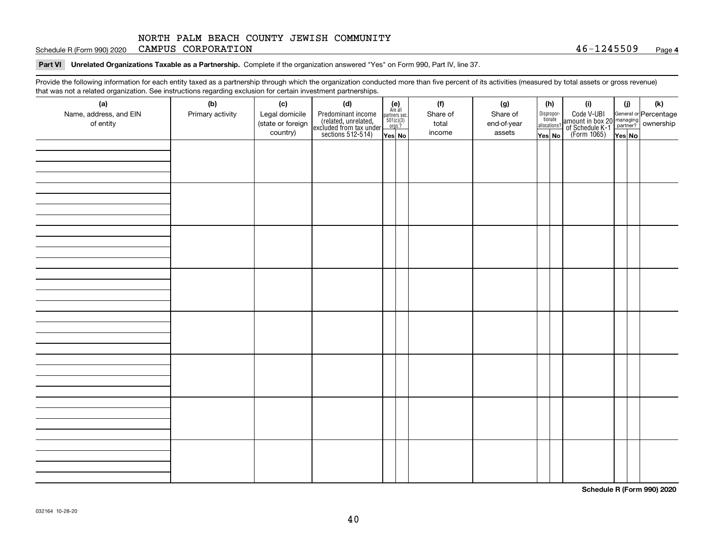Schedule R (Form 990) 2020 Page CAMPUS CORPORATION 46-1245509

**Part VI Unrelated Organizations Taxable as a Partnership. Complete if the organization answered "Yes" on Form 990, Part IV, line 37.** 

Provide the following information for each entity taxed as a partnership through which the organization conducted more than five percent of its activities (measured by total assets or gross revenue) that was not a related organization. See instructions regarding exclusion for certain investment partnerships.

| (a)                    | .<br>(b)         | (c)               | <br><br>(d)                                                                                |                                                                                                                  | (f)      | (g)         | (h)                   | (i)                                                                                                    | (i)    | $(\mathsf{k})$ |  |
|------------------------|------------------|-------------------|--------------------------------------------------------------------------------------------|------------------------------------------------------------------------------------------------------------------|----------|-------------|-----------------------|--------------------------------------------------------------------------------------------------------|--------|----------------|--|
| Name, address, and EIN | Primary activity | Legal domicile    |                                                                                            | $\begin{array}{c} \textbf{(e)}\\ \text{Are all} \\ \text{partners sec.}\\ 501(c)(3)\\ \text{orgs.?} \end{array}$ | Share of | Share of    | Dispropor-<br>tionate |                                                                                                        |        |                |  |
| of entity              |                  | (state or foreign | Predominant income<br>(related, unrelated,<br>excluded from tax under<br>sections 512-514) |                                                                                                                  | total    | end-of-year | allocations?          | Code V-UBI<br>amount in box 20 managing<br>of Schedule K-1 partner? ownership<br>(Form 1065)<br>ves No |        |                |  |
|                        |                  | country)          |                                                                                            | Yes No                                                                                                           | income   | assets      | Yes No                |                                                                                                        | Yes No |                |  |
|                        |                  |                   |                                                                                            |                                                                                                                  |          |             |                       |                                                                                                        |        |                |  |
|                        |                  |                   |                                                                                            |                                                                                                                  |          |             |                       |                                                                                                        |        |                |  |
|                        |                  |                   |                                                                                            |                                                                                                                  |          |             |                       |                                                                                                        |        |                |  |
|                        |                  |                   |                                                                                            |                                                                                                                  |          |             |                       |                                                                                                        |        |                |  |
|                        |                  |                   |                                                                                            |                                                                                                                  |          |             |                       |                                                                                                        |        |                |  |
|                        |                  |                   |                                                                                            |                                                                                                                  |          |             |                       |                                                                                                        |        |                |  |
|                        |                  |                   |                                                                                            |                                                                                                                  |          |             |                       |                                                                                                        |        |                |  |
|                        |                  |                   |                                                                                            |                                                                                                                  |          |             |                       |                                                                                                        |        |                |  |
|                        |                  |                   |                                                                                            |                                                                                                                  |          |             |                       |                                                                                                        |        |                |  |
|                        |                  |                   |                                                                                            |                                                                                                                  |          |             |                       |                                                                                                        |        |                |  |
|                        |                  |                   |                                                                                            |                                                                                                                  |          |             |                       |                                                                                                        |        |                |  |
|                        |                  |                   |                                                                                            |                                                                                                                  |          |             |                       |                                                                                                        |        |                |  |
|                        |                  |                   |                                                                                            |                                                                                                                  |          |             |                       |                                                                                                        |        |                |  |
|                        |                  |                   |                                                                                            |                                                                                                                  |          |             |                       |                                                                                                        |        |                |  |
|                        |                  |                   |                                                                                            |                                                                                                                  |          |             |                       |                                                                                                        |        |                |  |
|                        |                  |                   |                                                                                            |                                                                                                                  |          |             |                       |                                                                                                        |        |                |  |
|                        |                  |                   |                                                                                            |                                                                                                                  |          |             |                       |                                                                                                        |        |                |  |
|                        |                  |                   |                                                                                            |                                                                                                                  |          |             |                       |                                                                                                        |        |                |  |
|                        |                  |                   |                                                                                            |                                                                                                                  |          |             |                       |                                                                                                        |        |                |  |
|                        |                  |                   |                                                                                            |                                                                                                                  |          |             |                       |                                                                                                        |        |                |  |
|                        |                  |                   |                                                                                            |                                                                                                                  |          |             |                       |                                                                                                        |        |                |  |
|                        |                  |                   |                                                                                            |                                                                                                                  |          |             |                       |                                                                                                        |        |                |  |
|                        |                  |                   |                                                                                            |                                                                                                                  |          |             |                       |                                                                                                        |        |                |  |
|                        |                  |                   |                                                                                            |                                                                                                                  |          |             |                       |                                                                                                        |        |                |  |
|                        |                  |                   |                                                                                            |                                                                                                                  |          |             |                       |                                                                                                        |        |                |  |
|                        |                  |                   |                                                                                            |                                                                                                                  |          |             |                       |                                                                                                        |        |                |  |
|                        |                  |                   |                                                                                            |                                                                                                                  |          |             |                       |                                                                                                        |        |                |  |
|                        |                  |                   |                                                                                            |                                                                                                                  |          |             |                       |                                                                                                        |        |                |  |
|                        |                  |                   |                                                                                            |                                                                                                                  |          |             |                       |                                                                                                        |        |                |  |
|                        |                  |                   |                                                                                            |                                                                                                                  |          |             |                       |                                                                                                        |        |                |  |

**Schedule R (Form 990) 2020**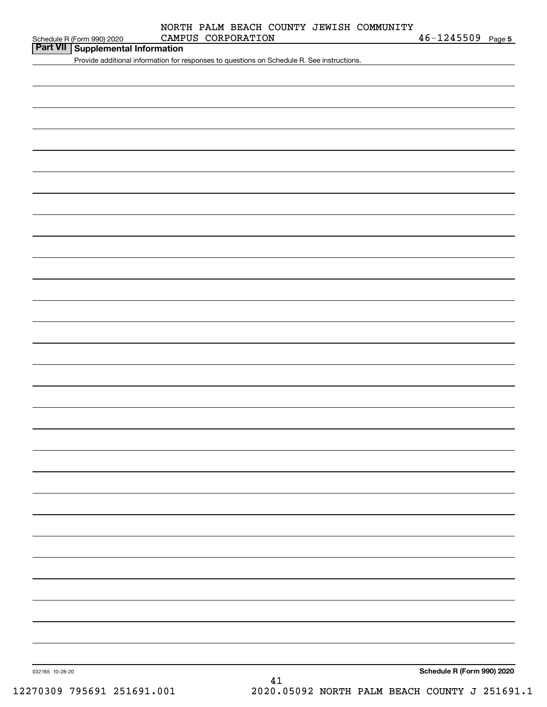| Schedule R (Form 990) 2020 |  |  |
|----------------------------|--|--|

# **Part VII Supplemental Information**

Provide additional information for responses to questions on Schedule R. See instructions.

032165 10-28-20